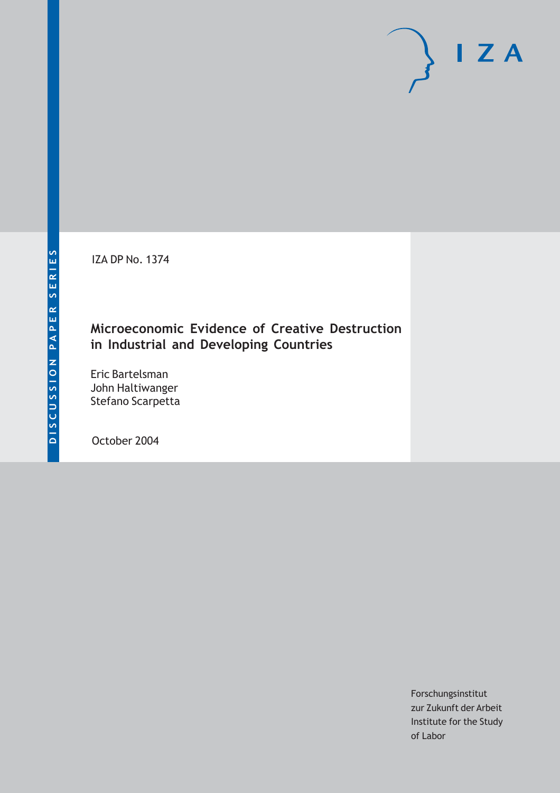IZA DP No. 1374

# **Microeconomic Evidence of Creative Destruction in Industrial and Developing Countries**

Eric Bartelsman John Haltiwanger Stefano Scarpetta

October 2004

Forschungsinstitut zur Zukunft der Arbeit Institute for the Study of Labor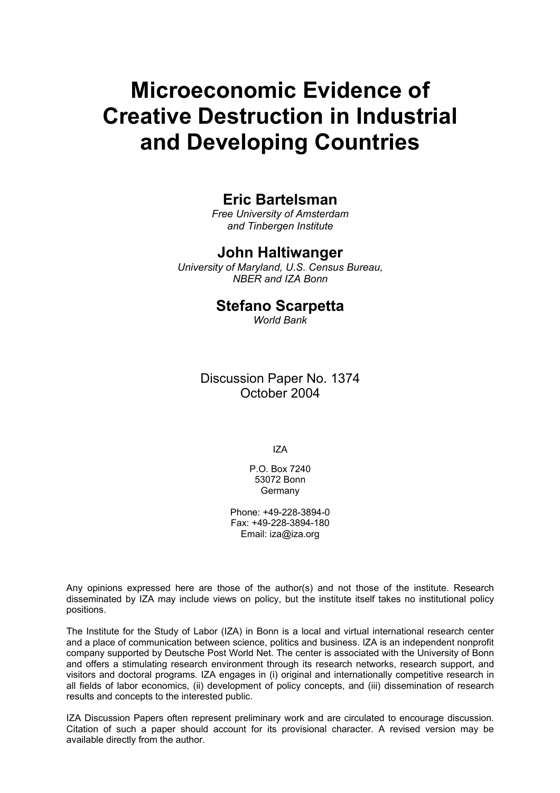# **Microeconomic Evidence of Creative Destruction in Industrial and Developing Countries**

# **Eric Bartelsman**

*Free University of Amsterdam and Tinbergen Institute*

# **John Haltiwanger**

*University of Maryland, U.S. Census Bureau, NBER and IZA Bonn*

# **Stefano Scarpetta**

*World Bank* 

# Discussion Paper No. 1374 October 2004

IZA

P.O. Box 7240 53072 Bonn Germany

Phone: +49-228-3894-0 Fax: +49-228-3894-180 Email: [iza@iza.org](mailto:iza@iza.org)

Any opinions expressed here are those of the author(s) and not those of the institute. Research disseminated by IZA may include views on policy, but the institute itself takes no institutional policy positions.

The Institute for the Study of Labor (IZA) in Bonn is a local and virtual international research center and a place of communication between science, politics and business. IZA is an independent nonprofit company supported by Deutsche Post World Net. The center is associated with the University of Bonn and offers a stimulating research environment through its research networks, research support, and visitors and doctoral programs. IZA engages in (i) original and internationally competitive research in all fields of labor economics, (ii) development of policy concepts, and (iii) dissemination of research results and concepts to the interested public.

IZA Discussion Papers often represent preliminary work and are circulated to encourage discussion. Citation of such a paper should account for its provisional character. A revised version may be available directly from the author.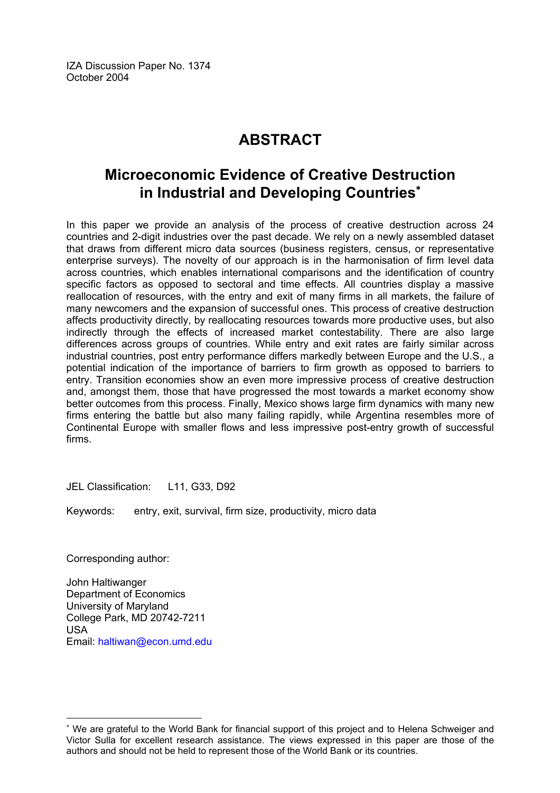IZA Discussion Paper No. 1374 October 2004

# **ABSTRACT**

# **Microeconomic Evidence of Creative Destruction in Industrial and Developing Countries**[∗](#page-2-0)

In this paper we provide an analysis of the process of creative destruction across 24 countries and 2-digit industries over the past decade. We rely on a newly assembled dataset that draws from different micro data sources (business registers, census, or representative enterprise surveys). The novelty of our approach is in the harmonisation of firm level data across countries, which enables international comparisons and the identification of country specific factors as opposed to sectoral and time effects. All countries display a massive reallocation of resources, with the entry and exit of many firms in all markets, the failure of many newcomers and the expansion of successful ones. This process of creative destruction affects productivity directly, by reallocating resources towards more productive uses, but also indirectly through the effects of increased market contestability. There are also large differences across groups of countries. While entry and exit rates are fairly similar across industrial countries, post entry performance differs markedly between Europe and the U.S., a potential indication of the importance of barriers to firm growth as opposed to barriers to entry. Transition economies show an even more impressive process of creative destruction and, amongst them, those that have progressed the most towards a market economy show better outcomes from this process. Finally, Mexico shows large firm dynamics with many new firms entering the battle but also many failing rapidly, while Argentina resembles more of Continental Europe with smaller flows and less impressive post-entry growth of successful firms.

JEL Classification: L11, G33, D92

Keywords: entry, exit, survival, firm size, productivity, micro data

Corresponding author:

 $\overline{a}$ 

John Haltiwanger Department of Economics University of Maryland College Park, MD 20742-7211 USA Email: [haltiwan@econ.umd.edu](mailto:haltiwan@econ.umd.edu)

<span id="page-2-0"></span><sup>∗</sup> We are grateful to the World Bank for financial support of this project and to Helena Schweiger and Victor Sulla for excellent research assistance. The views expressed in this paper are those of the authors and should not be held to represent those of the World Bank or its countries.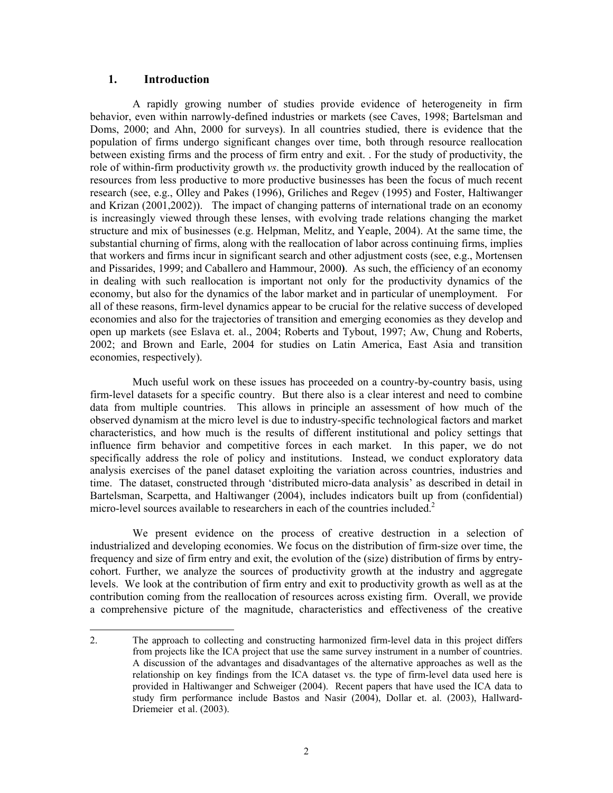### **1. Introduction**

 $\overline{a}$ 

 A rapidly growing number of studies provide evidence of heterogeneity in firm behavior, even within narrowly-defined industries or markets (see Caves, 1998; Bartelsman and Doms, 2000; and Ahn, 2000 for surveys). In all countries studied, there is evidence that the population of firms undergo significant changes over time, both through resource reallocation between existing firms and the process of firm entry and exit. . For the study of productivity, the role of within-firm productivity growth *vs*. the productivity growth induced by the reallocation of resources from less productive to more productive businesses has been the focus of much recent research (see, e.g., Olley and Pakes (1996), Griliches and Regev (1995) and Foster, Haltiwanger and Krizan (2001,2002)). The impact of changing patterns of international trade on an economy is increasingly viewed through these lenses, with evolving trade relations changing the market structure and mix of businesses (e.g. Helpman, Melitz, and Yeaple, 2004). At the same time, the substantial churning of firms, along with the reallocation of labor across continuing firms, implies that workers and firms incur in significant search and other adjustment costs (see, e.g., Mortensen and Pissarides, 1999; and Caballero and Hammour, 2000**)**. As such, the efficiency of an economy in dealing with such reallocation is important not only for the productivity dynamics of the economy, but also for the dynamics of the labor market and in particular of unemployment. For all of these reasons, firm-level dynamics appear to be crucial for the relative success of developed economies and also for the trajectories of transition and emerging economies as they develop and open up markets (see Eslava et. al., 2004; Roberts and Tybout, 1997; Aw, Chung and Roberts, 2002; and Brown and Earle, 2004 for studies on Latin America, East Asia and transition economies, respectively).

 Much useful work on these issues has proceeded on a country-by-country basis, using firm-level datasets for a specific country. But there also is a clear interest and need to combine data from multiple countries. This allows in principle an assessment of how much of the observed dynamism at the micro level is due to industry-specific technological factors and market characteristics, and how much is the results of different institutional and policy settings that influence firm behavior and competitive forces in each market. In this paper, we do not specifically address the role of policy and institutions. Instead, we conduct exploratory data analysis exercises of the panel dataset exploiting the variation across countries, industries and time. The dataset, constructed through 'distributed micro-data analysis' as described in detail in Bartelsman, Scarpetta, and Haltiwanger (2004), includes indicators built up from (confidential) micro-level sources available to researchers in each of the countries included.<sup>2</sup>

 We present evidence on the process of creative destruction in a selection of industrialized and developing economies. We focus on the distribution of firm-size over time, the frequency and size of firm entry and exit, the evolution of the (size) distribution of firms by entrycohort. Further, we analyze the sources of productivity growth at the industry and aggregate levels. We look at the contribution of firm entry and exit to productivity growth as well as at the contribution coming from the reallocation of resources across existing firm. Overall, we provide a comprehensive picture of the magnitude, characteristics and effectiveness of the creative

<sup>2.</sup> The approach to collecting and constructing harmonized firm-level data in this project differs from projects like the ICA project that use the same survey instrument in a number of countries. A discussion of the advantages and disadvantages of the alternative approaches as well as the relationship on key findings from the ICA dataset vs. the type of firm-level data used here is provided in Haltiwanger and Schweiger (2004). Recent papers that have used the ICA data to study firm performance include Bastos and Nasir (2004), Dollar et. al. (2003), Hallward-Driemeier et al. (2003).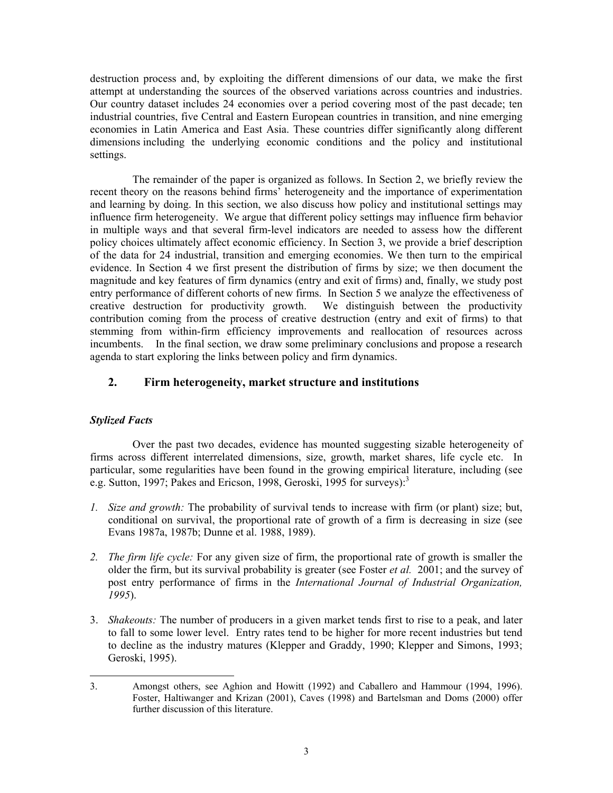destruction process and, by exploiting the different dimensions of our data, we make the first attempt at understanding the sources of the observed variations across countries and industries. Our country dataset includes 24 economies over a period covering most of the past decade; ten industrial countries, five Central and Eastern European countries in transition, and nine emerging economies in Latin America and East Asia. These countries differ significantly along different dimensions including the underlying economic conditions and the policy and institutional settings.

 The remainder of the paper is organized as follows. In Section 2, we briefly review the recent theory on the reasons behind firms' heterogeneity and the importance of experimentation and learning by doing. In this section, we also discuss how policy and institutional settings may influence firm heterogeneity. We argue that different policy settings may influence firm behavior in multiple ways and that several firm-level indicators are needed to assess how the different policy choices ultimately affect economic efficiency. In Section 3, we provide a brief description of the data for 24 industrial, transition and emerging economies. We then turn to the empirical evidence. In Section 4 we first present the distribution of firms by size; we then document the magnitude and key features of firm dynamics (entry and exit of firms) and, finally, we study post entry performance of different cohorts of new firms. In Section 5 we analyze the effectiveness of creative destruction for productivity growth. We distinguish between the productivity contribution coming from the process of creative destruction (entry and exit of firms) to that stemming from within-firm efficiency improvements and reallocation of resources across incumbents. In the final section, we draw some preliminary conclusions and propose a research agenda to start exploring the links between policy and firm dynamics.

# **2. Firm heterogeneity, market structure and institutions**

## *Stylized Facts*

 Over the past two decades, evidence has mounted suggesting sizable heterogeneity of firms across different interrelated dimensions, size, growth, market shares, life cycle etc. In particular, some regularities have been found in the growing empirical literature, including (see e.g. Sutton, 1997; Pakes and Ericson, 1998, Geroski, 1995 for surveys): $3$ 

- *1. Size and growth:* The probability of survival tends to increase with firm (or plant) size; but, conditional on survival, the proportional rate of growth of a firm is decreasing in size (see Evans 1987a, 1987b; Dunne et al. 1988, 1989).
- *2. The firm life cycle:* For any given size of firm, the proportional rate of growth is smaller the older the firm, but its survival probability is greater (see Foster *et al.* 2001; and the survey of post entry performance of firms in the *International Journal of Industrial Organization, 1995*).
- 3. *Shakeouts:* The number of producers in a given market tends first to rise to a peak, and later to fall to some lower level. Entry rates tend to be higher for more recent industries but tend to decline as the industry matures (Klepper and Graddy, 1990; Klepper and Simons, 1993; Geroski, 1995).

l 3. Amongst others, see Aghion and Howitt (1992) and Caballero and Hammour (1994, 1996). Foster, Haltiwanger and Krizan (2001), Caves (1998) and Bartelsman and Doms (2000) offer further discussion of this literature.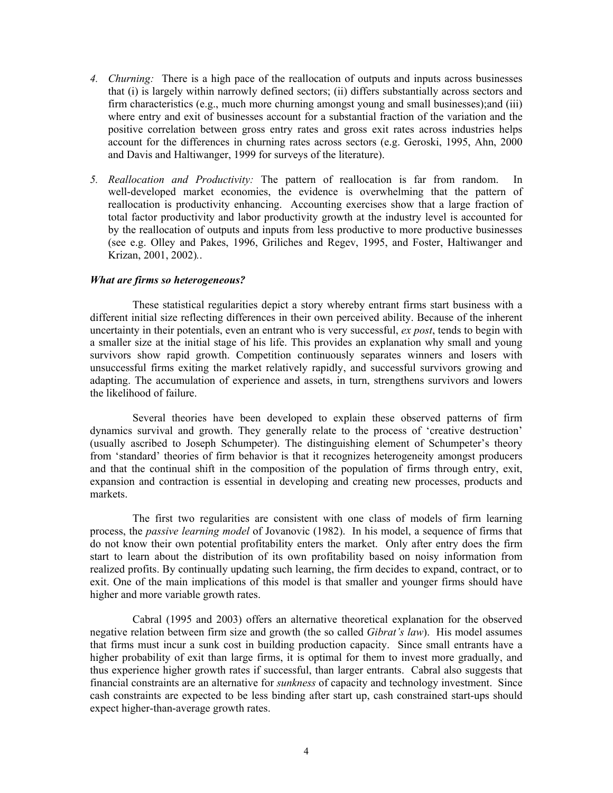- *4. Churning:* There is a high pace of the reallocation of outputs and inputs across businesses that (i) is largely within narrowly defined sectors; (ii) differs substantially across sectors and firm characteristics (e.g., much more churning amongst young and small businesses);and (iii) where entry and exit of businesses account for a substantial fraction of the variation and the positive correlation between gross entry rates and gross exit rates across industries helps account for the differences in churning rates across sectors (e.g. Geroski, 1995, Ahn, 2000 and Davis and Haltiwanger, 1999 for surveys of the literature).
- *5. Reallocation and Productivity:* The pattern of reallocation is far from random. In well-developed market economies, the evidence is overwhelming that the pattern of reallocation is productivity enhancing. Accounting exercises show that a large fraction of total factor productivity and labor productivity growth at the industry level is accounted for by the reallocation of outputs and inputs from less productive to more productive businesses (see e.g. Olley and Pakes, 1996, Griliches and Regev, 1995, and Foster, Haltiwanger and Krizan, 2001, 2002)*.*.

#### *What are firms so heterogeneous?*

 These statistical regularities depict a story whereby entrant firms start business with a different initial size reflecting differences in their own perceived ability. Because of the inherent uncertainty in their potentials, even an entrant who is very successful, *ex post*, tends to begin with a smaller size at the initial stage of his life. This provides an explanation why small and young survivors show rapid growth. Competition continuously separates winners and losers with unsuccessful firms exiting the market relatively rapidly, and successful survivors growing and adapting. The accumulation of experience and assets, in turn, strengthens survivors and lowers the likelihood of failure.

 Several theories have been developed to explain these observed patterns of firm dynamics survival and growth. They generally relate to the process of 'creative destruction' (usually ascribed to Joseph Schumpeter). The distinguishing element of Schumpeter's theory from 'standard' theories of firm behavior is that it recognizes heterogeneity amongst producers and that the continual shift in the composition of the population of firms through entry, exit, expansion and contraction is essential in developing and creating new processes, products and markets.

 The first two regularities are consistent with one class of models of firm learning process, the *passive learning model* of Jovanovic (1982). In his model, a sequence of firms that do not know their own potential profitability enters the market. Only after entry does the firm start to learn about the distribution of its own profitability based on noisy information from realized profits. By continually updating such learning, the firm decides to expand, contract, or to exit. One of the main implications of this model is that smaller and younger firms should have higher and more variable growth rates.

 Cabral (1995 and 2003) offers an alternative theoretical explanation for the observed negative relation between firm size and growth (the so called *Gibrat's law*). His model assumes that firms must incur a sunk cost in building production capacity. Since small entrants have a higher probability of exit than large firms, it is optimal for them to invest more gradually, and thus experience higher growth rates if successful, than larger entrants. Cabral also suggests that financial constraints are an alternative for *sunkness* of capacity and technology investment. Since cash constraints are expected to be less binding after start up, cash constrained start-ups should expect higher-than-average growth rates.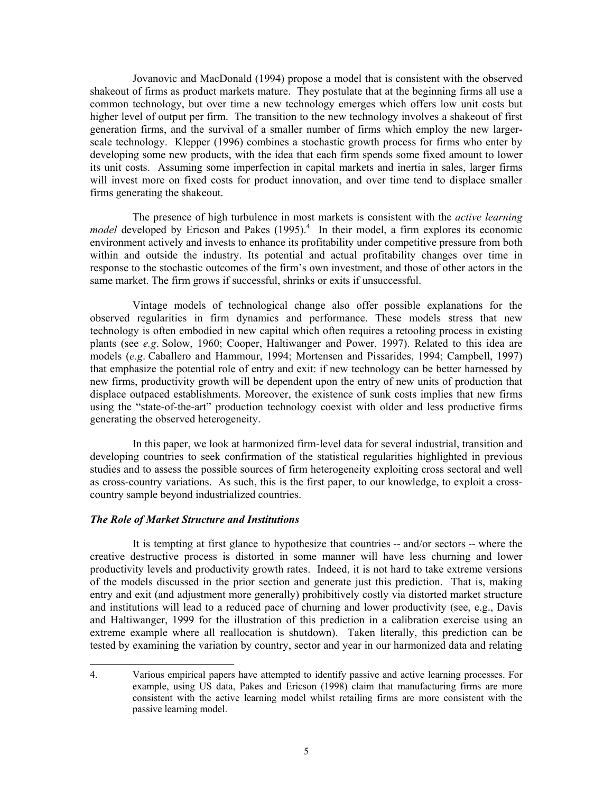Jovanovic and MacDonald (1994) propose a model that is consistent with the observed shakeout of firms as product markets mature. They postulate that at the beginning firms all use a common technology, but over time a new technology emerges which offers low unit costs but higher level of output per firm. The transition to the new technology involves a shakeout of first generation firms, and the survival of a smaller number of firms which employ the new largerscale technology. Klepper (1996) combines a stochastic growth process for firms who enter by developing some new products, with the idea that each firm spends some fixed amount to lower its unit costs. Assuming some imperfection in capital markets and inertia in sales, larger firms will invest more on fixed costs for product innovation, and over time tend to displace smaller firms generating the shakeout.

 The presence of high turbulence in most markets is consistent with the *active learning*  model developed by Ericson and Pakes (1995).<sup>4</sup> In their model, a firm explores its economic environment actively and invests to enhance its profitability under competitive pressure from both within and outside the industry. Its potential and actual profitability changes over time in response to the stochastic outcomes of the firm's own investment, and those of other actors in the same market. The firm grows if successful, shrinks or exits if unsuccessful.

 Vintage models of technological change also offer possible explanations for the observed regularities in firm dynamics and performance. These models stress that new technology is often embodied in new capital which often requires a retooling process in existing plants (see *e.g*. Solow, 1960; Cooper, Haltiwanger and Power, 1997). Related to this idea are models (*e.g*. Caballero and Hammour, 1994; Mortensen and Pissarides, 1994; Campbell, 1997) that emphasize the potential role of entry and exit: if new technology can be better harnessed by new firms, productivity growth will be dependent upon the entry of new units of production that displace outpaced establishments. Moreover, the existence of sunk costs implies that new firms using the "state-of-the-art" production technology coexist with older and less productive firms generating the observed heterogeneity.

 In this paper, we look at harmonized firm-level data for several industrial, transition and developing countries to seek confirmation of the statistical regularities highlighted in previous studies and to assess the possible sources of firm heterogeneity exploiting cross sectoral and well as cross-country variations. As such, this is the first paper, to our knowledge, to exploit a crosscountry sample beyond industrialized countries.

### *The Role of Market Structure and Institutions*

 $\overline{a}$ 

 It is tempting at first glance to hypothesize that countries -- and/or sectors -- where the creative destructive process is distorted in some manner will have less churning and lower productivity levels and productivity growth rates. Indeed, it is not hard to take extreme versions of the models discussed in the prior section and generate just this prediction. That is, making entry and exit (and adjustment more generally) prohibitively costly via distorted market structure and institutions will lead to a reduced pace of churning and lower productivity (see, e.g., Davis and Haltiwanger, 1999 for the illustration of this prediction in a calibration exercise using an extreme example where all reallocation is shutdown). Taken literally, this prediction can be tested by examining the variation by country, sector and year in our harmonized data and relating

<sup>4.</sup> Various empirical papers have attempted to identify passive and active learning processes. For example, using US data, Pakes and Ericson (1998) claim that manufacturing firms are more consistent with the active learning model whilst retailing firms are more consistent with the passive learning model.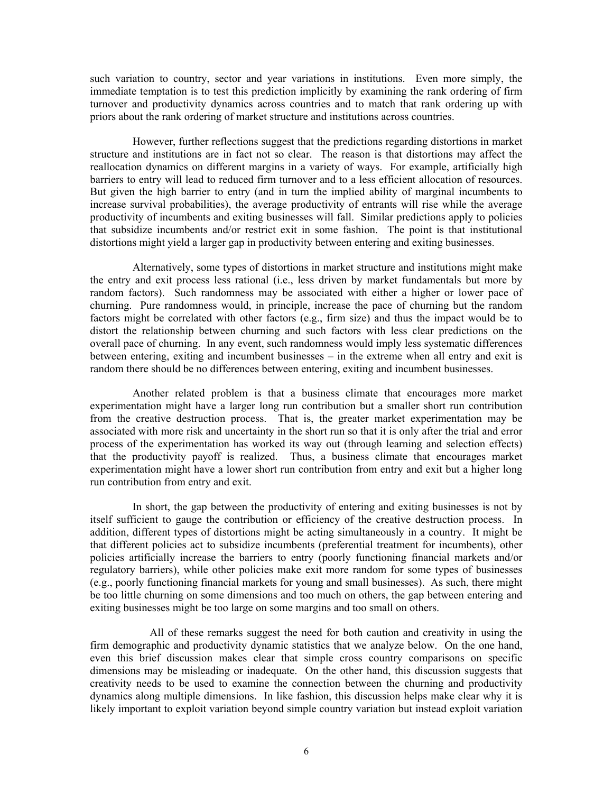such variation to country, sector and year variations in institutions. Even more simply, the immediate temptation is to test this prediction implicitly by examining the rank ordering of firm turnover and productivity dynamics across countries and to match that rank ordering up with priors about the rank ordering of market structure and institutions across countries.

 However, further reflections suggest that the predictions regarding distortions in market structure and institutions are in fact not so clear. The reason is that distortions may affect the reallocation dynamics on different margins in a variety of ways. For example, artificially high barriers to entry will lead to reduced firm turnover and to a less efficient allocation of resources. But given the high barrier to entry (and in turn the implied ability of marginal incumbents to increase survival probabilities), the average productivity of entrants will rise while the average productivity of incumbents and exiting businesses will fall. Similar predictions apply to policies that subsidize incumbents and/or restrict exit in some fashion. The point is that institutional distortions might yield a larger gap in productivity between entering and exiting businesses.

 Alternatively, some types of distortions in market structure and institutions might make the entry and exit process less rational (i.e., less driven by market fundamentals but more by random factors). Such randomness may be associated with either a higher or lower pace of churning. Pure randomness would, in principle, increase the pace of churning but the random factors might be correlated with other factors (e.g., firm size) and thus the impact would be to distort the relationship between churning and such factors with less clear predictions on the overall pace of churning. In any event, such randomness would imply less systematic differences between entering, exiting and incumbent businesses – in the extreme when all entry and exit is random there should be no differences between entering, exiting and incumbent businesses.

 Another related problem is that a business climate that encourages more market experimentation might have a larger long run contribution but a smaller short run contribution from the creative destruction process. That is, the greater market experimentation may be associated with more risk and uncertainty in the short run so that it is only after the trial and error process of the experimentation has worked its way out (through learning and selection effects) that the productivity payoff is realized. Thus, a business climate that encourages market experimentation might have a lower short run contribution from entry and exit but a higher long run contribution from entry and exit.

 In short, the gap between the productivity of entering and exiting businesses is not by itself sufficient to gauge the contribution or efficiency of the creative destruction process. In addition, different types of distortions might be acting simultaneously in a country. It might be that different policies act to subsidize incumbents (preferential treatment for incumbents), other policies artificially increase the barriers to entry (poorly functioning financial markets and/or regulatory barriers), while other policies make exit more random for some types of businesses (e.g., poorly functioning financial markets for young and small businesses). As such, there might be too little churning on some dimensions and too much on others, the gap between entering and exiting businesses might be too large on some margins and too small on others.

 All of these remarks suggest the need for both caution and creativity in using the firm demographic and productivity dynamic statistics that we analyze below. On the one hand, even this brief discussion makes clear that simple cross country comparisons on specific dimensions may be misleading or inadequate. On the other hand, this discussion suggests that creativity needs to be used to examine the connection between the churning and productivity dynamics along multiple dimensions. In like fashion, this discussion helps make clear why it is likely important to exploit variation beyond simple country variation but instead exploit variation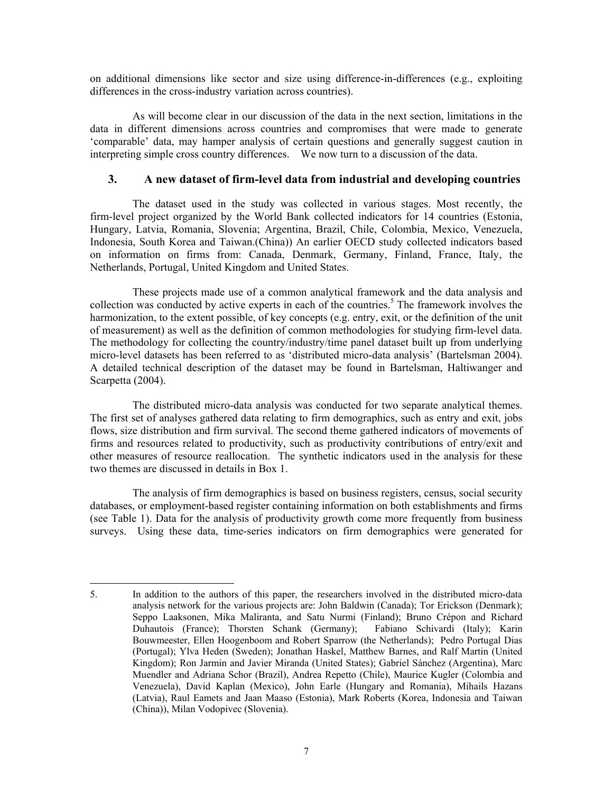on additional dimensions like sector and size using difference-in-differences (e.g., exploiting differences in the cross-industry variation across countries).

 As will become clear in our discussion of the data in the next section, limitations in the data in different dimensions across countries and compromises that were made to generate 'comparable' data, may hamper analysis of certain questions and generally suggest caution in interpreting simple cross country differences. We now turn to a discussion of the data.

# **3. A new dataset of firm-level data from industrial and developing countries**

 The dataset used in the study was collected in various stages. Most recently, the firm-level project organized by the World Bank collected indicators for 14 countries (Estonia, Hungary, Latvia, Romania, Slovenia; Argentina, Brazil, Chile, Colombia, Mexico, Venezuela, Indonesia, South Korea and Taiwan.(China)) An earlier OECD study collected indicators based on information on firms from: Canada, Denmark, Germany, Finland, France, Italy, the Netherlands, Portugal, United Kingdom and United States.

 These projects made use of a common analytical framework and the data analysis and collection was conducted by active experts in each of the countries.<sup>5</sup> The framework involves the harmonization, to the extent possible, of key concepts (e.g. entry, exit, or the definition of the unit of measurement) as well as the definition of common methodologies for studying firm-level data. The methodology for collecting the country/industry/time panel dataset built up from underlying micro-level datasets has been referred to as 'distributed micro-data analysis' (Bartelsman 2004). A detailed technical description of the dataset may be found in Bartelsman, Haltiwanger and Scarpetta (2004).

 The distributed micro-data analysis was conducted for two separate analytical themes. The first set of analyses gathered data relating to firm demographics, such as entry and exit, jobs flows, size distribution and firm survival. The second theme gathered indicators of movements of firms and resources related to productivity, such as productivity contributions of entry/exit and other measures of resource reallocation. The synthetic indicators used in the analysis for these two themes are discussed in details in Box 1.

 The analysis of firm demographics is based on business registers, census, social security databases, or employment-based register containing information on both establishments and firms (see Table 1). Data for the analysis of productivity growth come more frequently from business surveys. Using these data, time-series indicators on firm demographics were generated for

 $\overline{a}$ 5. In addition to the authors of this paper, the researchers involved in the distributed micro-data analysis network for the various projects are: John Baldwin (Canada); Tor Erickson (Denmark); Seppo Laaksonen, Mika Maliranta, and Satu Nurmi (Finland); Bruno Crépon and Richard Duhautois (France); Thorsten Schank (Germany); Fabiano Schivardi (Italy); Karin Bouwmeester, Ellen Hoogenboom and Robert Sparrow (the Netherlands); Pedro Portugal Dias (Portugal); Ylva Heden (Sweden); Jonathan Haskel, Matthew Barnes, and Ralf Martin (United Kingdom); Ron Jarmin and Javier Miranda (United States); Gabriel Sánchez (Argentina), Marc Muendler and Adriana Schor (Brazil), Andrea Repetto (Chile), Maurice Kugler (Colombia and Venezuela), David Kaplan (Mexico), John Earle (Hungary and Romania), Mihails Hazans (Latvia), Raul Eamets and Jaan Maaso (Estonia), Mark Roberts (Korea, Indonesia and Taiwan (China)), Milan Vodopivec (Slovenia).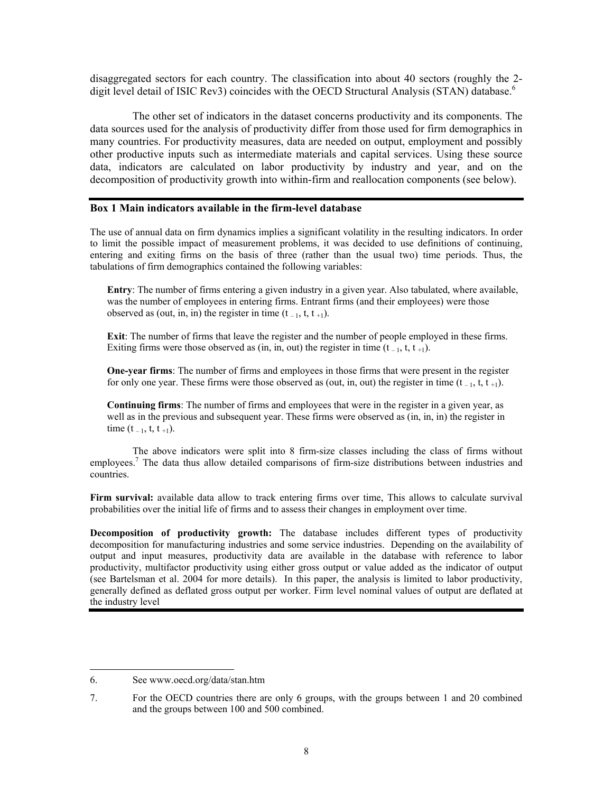disaggregated sectors for each country. The classification into about 40 sectors (roughly the 2 digit level detail of ISIC Rev3) coincides with the OECD Structural Analysis (STAN) database.<sup>6</sup>

 The other set of indicators in the dataset concerns productivity and its components. The data sources used for the analysis of productivity differ from those used for firm demographics in many countries. For productivity measures, data are needed on output, employment and possibly other productive inputs such as intermediate materials and capital services. Using these source data, indicators are calculated on labor productivity by industry and year, and on the decomposition of productivity growth into within-firm and reallocation components (see below).

#### **Box 1 Main indicators available in the firm-level database**

The use of annual data on firm dynamics implies a significant volatility in the resulting indicators. In order to limit the possible impact of measurement problems, it was decided to use definitions of continuing, entering and exiting firms on the basis of three (rather than the usual two) time periods. Thus, the tabulations of firm demographics contained the following variables:

**Entry**: The number of firms entering a given industry in a given year. Also tabulated, where available, was the number of employees in entering firms. Entrant firms (and their employees) were those observed as (out, in, in) the register in time  $(t_{-1}, t, t_{+1})$ .

**Exit**: The number of firms that leave the register and the number of people employed in these firms. Exiting firms were those observed as (in, in, out) the register in time  $(t_{-1}, t, t_{+1})$ .

**One-year firms**: The number of firms and employees in those firms that were present in the register for only one year. These firms were those observed as (out, in, out) the register in time  $(t_{-1}, t, t_{+1})$ .

**Continuing firms**: The number of firms and employees that were in the register in a given year, as well as in the previous and subsequent year. These firms were observed as (in, in, in) the register in time  $(t_{-1}, t, t_{+1})$ .

 The above indicators were split into 8 firm-size classes including the class of firms without employees.<sup>7</sup> The data thus allow detailed comparisons of firm-size distributions between industries and countries.

**Firm survival:** available data allow to track entering firms over time, This allows to calculate survival probabilities over the initial life of firms and to assess their changes in employment over time.

**Decomposition of productivity growth:** The database includes different types of productivity decomposition for manufacturing industries and some service industries. Depending on the availability of output and input measures, productivity data are available in the database with reference to labor productivity, multifactor productivity using either gross output or value added as the indicator of output (see Bartelsman et al. 2004 for more details). In this paper, the analysis is limited to labor productivity, generally defined as deflated gross output per worker. Firm level nominal values of output are deflated at the industry level

l

<sup>6.</sup> See www.oecd.org/data/stan.htm

<sup>7.</sup> For the OECD countries there are only 6 groups, with the groups between 1 and 20 combined and the groups between 100 and 500 combined.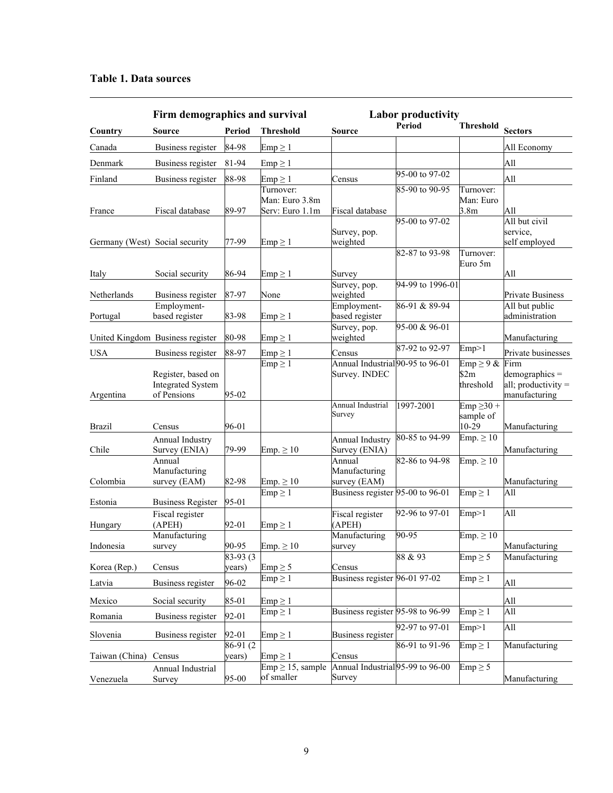# **Table 1. Data sources**

|                                | Firm demographics and survival                                |                      |                                      | <b>Labor productivity</b>                         |                  |                                       |                                                                   |
|--------------------------------|---------------------------------------------------------------|----------------------|--------------------------------------|---------------------------------------------------|------------------|---------------------------------------|-------------------------------------------------------------------|
| Country                        | Source                                                        | Period               | <b>Threshold</b>                     | Source                                            | Period           | <b>Threshold</b>                      | <b>Sectors</b>                                                    |
| Canada                         | Business register                                             | 84-98                | $Emp \geq 1$                         |                                                   |                  |                                       | All Economy                                                       |
| Denmark                        | Business register                                             | 81-94                | $Emp \geq 1$                         |                                                   |                  |                                       | All                                                               |
| Finland                        | Business register                                             | 88-98                | $Emp \geq 1$                         | Census                                            | 95-00 to 97-02   |                                       | All                                                               |
|                                |                                                               |                      | Turnover:<br>Man: Euro 3.8m          |                                                   | 85-90 to 90-95   | Turnover:<br>Man: Euro                |                                                                   |
| France                         | Fiscal database                                               | 89-97                | Serv: Euro 1.1m                      | Fiscal database                                   | 95-00 to 97-02   | 3.8 <sub>m</sub>                      | All<br>All but civil                                              |
| Germany (West) Social security |                                                               | 77-99                | $Emp \geq 1$                         | Survey, pop.<br>weighted                          |                  |                                       | service,<br>self employed                                         |
| Italy                          | Social security                                               | 86-94                | $Emp \geq 1$                         | Survey                                            | 82-87 to 93-98   | Turnover:<br>Euro 5m                  | All                                                               |
| Netherlands                    | Business register                                             | 87-97                | None                                 | Survey, pop.<br>weighted                          | 94-99 to 1996-01 |                                       | Private Business                                                  |
| Portugal                       | Employment-<br>based register                                 | 83-98                | $Emp \geq 1$                         | Employment-<br>based register                     | 86-91 & 89-94    |                                       | All but public<br>administration                                  |
|                                | United Kingdom Business register                              | 80-98                | $Emp \geq 1$                         | Survey, pop.<br>weighted                          | 95-00 & 96-01    |                                       | Manufacturing                                                     |
| <b>USA</b>                     | Business register                                             | 88-97                | $Emp \geq 1$                         | Census                                            | 87-92 to 92-97   | Emp>1                                 | Private businesses                                                |
| Argentina                      | Register, based on<br><b>Integrated System</b><br>of Pensions | 95-02                | $Emp \geq 1$                         | Annual Industrial 90-95 to 96-01<br>Survey. INDEC |                  | $Emp \geq 9 &$<br>\$2m<br>threshold   | Firm<br>$d$ emographics =<br>all; productivity =<br>manufacturing |
| Brazil                         | Census                                                        | 96-01                |                                      | Annual Industrial<br>Survey                       | 1997-2001        | $Emp \geq 30 +$<br>sample of<br>10-29 | Manufacturing                                                     |
| Chile                          | Annual Industry<br>Survey (ENIA)                              | 79-99                |                                      | Annual Industry<br>Survey (ENIA)                  | 80-85 to 94-99   | Emp. $\geq 10$                        | Manufacturing                                                     |
| Colombia                       | Annual<br>Manufacturing<br>survey (EAM)                       | 82-98                | $Emp. \geq 10$<br>Emp. $\geq 10$     | Annual<br>Manufacturing<br>survey (EAM)           | 82-86 to 94-98   | $Emp. \geq 10$                        | Manufacturing                                                     |
| Estonia                        | <b>Business Register</b>                                      | 95-01                | $Emp \geq 1$                         | Business register 95-00 to 96-01                  |                  | $Emp \geq 1$                          | All                                                               |
| Hungary                        | Fiscal register<br>(APEH)                                     | 92-01                | $Emp \geq 1$                         | Fiscal register<br>(APEH)                         | 92-96 to 97-01   | Emp>1                                 | $\overline{All}$                                                  |
| Indonesia                      | Manufacturing                                                 | 90-95                |                                      | Manufacturing                                     | $90 - 95$        | $Emp. \geq 10$                        | Manufacturing                                                     |
| Korea (Rep.)                   | survey<br>Census                                              | $83-93(3)$<br>years) | Emp. $\geq 10$<br>$Emp \geq 5$       | survey<br>Census                                  | 88 & 93          | $Emp \geq 5$                          | Manufacturing                                                     |
| Latvia                         | Business register                                             | 96-02                | $Emp \geq 1$                         | Business register 96-01 97-02                     |                  | $Emp \geq 1$                          | All                                                               |
| Mexico                         | Social security                                               | 85-01                | $Emp \geq 1$                         |                                                   |                  |                                       | All                                                               |
| Romania                        | Business register                                             | 92-01                | $Emp \geq 1$                         | Business register 95-98 to 96-99                  |                  | $Emp \geq 1$                          | All                                                               |
| Slovenia                       | Business register                                             | 92-01                | $Emp \geq 1$                         | Business register                                 | 92-97 to 97-01   | Emp>1                                 | All                                                               |
| Taiwan (China)                 | Census                                                        | 86-91 (2<br>years)   | $Emp \geq 1$                         | Census                                            | 86-91 to 91-96   | $Emp \geq 1$                          | Manufacturing                                                     |
| Venezuela                      | Annual Industrial<br>Survey                                   | 95-00                | $Emp \geq 15$ , sample<br>of smaller | Annual Industrial 95-99 to 96-00<br>Survey        |                  | $Emp \geq 5$                          | Manufacturing                                                     |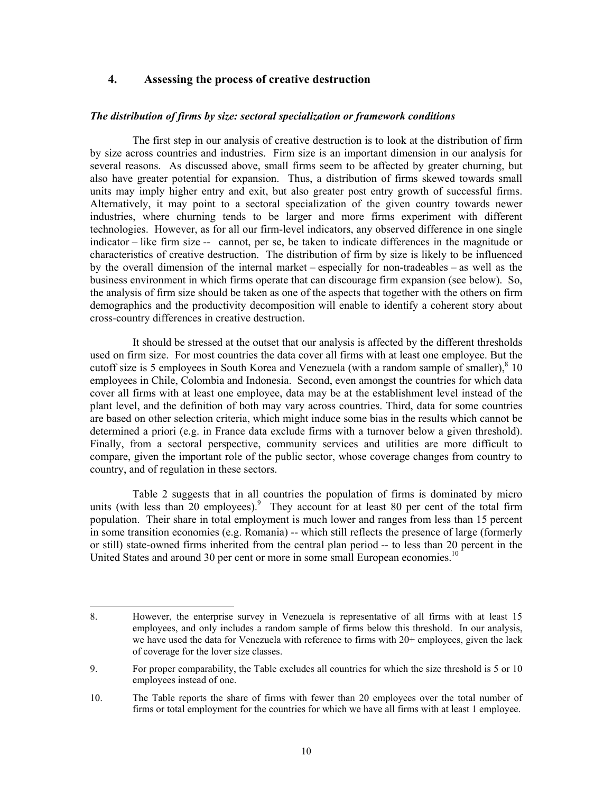# **4. Assessing the process of creative destruction**

#### *The distribution of firms by size: sectoral specialization or framework conditions*

 The first step in our analysis of creative destruction is to look at the distribution of firm by size across countries and industries. Firm size is an important dimension in our analysis for several reasons. As discussed above, small firms seem to be affected by greater churning, but also have greater potential for expansion. Thus, a distribution of firms skewed towards small units may imply higher entry and exit, but also greater post entry growth of successful firms. Alternatively, it may point to a sectoral specialization of the given country towards newer industries, where churning tends to be larger and more firms experiment with different technologies. However, as for all our firm-level indicators, any observed difference in one single indicator – like firm size -- cannot, per se, be taken to indicate differences in the magnitude or characteristics of creative destruction. The distribution of firm by size is likely to be influenced by the overall dimension of the internal market – especially for non-tradeables – as well as the business environment in which firms operate that can discourage firm expansion (see below). So, the analysis of firm size should be taken as one of the aspects that together with the others on firm demographics and the productivity decomposition will enable to identify a coherent story about cross-country differences in creative destruction.

 It should be stressed at the outset that our analysis is affected by the different thresholds used on firm size. For most countries the data cover all firms with at least one employee. But the cutoff size is 5 employees in South Korea and Venezuela (with a random sample of smaller), $8$  10 employees in Chile, Colombia and Indonesia. Second, even amongst the countries for which data cover all firms with at least one employee, data may be at the establishment level instead of the plant level, and the definition of both may vary across countries. Third, data for some countries are based on other selection criteria, which might induce some bias in the results which cannot be determined a priori (e.g. in France data exclude firms with a turnover below a given threshold). Finally, from a sectoral perspective, community services and utilities are more difficult to compare, given the important role of the public sector, whose coverage changes from country to country, and of regulation in these sectors.

 Table 2 suggests that in all countries the population of firms is dominated by micro units (with less than 20 employees).<sup>9</sup> They account for at least 80 per cent of the total firm population. Their share in total employment is much lower and ranges from less than 15 percent in some transition economies (e.g. Romania) -- which still reflects the presence of large (formerly or still) state-owned firms inherited from the central plan period -- to less than 20 percent in the United States and around 30 per cent or more in some small European economies.<sup>10</sup>

 $\overline{a}$ 

<sup>8.</sup> However, the enterprise survey in Venezuela is representative of all firms with at least 15 employees, and only includes a random sample of firms below this threshold. In our analysis, we have used the data for Venezuela with reference to firms with 20+ employees, given the lack of coverage for the lover size classes.

<sup>9.</sup> For proper comparability, the Table excludes all countries for which the size threshold is 5 or 10 employees instead of one.

<sup>10.</sup> The Table reports the share of firms with fewer than 20 employees over the total number of firms or total employment for the countries for which we have all firms with at least 1 employee.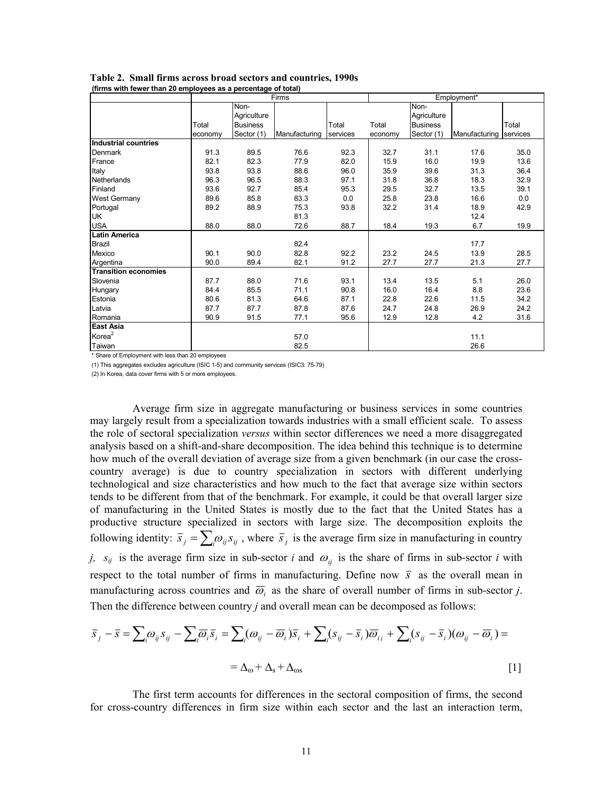|                             |         | ∽ r             | Firms         |          |         |                 | Employment*            |       |
|-----------------------------|---------|-----------------|---------------|----------|---------|-----------------|------------------------|-------|
|                             |         | Non-            |               |          |         | Non-            |                        |       |
|                             |         | Agriculture     |               |          |         | Agriculture     |                        |       |
|                             | Total   | <b>Business</b> |               | Total    | Total   | <b>Business</b> |                        | Total |
|                             | economy | Sector (1)      | Manufacturing | services | economy | Sector (1)      | Manufacturing services |       |
| <b>Industrial countries</b> |         |                 |               |          |         |                 |                        |       |
| Denmark                     | 91.3    | 89.5            | 76.6          | 92.3     | 32.7    | 31.1            | 17.6                   | 35.0  |
| France                      | 82.1    | 82.3            | 77.9          | 82.0     | 15.9    | 16.0            | 19.9                   | 13.6  |
| Italy                       | 93.8    | 93.8            | 88.6          | 96.0     | 35.9    | 39.6            | 31.3                   | 36.4  |
| Netherlands                 | 96.3    | 96.5            | 88.3          | 97.1     | 31.8    | 36.8            | 18.3                   | 32.9  |
| Finland                     | 93.6    | 92.7            | 85.4          | 95.3     | 29.5    | 32.7            | 13.5                   | 39.1  |
| <b>West Germany</b>         | 89.6    | 85.8            | 83.3          | 0.0      | 25.8    | 23.8            | 16.6                   | 0.0   |
| Portugal                    | 89.2    | 88.9            | 75.3          | 93.8     | 32.2    | 31.4            | 18.9                   | 42.9  |
| UK                          |         |                 | 81.3          |          |         |                 | 12.4                   |       |
| <b>USA</b>                  | 88.0    | 88.0            | 72.6          | 88.7     | 18.4    | 19.3            | 6.7                    | 19.9  |
| <b>Latin America</b>        |         |                 |               |          |         |                 |                        |       |
| Brazil                      |         |                 | 82.4          |          |         |                 | 17.7                   |       |
| Mexico                      | 90.1    | 90.0            | 82.8          | 92.2     | 23.2    | 24.5            | 13.9                   | 28.5  |
| Argentina                   | 90.0    | 89.4            | 82.1          | 91.2     | 27.7    | 27.7            | 21.3                   | 27.7  |
| <b>Transition economies</b> |         |                 |               |          |         |                 |                        |       |
| Slovenia                    | 87.7    | 88.0            | 71.6          | 93.1     | 13.4    | 13.5            | 5.1                    | 26.0  |
| Hungary                     | 84.4    | 85.5            | 71.1          | 90.8     | 16.0    | 16.4            | 8.8                    | 23.6  |
| Estonia                     | 80.6    | 81.3            | 64.6          | 87.1     | 22.8    | 22.6            | 11.5                   | 34.2  |
| Latvia                      | 87.7    | 87.7            | 87.8          | 87.6     | 24.7    | 24.8            | 26.9                   | 24.2  |
| Romania                     | 90.9    | 91.5            | 77.1          | 95.6     | 12.9    | 12.8            | 4.2                    | 31.6  |
| <b>East Asia</b>            |         |                 |               |          |         |                 |                        |       |
| Korea <sup>2</sup>          |         |                 | 57.0          |          |         |                 | 11.1                   |       |
| Taiwan                      |         |                 | 82.5          |          |         |                 | 26.6                   |       |

**Table 2. Small firms across broad sectors and countries, 1990s (firms with fewer than 20 employees as a percentage of total)** 

\* Share of Employment with less than 20 employees

(1) This aggregates excludes agriculture (ISIC 1-5) and community services (ISIC3: 75-79)

(2) In Korea, data cover firms with 5 or more employees.

 Average firm size in aggregate manufacturing or business services in some countries may largely result from a specialization towards industries with a small efficient scale. To assess the role of sectoral specialization *versus* within sector differences we need a more disaggregated analysis based on a shift-and-share decomposition. The idea behind this technique is to determine how much of the overall deviation of average size from a given benchmark (in our case the crosscountry average) is due to country specialization in sectors with different underlying technological and size characteristics and how much to the fact that average size within sectors tends to be different from that of the benchmark. For example, it could be that overall larger size of manufacturing in the United States is mostly due to the fact that the United States has a productive structure specialized in sectors with large size. The decomposition exploits the following identity:  $\bar{s}_j = \sum_i \omega_{ij} s_{ij}$ , where  $\bar{s}_j$  is the average firm size in manufacturing in country *j,*  $s_{ij}$  is the average firm size in sub-sector *i* and  $\omega_{ij}$  is the share of firms in sub-sector *i* with respect to the total number of firms in manufacturing. Define now  $\bar{s}$  as the overall mean in manufacturing across countries and  $\overline{\omega}_i$  as the share of overall number of firms in sub-sector *j*. Then the difference between country *j* and overall mean can be decomposed as follows:

$$
\overline{s}_j - \overline{s} = \sum_i \omega_{ij} s_{ij} - \sum_i \overline{\omega}_i \overline{s}_i = \sum_i (\omega_{ij} - \overline{\omega}_i) \overline{s}_i + \sum_i (s_{ij} - \overline{s}_i) \overline{\omega}_{ii} + \sum_i (s_{ij} - \overline{s}_i) (\omega_{ij} - \overline{\omega}_i) =
$$
  
=  $\Delta_{\omega} + \Delta_{\text{s}} + \Delta_{\omega \text{s}}$  [1]

 The first term accounts for differences in the sectoral composition of firms, the second for cross-country differences in firm size within each sector and the last an interaction term,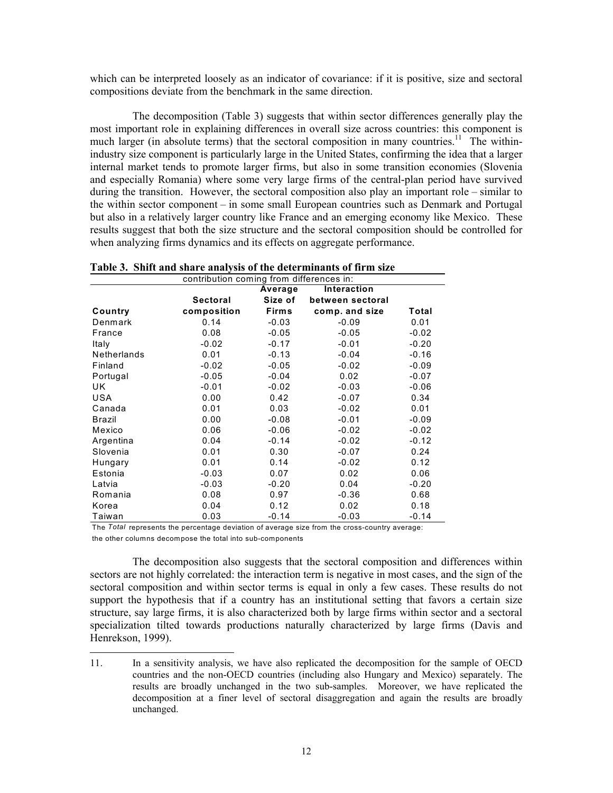which can be interpreted loosely as an indicator of covariance: if it is positive, size and sectoral compositions deviate from the benchmark in the same direction.

 The decomposition (Table 3) suggests that within sector differences generally play the most important role in explaining differences in overall size across countries: this component is much larger (in absolute terms) that the sectoral composition in many countries.<sup>11</sup> The withinindustry size component is particularly large in the United States, confirming the idea that a larger internal market tends to promote larger firms, but also in some transition economies (Slovenia and especially Romania) where some very large firms of the central-plan period have survived during the transition. However, the sectoral composition also play an important role – similar to the within sector component – in some small European countries such as Denmark and Portugal but also in a relatively larger country like France and an emerging economy like Mexico. These results suggest that both the size structure and the sectoral composition should be controlled for when analyzing firms dynamics and its effects on aggregate performance.

|  |  |  |  |  | Table 3. Shift and share analysis of the determinants of firm size |  |  |
|--|--|--|--|--|--------------------------------------------------------------------|--|--|
|--|--|--|--|--|--------------------------------------------------------------------|--|--|

|                    | contribution coming from differences in: |              |                  |         |
|--------------------|------------------------------------------|--------------|------------------|---------|
|                    |                                          | Average      | Interaction      |         |
|                    | Sectoral                                 | Size of      | between sectoral |         |
| Country            | composition                              | <b>Firms</b> | comp. and size   | Total   |
| Denmark            | 0.14                                     | $-0.03$      | $-0.09$          | 0.01    |
| France             | 0.08                                     | $-0.05$      | $-0.05$          | $-0.02$ |
| Italy              | $-0.02$                                  | $-0.17$      | $-0.01$          | $-0.20$ |
| <b>Netherlands</b> | 0.01                                     | $-0.13$      | $-0.04$          | $-0.16$ |
| Finland            | $-0.02$                                  | $-0.05$      | $-0.02$          | $-0.09$ |
| Portugal           | $-0.05$                                  | $-0.04$      | 0.02             | $-0.07$ |
| UK.                | $-0.01$                                  | $-0.02$      | $-0.03$          | $-0.06$ |
| USA                | 0.00                                     | 0.42         | $-0.07$          | 0.34    |
| Canada             | 0.01                                     | 0.03         | $-0.02$          | 0.01    |
| Brazil             | 0.00                                     | $-0.08$      | $-0.01$          | $-0.09$ |
| Mexico             | 0.06                                     | $-0.06$      | $-0.02$          | $-0.02$ |
| Argentina          | 0.04                                     | $-0.14$      | $-0.02$          | $-0.12$ |
| Slovenia           | 0.01                                     | 0.30         | $-0.07$          | 0.24    |
| Hungary            | 0.01                                     | 0.14         | $-0.02$          | 0.12    |
| Estonia            | $-0.03$                                  | 0.07         | 0.02             | 0.06    |
| Latvia             | $-0.03$                                  | $-0.20$      | 0.04             | $-0.20$ |
| Romania            | 0.08                                     | 0.97         | $-0.36$          | 0.68    |
| Korea              | 0.04                                     | 0.12         | 0.02             | 0.18    |
| Taiwan             | 0.03                                     | $-0.14$      | $-0.03$          | $-0.14$ |

The *Total* represents the percentage deviation of average size from the cross-country average:

the other columns decompose the total into sub-components

 $\overline{a}$ 

 The decomposition also suggests that the sectoral composition and differences within sectors are not highly correlated: the interaction term is negative in most cases, and the sign of the sectoral composition and within sector terms is equal in only a few cases. These results do not support the hypothesis that if a country has an institutional setting that favors a certain size structure, say large firms, it is also characterized both by large firms within sector and a sectoral specialization tilted towards productions naturally characterized by large firms (Davis and Henrekson, 1999).

<sup>11.</sup> In a sensitivity analysis, we have also replicated the decomposition for the sample of OECD countries and the non-OECD countries (including also Hungary and Mexico) separately. The results are broadly unchanged in the two sub-samples. Moreover, we have replicated the decomposition at a finer level of sectoral disaggregation and again the results are broadly unchanged.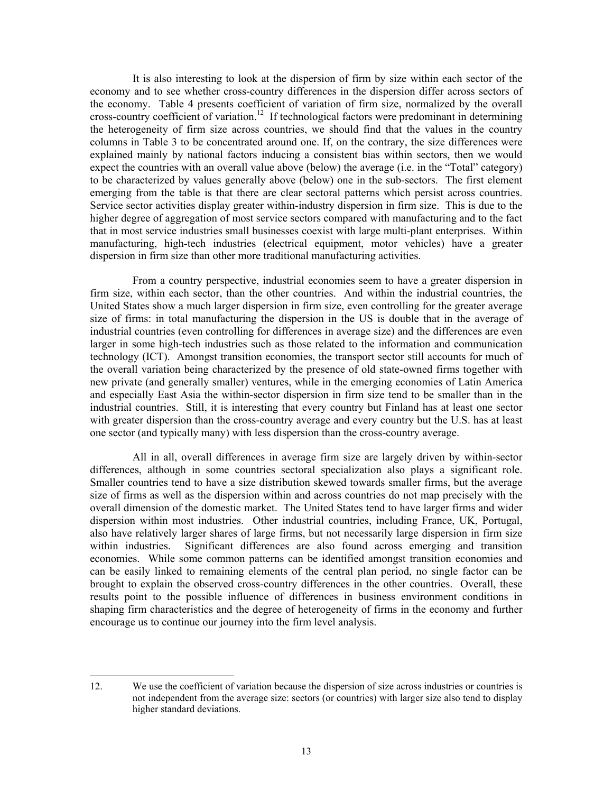It is also interesting to look at the dispersion of firm by size within each sector of the economy and to see whether cross-country differences in the dispersion differ across sectors of the economy. Table 4 presents coefficient of variation of firm size, normalized by the overall cross-country coefficient of variation.<sup>12</sup> If technological factors were predominant in determining the heterogeneity of firm size across countries, we should find that the values in the country columns in Table 3 to be concentrated around one. If, on the contrary, the size differences were explained mainly by national factors inducing a consistent bias within sectors, then we would expect the countries with an overall value above (below) the average (i.e. in the "Total" category) to be characterized by values generally above (below) one in the sub-sectors. The first element emerging from the table is that there are clear sectoral patterns which persist across countries. Service sector activities display greater within-industry dispersion in firm size. This is due to the higher degree of aggregation of most service sectors compared with manufacturing and to the fact that in most service industries small businesses coexist with large multi-plant enterprises. Within manufacturing, high-tech industries (electrical equipment, motor vehicles) have a greater dispersion in firm size than other more traditional manufacturing activities.

 From a country perspective, industrial economies seem to have a greater dispersion in firm size, within each sector, than the other countries. And within the industrial countries, the United States show a much larger dispersion in firm size, even controlling for the greater average size of firms: in total manufacturing the dispersion in the US is double that in the average of industrial countries (even controlling for differences in average size) and the differences are even larger in some high-tech industries such as those related to the information and communication technology (ICT). Amongst transition economies, the transport sector still accounts for much of the overall variation being characterized by the presence of old state-owned firms together with new private (and generally smaller) ventures, while in the emerging economies of Latin America and especially East Asia the within-sector dispersion in firm size tend to be smaller than in the industrial countries. Still, it is interesting that every country but Finland has at least one sector with greater dispersion than the cross-country average and every country but the U.S. has at least one sector (and typically many) with less dispersion than the cross-country average.

 All in all, overall differences in average firm size are largely driven by within-sector differences, although in some countries sectoral specialization also plays a significant role. Smaller countries tend to have a size distribution skewed towards smaller firms, but the average size of firms as well as the dispersion within and across countries do not map precisely with the overall dimension of the domestic market. The United States tend to have larger firms and wider dispersion within most industries. Other industrial countries, including France, UK, Portugal, also have relatively larger shares of large firms, but not necessarily large dispersion in firm size within industries. Significant differences are also found across emerging and transition economies. While some common patterns can be identified amongst transition economies and can be easily linked to remaining elements of the central plan period, no single factor can be brought to explain the observed cross-country differences in the other countries. Overall, these results point to the possible influence of differences in business environment conditions in shaping firm characteristics and the degree of heterogeneity of firms in the economy and further encourage us to continue our journey into the firm level analysis.

l

<sup>12.</sup> We use the coefficient of variation because the dispersion of size across industries or countries is not independent from the average size: sectors (or countries) with larger size also tend to display higher standard deviations.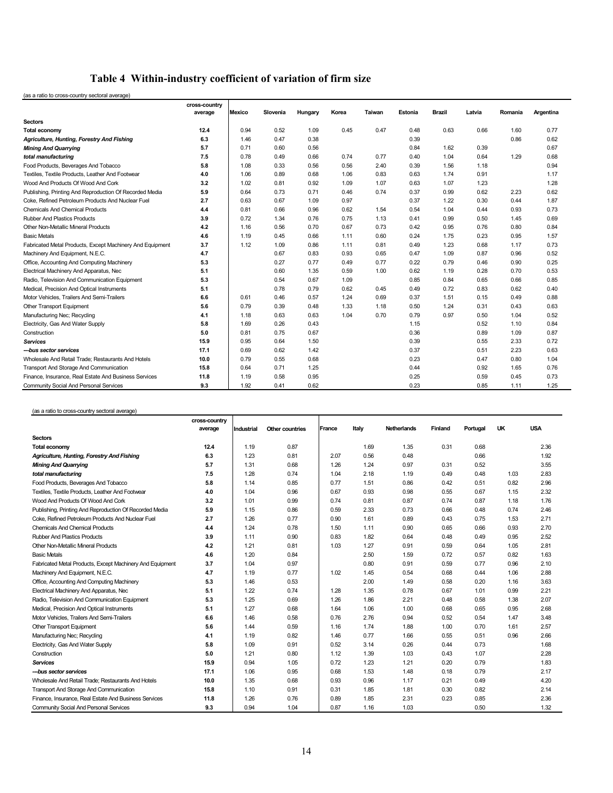# **Table 4 Within-industry coefficient of variation of firm size**

(as a ratio to cross-country sectoral average)

|                                                           | cross-country |               |          |         |       |        |         |        |        |         |           |
|-----------------------------------------------------------|---------------|---------------|----------|---------|-------|--------|---------|--------|--------|---------|-----------|
|                                                           | average       | <b>Mexico</b> | Slovenia | Hungary | Korea | Taiwan | Estonia | Brazil | Latvia | Romania | Argentina |
| <b>Sectors</b>                                            |               |               |          |         |       |        |         |        |        |         |           |
| <b>Total economy</b>                                      | 12.4          | 0.94          | 0.52     | 1.09    | 0.45  | 0.47   | 0.48    | 0.63   | 0.66   | 1.60    | 0.77      |
| <b>Agriculture, Hunting, Forestry And Fishing</b>         | 6.3           | 1.46          | 0.47     | 0.38    |       |        | 0.39    |        |        | 0.86    | 0.62      |
| <b>Mining And Quarrying</b>                               | 5.7           | 0.71          | 0.60     | 0.56    |       |        | 0.84    | 1.62   | 0.39   |         | 0.67      |
| total manufacturing                                       | 7.5           | 0.78          | 0.49     | 0.66    | 0.74  | 0.77   | 0.40    | 1.04   | 0.64   | 1.29    | 0.68      |
| Food Products, Beverages And Tobacco                      | 5.8           | 1.08          | 0.33     | 0.56    | 0.56  | 2.40   | 0.39    | 1.56   | 1.18   |         | 0.94      |
| Textiles. Textile Products. Leather And Footwear          | 4.0           | 1.06          | 0.89     | 0.68    | 1.06  | 0.83   | 0.63    | 1.74   | 0.91   |         | 1.17      |
| Wood And Products Of Wood And Cork                        | 3.2           | 1.02          | 0.81     | 0.92    | 1.09  | 1.07   | 0.63    | 1.07   | 1.23   |         | 1.28      |
| Publishing, Printing And Reproduction Of Recorded Media   | 5.9           | 0.64          | 0.73     | 0.71    | 0.46  | 0.74   | 0.37    | 0.99   | 0.62   | 2.23    | 0.62      |
| Coke, Refined Petroleum Products And Nuclear Fuel         | 2.7           | 0.63          | 0.67     | 1.09    | 0.97  |        | 0.37    | 1.22   | 0.30   | 0.44    | 1.87      |
| <b>Chemicals And Chemical Products</b>                    | 4.4           | 0.81          | 0.66     | 0.96    | 0.62  | 1.54   | 0.54    | 1.04   | 0.44   | 0.93    | 0.73      |
| <b>Rubber And Plastics Products</b>                       | 3.9           | 0.72          | 1.34     | 0.76    | 0.75  | 1.13   | 0.41    | 0.99   | 0.50   | 1.45    | 0.69      |
| Other Non-Metallic Mineral Products                       | 4.2           | 1.16          | 0.56     | 0.70    | 0.67  | 0.73   | 0.42    | 0.95   | 0.76   | 0.80    | 0.84      |
| <b>Basic Metals</b>                                       | 4.6           | 1.19          | 0.45     | 0.66    | 1.11  | 0.60   | 0.24    | 1.75   | 0.23   | 0.95    | 1.57      |
| Fabricated Metal Products, Except Machinery And Equipment | 3.7           | 1.12          | 1.09     | 0.86    | 1.11  | 0.81   | 0.49    | 1.23   | 0.68   | 1.17    | 0.73      |
| Machinery And Equipment, N.E.C.                           | 4.7           |               | 0.67     | 0.83    | 0.93  | 0.65   | 0.47    | 1.09   | 0.87   | 0.96    | 0.52      |
| Office, Accounting And Computing Machinery                | 5.3           |               | 0.27     | 0.77    | 0.49  | 0.77   | 0.22    | 0.79   | 0.46   | 0.90    | 0.25      |
| Electrical Machinery And Apparatus, Nec                   | 5.1           |               | 0.60     | 1.35    | 0.59  | 1.00   | 0.62    | 1.19   | 0.28   | 0.70    | 0.53      |
| Radio, Television And Communication Equipment             | 5.3           |               | 0.54     | 0.67    | 1.09  |        | 0.85    | 0.84   | 0.65   | 0.66    | 0.85      |
| Medical, Precision And Optical Instruments                | 5.1           |               | 0.78     | 0.79    | 0.62  | 0.45   | 0.49    | 0.72   | 0.83   | 0.62    | 0.40      |
| Motor Vehicles, Trailers And Semi-Trailers                | 6.6           | 0.61          | 0.46     | 0.57    | 1.24  | 0.69   | 0.37    | 1.51   | 0.15   | 0.49    | 0.88      |
| Other Transport Equipment                                 | 5.6           | 0.79          | 0.39     | 0.48    | 1.33  | 1.18   | 0.50    | 1.24   | 0.31   | 0.43    | 0.63      |
| Manufacturing Nec; Recycling                              | 4.1           | 1.18          | 0.63     | 0.63    | 1.04  | 0.70   | 0.79    | 0.97   | 0.50   | 1.04    | 0.52      |
| Electricity, Gas And Water Supply                         | 5.8           | 1.69          | 0.26     | 0.43    |       |        | 1.15    |        | 0.52   | 1.10    | 0.84      |
| Construction                                              | 5.0           | 0.81          | 0.75     | 0.67    |       |        | 0.36    |        | 0.89   | 1.09    | 0.87      |
| <b>Services</b>                                           | 15.9          | 0.95          | 0.64     | 1.50    |       |        | 0.39    |        | 0.55   | 2.33    | 0.72      |
| ---bus sector services                                    | 17.1          | 0.69          | 0.62     | 1.42    |       |        | 0.37    |        | 0.51   | 2.23    | 0.63      |
| Wholesale And Retail Trade; Restaurants And Hotels        | 10.0          | 0.79          | 0.55     | 0.68    |       |        | 0.23    |        | 0.47   | 0.80    | 1.04      |
| Transport And Storage And Communication                   | 15.8          | 0.64          | 0.71     | 1.25    |       |        | 0.44    |        | 0.92   | 1.65    | 0.76      |
| Finance, Insurance, Real Estate And Business Services     | 11.8          | 1.19          | 0.58     | 0.95    |       |        | 0.25    |        | 0.59   | 0.45    | 0.73      |
| Community Social And Personal Services                    | 9.3           | 1.92          | 0.41     | 0.62    |       |        | 0.23    |        | 0.85   | 1.11    | 1.25      |

#### (as a ratio to cross-country sectoral average)

|                                                           | cross-country |            |                 |        |       |                    |                |          |           |            |
|-----------------------------------------------------------|---------------|------------|-----------------|--------|-------|--------------------|----------------|----------|-----------|------------|
|                                                           | average       | Industrial | Other countries | France | Italy | <b>Netherlands</b> | <b>Finland</b> | Portugal | <b>UK</b> | <b>USA</b> |
| <b>Sectors</b>                                            |               |            |                 |        |       |                    |                |          |           |            |
| <b>Total economy</b>                                      | 12.4          | 1.19       | 0.87            |        | 1.69  | 1.35               | 0.31           | 0.68     |           | 2.36       |
| Agriculture, Hunting, Forestry And Fishing                | 6.3           | 1.23       | 0.81            | 2.07   | 0.56  | 0.48               |                | 0.66     |           | 1.92       |
| <b>Mining And Quarrying</b>                               | 5.7           | 1.31       | 0.68            | 1.26   | 1.24  | 0.97               | 0.31           | 0.52     |           | 3.55       |
| total manufacturing                                       | 7.5           | 1.28       | 0.74            | 1.04   | 2.18  | 1.19               | 0.49           | 0.48     | 1.03      | 2.83       |
| Food Products, Beverages And Tobacco                      | 5.8           | 1.14       | 0.85            | 0.77   | 1.51  | 0.86               | 0.42           | 0.51     | 0.82      | 2.96       |
| Textiles, Textile Products, Leather And Footwear          | 4.0           | 1.04       | 0.96            | 0.67   | 0.93  | 0.98               | 0.55           | 0.67     | 1.15      | 2.32       |
| Wood And Products Of Wood And Cork                        | 3.2           | 1.01       | 0.99            | 0.74   | 0.81  | 0.87               | 0.74           | 0.87     | 1.18      | 1.76       |
| Publishing, Printing And Reproduction Of Recorded Media   | 5.9           | 1.15       | 0.86            | 0.59   | 2.33  | 0.73               | 0.66           | 0.48     | 0.74      | 2.46       |
| Coke, Refined Petroleum Products And Nuclear Fuel         | 2.7           | 1.26       | 0.77            | 0.90   | 1.61  | 0.89               | 0.43           | 0.75     | 1.53      | 2.71       |
| <b>Chemicals And Chemical Products</b>                    | 4.4           | 1.24       | 0.78            | 1.50   | 1.11  | 0.90               | 0.65           | 0.66     | 0.93      | 2.70       |
| <b>Rubber And Plastics Products</b>                       | 3.9           | 1.11       | 0.90            | 0.83   | 1.82  | 0.64               | 0.48           | 0.49     | 0.95      | 2.52       |
| Other Non-Metallic Mineral Products                       | 4.2           | 1.21       | 0.81            | 1.03   | 1.27  | 0.91               | 0.59           | 0.64     | 1.05      | 2.81       |
| <b>Basic Metals</b>                                       | 4.6           | 1.20       | 0.84            |        | 2.50  | 1.59               | 0.72           | 0.57     | 0.82      | 1.63       |
| Fabricated Metal Products, Except Machinery And Equipment | 3.7           | 1.04       | 0.97            |        | 0.80  | 0.91               | 0.59           | 0.77     | 0.96      | 2.10       |
| Machinery And Equipment, N.E.C.                           | 4.7           | 1.19       | 0.77            | 1.02   | 1.45  | 0.54               | 0.68           | 0.44     | 1.06      | 2.88       |
| Office, Accounting And Computing Machinery                | 5.3           | 1.46       | 0.53            |        | 2.00  | 1.49               | 0.58           | 0.20     | 1.16      | 3.63       |
| Electrical Machinery And Apparatus, Nec                   | 5.1           | 1.22       | 0.74            | 1.28   | 1.35  | 0.78               | 0.67           | 1.01     | 0.99      | 2.21       |
| Radio, Television And Communication Equipment             | 5.3           | 1.25       | 0.69            | 1.26   | 1.86  | 2.21               | 0.48           | 0.58     | 1.38      | 2.07       |
| Medical, Precision And Optical Instruments                | 5.1           | 1.27       | 0.68            | 1.64   | 1.06  | 1.00               | 0.68           | 0.65     | 0.95      | 2.68       |
| Motor Vehicles, Trailers And Semi-Trailers                | 6.6           | 1.46       | 0.58            | 0.76   | 2.76  | 0.94               | 0.52           | 0.54     | 1.47      | 3.48       |
| Other Transport Equipment                                 | 5.6           | 1.44       | 0.59            | 1.16   | 1.74  | 1.88               | 1.00           | 0.70     | 1.61      | 2.57       |
| Manufacturing Nec; Recycling                              | 4.1           | 1.19       | 0.82            | 1.46   | 0.77  | 1.66               | 0.55           | 0.51     | 0.96      | 2.66       |
| Electricity, Gas And Water Supply                         | 5.8           | 1.09       | 0.91            | 0.52   | 3.14  | 0.26               | 0.44           | 0.73     |           | 1.68       |
| Construction                                              | 5.0           | 1.21       | 0.80            | 1.12   | 1.39  | 1.03               | 0.43           | 1.07     |           | 2.28       |
| <b>Services</b>                                           | 15.9          | 0.94       | 1.05            | 0.72   | 1.23  | 1.21               | 0.20           | 0.79     |           | 1.83       |
| --bus sector services                                     | 17.1          | 1.06       | 0.95            | 0.68   | 1.53  | 1.48               | 0.18           | 0.79     |           | 2.17       |
| Wholesale And Retail Trade; Restaurants And Hotels        | 10.0          | 1.35       | 0.68            | 0.93   | 0.96  | 1.17               | 0.21           | 0.49     |           | 4.20       |
| Transport And Storage And Communication                   | 15.8          | 1.10       | 0.91            | 0.31   | 1.85  | 1.81               | 0.30           | 0.82     |           | 2.14       |
| Finance, Insurance, Real Estate And Business Services     | 11.8          | 1.26       | 0.76            | 0.89   | 1.85  | 2.31               | 0.23           | 0.85     |           | 2.36       |
| Community Social And Personal Services                    | 9.3           | 0.94       | 1.04            | 0.87   | 1.16  | 1.03               |                | 0.50     |           | 1.32       |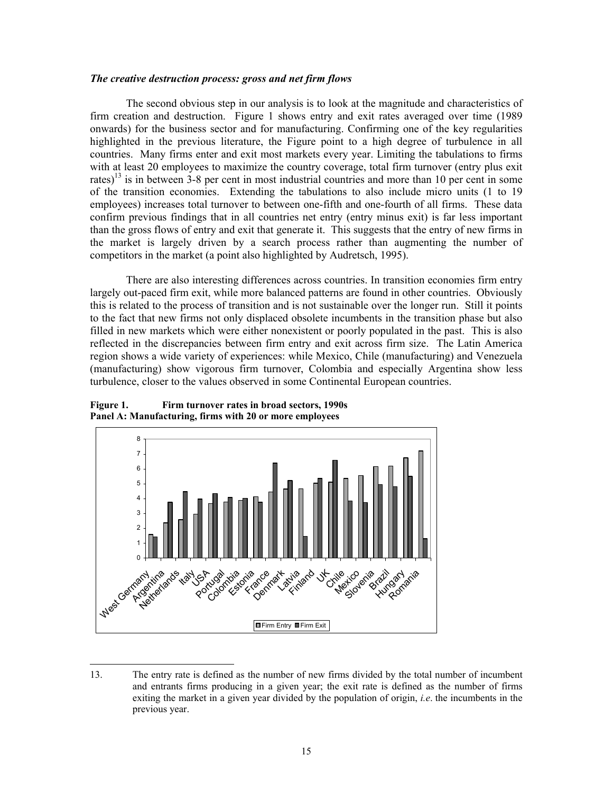#### *The creative destruction process: gross and net firm flows*

The second obvious step in our analysis is to look at the magnitude and characteristics of firm creation and destruction. Figure 1 shows entry and exit rates averaged over time (1989 onwards) for the business sector and for manufacturing. Confirming one of the key regularities highlighted in the previous literature, the Figure point to a high degree of turbulence in all countries. Many firms enter and exit most markets every year. Limiting the tabulations to firms with at least 20 employees to maximize the country coverage, total firm turnover (entry plus exit rates)<sup>13</sup> is in between 3-8 per cent in most industrial countries and more than 10 per cent in some of the transition economies. Extending the tabulations to also include micro units (1 to 19 employees) increases total turnover to between one-fifth and one-fourth of all firms. These data confirm previous findings that in all countries net entry (entry minus exit) is far less important than the gross flows of entry and exit that generate it. This suggests that the entry of new firms in the market is largely driven by a search process rather than augmenting the number of competitors in the market (a point also highlighted by Audretsch, 1995).

There are also interesting differences across countries. In transition economies firm entry largely out-paced firm exit, while more balanced patterns are found in other countries. Obviously this is related to the process of transition and is not sustainable over the longer run. Still it points to the fact that new firms not only displaced obsolete incumbents in the transition phase but also filled in new markets which were either nonexistent or poorly populated in the past. This is also reflected in the discrepancies between firm entry and exit across firm size. The Latin America region shows a wide variety of experiences: while Mexico, Chile (manufacturing) and Venezuela (manufacturing) show vigorous firm turnover, Colombia and especially Argentina show less turbulence, closer to the values observed in some Continental European countries.



 $\overline{a}$ 



<sup>13.</sup> The entry rate is defined as the number of new firms divided by the total number of incumbent and entrants firms producing in a given year; the exit rate is defined as the number of firms exiting the market in a given year divided by the population of origin, *i.e*. the incumbents in the previous year.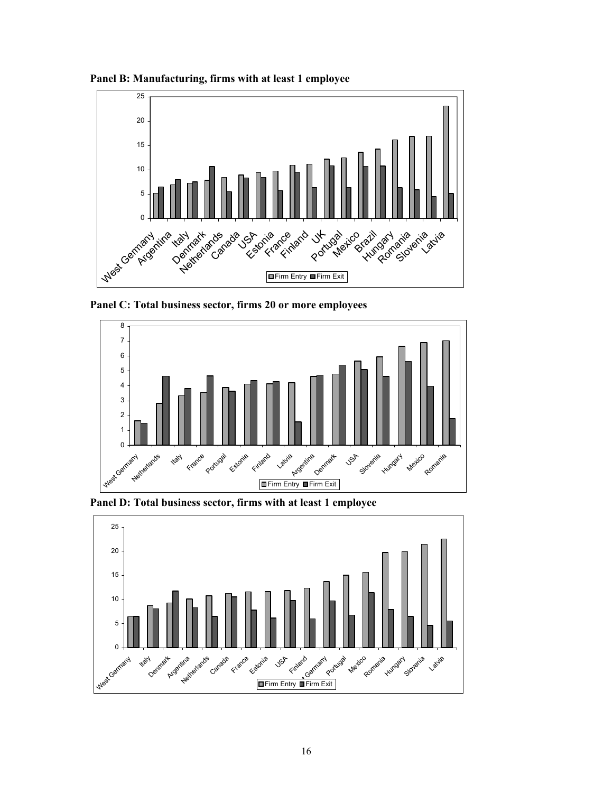

**Panel B: Manufacturing, firms with at least 1 employee** 

**Panel C: Total business sector, firms 20 or more employees** 



**Panel D: Total business sector, firms with at least 1 employee** 

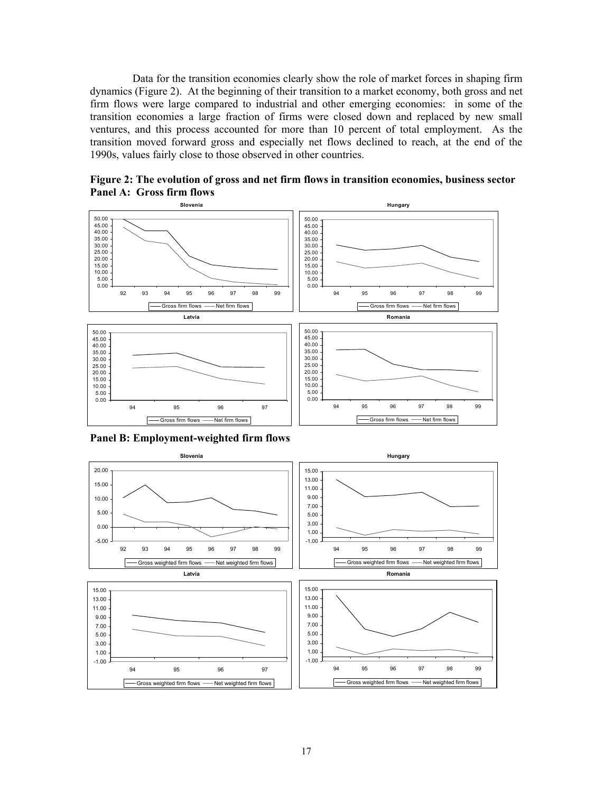Data for the transition economies clearly show the role of market forces in shaping firm dynamics (Figure 2). At the beginning of their transition to a market economy, both gross and net firm flows were large compared to industrial and other emerging economies: in some of the transition economies a large fraction of firms were closed down and replaced by new small ventures, and this process accounted for more than 10 percent of total employment. As the transition moved forward gross and especially net flows declined to reach, at the end of the 1990s, values fairly close to those observed in other countries.



**Figure 2: The evolution of gross and net firm flows in transition economies, business sector Panel A: Gross firm flows** 

**Panel B: Employment-weighted firm flows** 

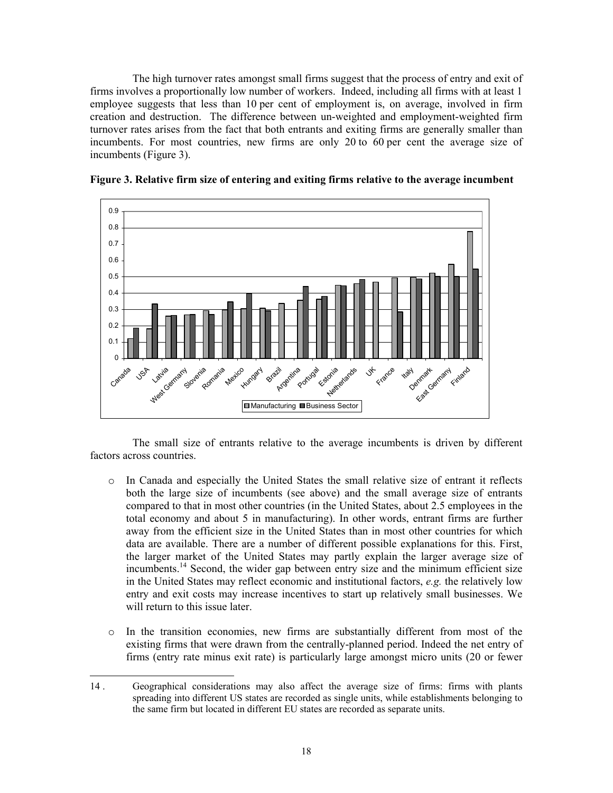The high turnover rates amongst small firms suggest that the process of entry and exit of firms involves a proportionally low number of workers. Indeed, including all firms with at least 1 employee suggests that less than 10 per cent of employment is, on average, involved in firm creation and destruction. The difference between un-weighted and employment-weighted firm turnover rates arises from the fact that both entrants and exiting firms are generally smaller than incumbents. For most countries, new firms are only 20 to 60 per cent the average size of incumbents (Figure 3).



**Figure 3. Relative firm size of entering and exiting firms relative to the average incumbent** 

 The small size of entrants relative to the average incumbents is driven by different factors across countries.

- o In Canada and especially the United States the small relative size of entrant it reflects both the large size of incumbents (see above) and the small average size of entrants compared to that in most other countries (in the United States, about 2.5 employees in the total economy and about 5 in manufacturing). In other words, entrant firms are further away from the efficient size in the United States than in most other countries for which data are available. There are a number of different possible explanations for this. First, the larger market of the United States may partly explain the larger average size of incumbents.<sup>14</sup> Second, the wider gap between entry size and the minimum efficient size in the United States may reflect economic and institutional factors, *e.g.* the relatively low entry and exit costs may increase incentives to start up relatively small businesses. We will return to this issue later.
- o In the transition economies, new firms are substantially different from most of the existing firms that were drawn from the centrally-planned period. Indeed the net entry of firms (entry rate minus exit rate) is particularly large amongst micro units (20 or fewer

l 14 . Geographical considerations may also affect the average size of firms: firms with plants spreading into different US states are recorded as single units, while establishments belonging to the same firm but located in different EU states are recorded as separate units.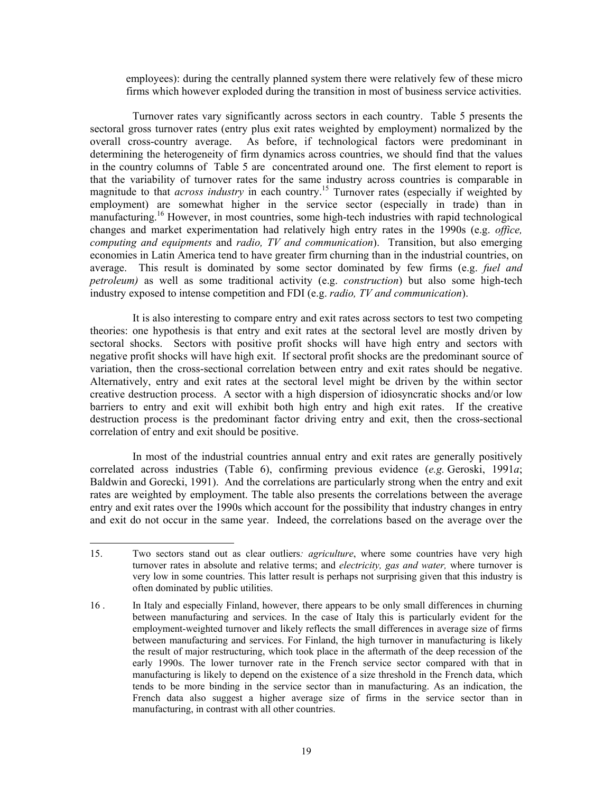employees): during the centrally planned system there were relatively few of these micro firms which however exploded during the transition in most of business service activities.

 Turnover rates vary significantly across sectors in each country. Table 5 presents the sectoral gross turnover rates (entry plus exit rates weighted by employment) normalized by the overall cross-country average. As before, if technological factors were predominant in determining the heterogeneity of firm dynamics across countries, we should find that the values in the country columns of Table 5 are concentrated around one. The first element to report is that the variability of turnover rates for the same industry across countries is comparable in magnitude to that *across industry* in each country.15 Turnover rates (especially if weighted by employment) are somewhat higher in the service sector (especially in trade) than in manufacturing.<sup>16</sup> However, in most countries, some high-tech industries with rapid technological changes and market experimentation had relatively high entry rates in the 1990s (e.g. *office, computing and equipments* and *radio, TV and communication*). Transition, but also emerging economies in Latin America tend to have greater firm churning than in the industrial countries, on average. This result is dominated by some sector dominated by few firms (e.g. *fuel and petroleum)* as well as some traditional activity (e.g. *construction*) but also some high-tech industry exposed to intense competition and FDI (e.g. *radio, TV and communication*).

 It is also interesting to compare entry and exit rates across sectors to test two competing theories: one hypothesis is that entry and exit rates at the sectoral level are mostly driven by sectoral shocks. Sectors with positive profit shocks will have high entry and sectors with negative profit shocks will have high exit. If sectoral profit shocks are the predominant source of variation, then the cross-sectional correlation between entry and exit rates should be negative. Alternatively, entry and exit rates at the sectoral level might be driven by the within sector creative destruction process. A sector with a high dispersion of idiosyncratic shocks and/or low barriers to entry and exit will exhibit both high entry and high exit rates. If the creative destruction process is the predominant factor driving entry and exit, then the cross-sectional correlation of entry and exit should be positive.

 In most of the industrial countries annual entry and exit rates are generally positively correlated across industries (Table 6), confirming previous evidence (*e.g.* Geroski, 1991*a*; Baldwin and Gorecki, 1991). And the correlations are particularly strong when the entry and exit rates are weighted by employment. The table also presents the correlations between the average entry and exit rates over the 1990s which account for the possibility that industry changes in entry and exit do not occur in the same year. Indeed, the correlations based on the average over the

 $\overline{a}$ 

<sup>15.</sup> Two sectors stand out as clear outliers*: agriculture*, where some countries have very high turnover rates in absolute and relative terms; and *electricity, gas and water,* where turnover is very low in some countries. This latter result is perhaps not surprising given that this industry is often dominated by public utilities.

<sup>16 .</sup> In Italy and especially Finland, however, there appears to be only small differences in churning between manufacturing and services. In the case of Italy this is particularly evident for the employment-weighted turnover and likely reflects the small differences in average size of firms between manufacturing and services. For Finland, the high turnover in manufacturing is likely the result of major restructuring, which took place in the aftermath of the deep recession of the early 1990s. The lower turnover rate in the French service sector compared with that in manufacturing is likely to depend on the existence of a size threshold in the French data, which tends to be more binding in the service sector than in manufacturing. As an indication, the French data also suggest a higher average size of firms in the service sector than in manufacturing, in contrast with all other countries.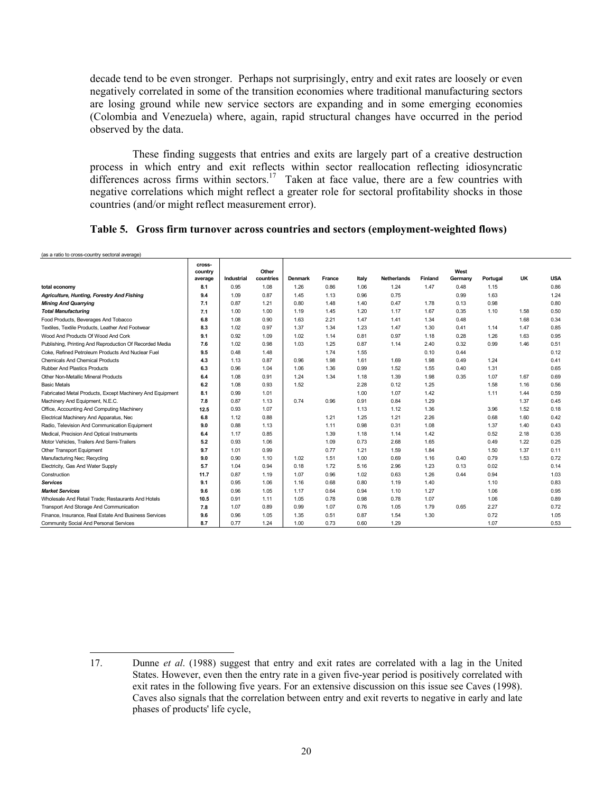decade tend to be even stronger. Perhaps not surprisingly, entry and exit rates are loosely or even negatively correlated in some of the transition economies where traditional manufacturing sectors are losing ground while new service sectors are expanding and in some emerging economies (Colombia and Venezuela) where, again, rapid structural changes have occurred in the period observed by the data.

 These finding suggests that entries and exits are largely part of a creative destruction process in which entry and exit reflects within sector reallocation reflecting idiosyncratic differences across firms within sectors.<sup>17</sup> Taken at face value, there are a few countries with negative correlations which might reflect a greater role for sectoral profitability shocks in those countries (and/or might reflect measurement error).

|  |  |  |  | Table 5. Gross firm turnover across countries and sectors (employment-weighted flows) |
|--|--|--|--|---------------------------------------------------------------------------------------|
|--|--|--|--|---------------------------------------------------------------------------------------|

| (as a ratio to cross-country sectoral average)            |                              |            |                    |                |        |       |                    |         |                 |          |      |            |
|-----------------------------------------------------------|------------------------------|------------|--------------------|----------------|--------|-------|--------------------|---------|-----------------|----------|------|------------|
|                                                           | cross-<br>country<br>average | Industrial | Other<br>countries | <b>Denmark</b> | France | Italy | <b>Netherlands</b> | Finland | West<br>Germany | Portugal | UK   | <b>USA</b> |
| total economy                                             | 8.1                          | 0.95       | 1.08               | 1.26           | 0.86   | 1.06  | 1.24               | 1.47    | 0.48            | 1.15     |      | 0.86       |
| Agriculture, Hunting, Forestry And Fishing                | 9.4                          | 1.09       | 0.87               | 1.45           | 1.13   | 0.96  | 0.75               |         | 0.99            | 1.63     |      | 1.24       |
| <b>Mining And Quarrying</b>                               | 7.1                          | 0.87       | 1.21               | 0.80           | 1.48   | 1.40  | 0.47               | 1.78    | 0.13            | 0.98     |      | 0.80       |
| <b>Total Manufacturing</b>                                | 7.1                          | 1.00       | 1.00               | 1.19           | 1.45   | 1.20  | 1.17               | 1.67    | 0.35            | 1.10     | 1.58 | 0.50       |
| Food Products, Beverages And Tobacco                      | 6.8                          | 1.08       | 0.90               | 1.63           | 2.21   | 1.47  | 1.41               | 1.34    | 0.48            |          | 1.68 | 0.34       |
| Textiles. Textile Products. Leather And Footwear          | 8.3                          | 1.02       | 0.97               | 1.37           | 1.34   | 1.23  | 1.47               | 1.30    | 0.41            | 1.14     | 1.47 | 0.85       |
| Wood And Products Of Wood And Cork                        | 9.1                          | 0.92       | 1.09               | 1.02           | 1.14   | 0.81  | 0.97               | 1.18    | 0.28            | 1.26     | 1.63 | 0.95       |
| Publishing, Printing And Reproduction Of Recorded Media   | 7.6                          | 1.02       | 0.98               | 1.03           | 1.25   | 0.87  | 1.14               | 2.40    | 0.32            | 0.99     | 1.46 | 0.51       |
| Coke, Refined Petroleum Products And Nuclear Fuel         | 9.5                          | 0.48       | 1.48               |                | 1.74   | 1.55  |                    | 0.10    | 0.44            |          |      | 0.12       |
| <b>Chemicals And Chemical Products</b>                    | 4.3                          | 1.13       | 0.87               | 0.96           | 1.98   | 1.61  | 1.69               | 1.98    | 0.49            | 1.24     |      | 0.41       |
| <b>Rubber And Plastics Products</b>                       | 6.3                          | 0.96       | 1.04               | 1.06           | 1.36   | 0.99  | 1.52               | 1.55    | 0.40            | 1.31     |      | 0.65       |
| Other Non-Metallic Mineral Products                       | 6.4                          | 1.08       | 0.91               | 1.24           | 1.34   | 1.18  | 1.39               | 1.98    | 0.35            | 1.07     | 1.67 | 0.69       |
| <b>Basic Metals</b>                                       | 6.2                          | 1.08       | 0.93               | 1.52           |        | 2.28  | 0.12               | 1.25    |                 | 1.58     | 1.16 | 0.56       |
| Fabricated Metal Products, Except Machinery And Equipment | 8.1                          | 0.99       | 1.01               |                |        | 1.00  | 1.07               | 1.42    |                 | 1.11     | 1.44 | 0.59       |
| Machinery And Equipment, N.E.C.                           | 7.8                          | 0.87       | 1.13               | 0.74           | 0.96   | 0.91  | 0.84               | 1.29    |                 |          | 1.37 | 0.45       |
| Office, Accounting And Computing Machinery                | 12.5                         | 0.93       | 1.07               |                |        | 1.13  | 1.12               | 1.36    |                 | 3.96     | 1.52 | 0.18       |
| Electrical Machinery And Apparatus, Nec                   | 6.8                          | 1.12       | 0.88               |                | 1.21   | 1.25  | 1.21               | 2.26    |                 | 0.68     | 1.60 | 0.42       |
| Radio, Television And Communication Equipment             | 9.0                          | 0.88       | 1.13               |                | 1.11   | 0.98  | 0.31               | 1.08    |                 | 1.37     | 1.40 | 0.43       |
| Medical, Precision And Optical Instruments                | 6.4                          | 1.17       | 0.85               |                | 1.39   | 1.18  | 1.14               | 1.42    |                 | 0.52     | 2.18 | 0.35       |
| Motor Vehicles. Trailers And Semi-Trailers                | 5.2                          | 0.93       | 1.06               |                | 1.09   | 0.73  | 2.68               | 1.65    |                 | 0.49     | 1.22 | 0.25       |
| Other Transport Equipment                                 | 9.7                          | 1.01       | 0.99               |                | 0.77   | 1.21  | 1.59               | 1.84    |                 | 1.50     | 1.37 | 0.11       |
| Manufacturing Nec; Recycling                              | 9.0                          | 0.90       | 1.10               | 1.02           | 1.51   | 1.00  | 0.69               | 1.16    | 0.40            | 0.79     | 1.53 | 0.72       |
| Electricity, Gas And Water Supply                         | 5.7                          | 1.04       | 0.94               | 0.18           | 1.72   | 5.16  | 2.96               | 1.23    | 0.13            | 0.02     |      | 0.14       |
| Construction                                              | 11.7                         | 0.87       | 1.19               | 1.07           | 0.96   | 1.02  | 0.63               | 1.26    | 0.44            | 0.94     |      | 1.03       |
| <b>Services</b>                                           | 9.1                          | 0.95       | 1.06               | 1.16           | 0.68   | 0.80  | 1.19               | 1.40    |                 | 1.10     |      | 0.83       |
| <b>Market Services</b>                                    | 9.6                          | 0.96       | 1.05               | 1.17           | 0.64   | 0.94  | 1.10               | 1.27    |                 | 1.06     |      | 0.95       |
| Wholesale And Retail Trade: Restaurants And Hotels        | 10.5                         | 0.91       | 1.11               | 1.05           | 0.78   | 0.98  | 0.78               | 1.07    |                 | 1.06     |      | 0.89       |
| Transport And Storage And Communication                   | 7.8                          | 1.07       | 0.89               | 0.99           | 1.07   | 0.76  | 1.05               | 1.79    | 0.65            | 2.27     |      | 0.72       |
| Finance, Insurance, Real Estate And Business Services     | 9.6                          | 0.96       | 1.05               | 1.35           | 0.51   | 0.87  | 1.54               | 1.30    |                 | 0.72     |      | 1.05       |
| Community Social And Personal Services                    | 8.7                          | 0.77       | 1.24               | 1.00           | 0.73   | 0.60  | 1.29               |         |                 | 1.07     |      | 0.53       |

 $\overline{a}$ 

<sup>17.</sup> Dunne *et al*. (1988) suggest that entry and exit rates are correlated with a lag in the United States. However, even then the entry rate in a given five-year period is positively correlated with exit rates in the following five years. For an extensive discussion on this issue see Caves (1998). Caves also signals that the correlation between entry and exit reverts to negative in early and late phases of products' life cycle,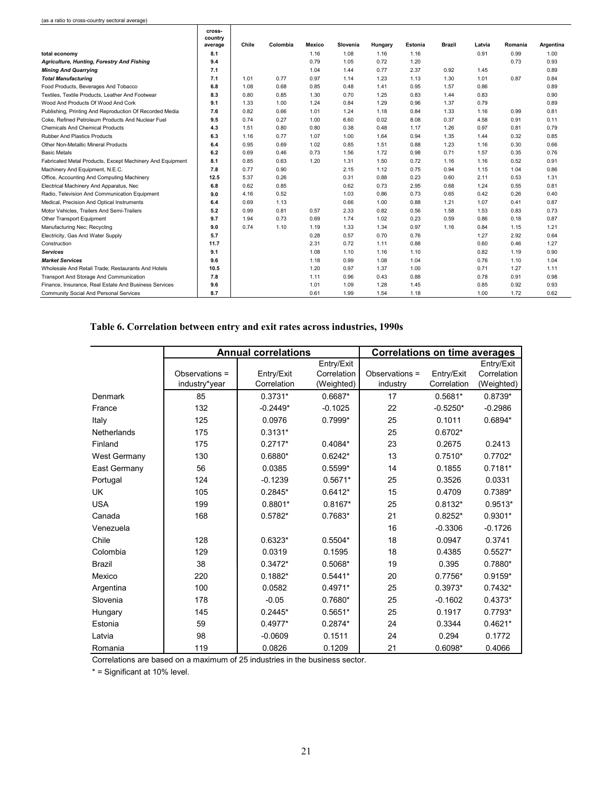| (as a ratio to cross-country sectoral average) |
|------------------------------------------------|
|------------------------------------------------|

Т

Τ

|                                                           | cross-<br>country |       |          |               |          |         |         |        |        |         |           |
|-----------------------------------------------------------|-------------------|-------|----------|---------------|----------|---------|---------|--------|--------|---------|-----------|
|                                                           | average           | Chile | Colombia | <b>Mexico</b> | Slovenia | Hungary | Estonia | Brazil | Latvia | Romania | Argentina |
| total economy                                             | 8.1               |       |          | 1.16          | 1.08     | 1.16    | 1.16    |        | 0.91   | 0.99    | 1.00      |
| Agriculture, Hunting, Forestry And Fishing                | 9.4               |       |          | 0.79          | 1.05     | 0.72    | 1.20    |        |        | 0.73    | 0.93      |
| <b>Mining And Quarrying</b>                               | 7.1               |       |          | 1.04          | 1.44     | 0.77    | 2.37    | 0.92   | 1.45   |         | 0.89      |
| <b>Total Manufacturing</b>                                | 7.1               | 1.01  | 0.77     | 0.97          | 1.14     | 1.23    | 1.13    | 1.30   | 1.01   | 0.87    | 0.84      |
| Food Products, Beverages And Tobacco                      | 6.8               | 1.08  | 0.68     | 0.85          | 0.48     | 1.41    | 0.95    | 1.57   | 0.86   |         | 0.89      |
| Textiles, Textile Products, Leather And Footwear          | 8.3               | 0.80  | 0.85     | 1.30          | 0.70     | 1.25    | 0.83    | 1.44   | 0.83   |         | 0.90      |
| Wood And Products Of Wood And Cork                        | 9.1               | 1.33  | 1.00     | 1.24          | 0.84     | 1.29    | 0.96    | 1.37   | 0.79   |         | 0.89      |
| Publishing, Printing And Reproduction Of Recorded Media   | 7.6               | 0.82  | 0.66     | 1.01          | 1.24     | 1.18    | 0.84    | 1.33   | 1.16   | 0.99    | 0.81      |
| Coke, Refined Petroleum Products And Nuclear Fuel         | 9.5               | 0.74  | 0.27     | 1.00          | 6.60     | 0.02    | 8.08    | 0.37   | 4.58   | 0.91    | 0.11      |
| <b>Chemicals And Chemical Products</b>                    | 4.3               | 1.51  | 0.80     | 0.80          | 0.38     | 0.48    | 1.17    | 1.26   | 0.97   | 0.81    | 0.79      |
| <b>Rubber And Plastics Products</b>                       | 6.3               | 1.16  | 0.77     | 1.07          | 1.00     | 1.64    | 0.94    | 1.35   | 1.44   | 0.32    | 0.85      |
| Other Non-Metallic Mineral Products                       | 6.4               | 0.95  | 0.69     | 1.02          | 0.85     | 1.51    | 0.88    | 1.23   | 1.16   | 0.30    | 0.66      |
| <b>Basic Metals</b>                                       | 6.2               | 0.69  | 0.46     | 0.73          | 1.56     | 1.72    | 0.98    | 0.71   | 1.57   | 0.35    | 0.76      |
| Fabricated Metal Products, Except Machinery And Equipment | 8.1               | 0.85  | 0.63     | 1.20          | 1.31     | 1.50    | 0.72    | 1.16   | 1.16   | 0.52    | 0.91      |
| Machinery And Equipment, N.E.C.                           | 7.8               | 0.77  | 0.90     |               | 2.15     | 1.12    | 0.75    | 0.94   | 1.15   | 1.04    | 0.86      |
| Office, Accounting And Computing Machinery                | 12.5              | 5.37  | 0.26     |               | 0.31     | 0.88    | 0.23    | 0.60   | 2.11   | 0.53    | 1.31      |
| Electrical Machinery And Apparatus, Nec                   | 6.8               | 0.62  | 0.85     |               | 0.62     | 0.73    | 2.95    | 0.68   | 1.24   | 0.55    | 0.81      |
| Radio, Television And Communication Equipment             | 9.0               | 4.16  | 0.52     |               | 1.03     | 0.86    | 0.73    | 0.65   | 0.42   | 0.26    | 0.40      |
| Medical, Precision And Optical Instruments                | 6.4               | 0.69  | 1.13     |               | 0.66     | 1.00    | 0.88    | 1.21   | 1.07   | 0.41    | 0.87      |
| Motor Vehicles, Trailers And Semi-Trailers                | 5.2               | 0.99  | 0.81     | 0.57          | 2.33     | 0.82    | 0.56    | 1.58   | 1.53   | 0.83    | 0.73      |
| Other Transport Equipment                                 | 9.7               | 1.94  | 0.73     | 0.69          | 1.74     | 1.02    | 0.23    | 0.59   | 0.86   | 0.18    | 0.87      |
| Manufacturing Nec; Recycling                              | 9.0               | 0.74  | 1.10     | 1.19          | 1.33     | 1.34    | 0.97    | 1.16   | 0.84   | 1.15    | 1.21      |
| Electricity, Gas And Water Supply                         | 5.7               |       |          | 0.28          | 0.57     | 0.70    | 0.76    |        | 1.27   | 2.92    | 0.64      |
| Construction                                              | 11.7              |       |          | 2.31          | 0.72     | 1.11    | 0.88    |        | 0.60   | 0.46    | 1.27      |
| <b>Services</b>                                           | 9.1               |       |          | 1.08          | 1.10     | 1.16    | 1.10    |        | 0.82   | 1.19    | 0.90      |
| <b>Market Services</b>                                    | 9.6               |       |          | 1.18          | 0.99     | 1.08    | 1.04    |        | 0.76   | 1.10    | 1.04      |
| Wholesale And Retail Trade; Restaurants And Hotels        | 10.5              |       |          | 1.20          | 0.97     | 1.37    | 1.00    |        | 0.71   | 1.27    | 1.11      |
| Transport And Storage And Communication                   | 7.8               |       |          | 1.11          | 0.96     | 0.43    | 0.88    |        | 0.78   | 0.91    | 0.98      |
| Finance, Insurance, Real Estate And Business Services     | 96                |       |          | 1.01          | 1.09     | 1.28    | 1.45    |        | 0.85   | 0.92    | 0.93      |
| Community Social And Personal Services                    | 8.7               |       |          | 0.61          | 1.99     | 1.54    | 1.18    |        | 1.00   | 1.72    | 0.62      |

# **Table 6. Correlation between entry and exit rates across industries, 1990s**

|               |                | <b>Annual correlations</b> |             | <b>Correlations on time averages</b> |             |             |
|---------------|----------------|----------------------------|-------------|--------------------------------------|-------------|-------------|
|               |                |                            | Entry/Exit  |                                      |             | Entry/Exit  |
|               | Observations = | Entry/Exit                 | Correlation | Observations =                       | Entry/Exit  | Correlation |
|               | industry*year  | Correlation                | (Weighted)  | industry                             | Correlation | (Weighted)  |
| Denmark       | 85             | $0.3731*$                  | $0.6687*$   | 17                                   | $0.5681*$   | $0.8739*$   |
| France        | 132            | $-0.2449*$                 | $-0.1025$   | 22                                   | $-0.5250*$  | $-0.2986$   |
| Italy         | 125            | 0.0976                     | $0.7999*$   | 25                                   | 0.1011      | 0.6894*     |
| Netherlands   | 175            | $0.3131*$                  |             | 25                                   | $0.6702*$   |             |
| Finland       | 175            | $0.2717*$                  | $0.4084*$   | 23                                   | 0.2675      | 0.2413      |
| West Germany  | 130            | $0.6880*$                  | $0.6242*$   | 13                                   | $0.7510*$   | $0.7702*$   |
| East Germany  | 56             | 0.0385                     | $0.5599*$   | 14                                   | 0.1855      | $0.7181*$   |
| Portugal      | 124            | $-0.1239$                  | $0.5671*$   | 25                                   | 0.3526      | 0.0331      |
| <b>UK</b>     | 105            | $0.2845*$                  | $0.6412*$   | 15                                   | 0.4709      | $0.7389*$   |
| <b>USA</b>    | 199            | $0.8801*$                  | $0.8167*$   | 25                                   | $0.8132*$   | $0.9513*$   |
| Canada        | 168            | $0.5782*$                  | $0.7683*$   | 21                                   | $0.8252*$   | $0.9301*$   |
| Venezuela     |                |                            |             | 16                                   | $-0.3306$   | $-0.1726$   |
| Chile         | 128            | $0.6323*$                  | $0.5504*$   | 18                                   | 0.0947      | 0.3741      |
| Colombia      | 129            | 0.0319                     | 0.1595      | 18                                   | 0.4385      | $0.5527*$   |
| <b>Brazil</b> | 38             | $0.3472*$                  | $0.5068*$   | 19                                   | 0.395       | $0.7880*$   |
| Mexico        | 220            | $0.1882*$                  | $0.5441*$   | 20                                   | $0.7756*$   | $0.9159*$   |
| Argentina     | 100            | 0.0582                     | $0.4971*$   | 25                                   | $0.3973*$   | $0.7432*$   |
| Slovenia      | 178            | $-0.05$                    | $0.7680*$   | 25                                   | $-0.1602$   | $0.4373*$   |
| Hungary       | 145            | $0.2445*$                  | $0.5651*$   | 25                                   | 0.1917      | $0.7793*$   |
| Estonia       | 59             | $0.4977*$                  | $0.2874*$   | 24                                   | 0.3344      | $0.4621*$   |
| Latvia        | 98             | $-0.0609$                  | 0.1511      | 24                                   | 0.294       | 0.1772      |
| Romania       | 119            | 0.0826                     | 0.1209      | 21                                   | $0.6098*$   | 0.4066      |

Correlations are based on a maximum of 25 industries in the business sector.

\* = Significant at 10% level.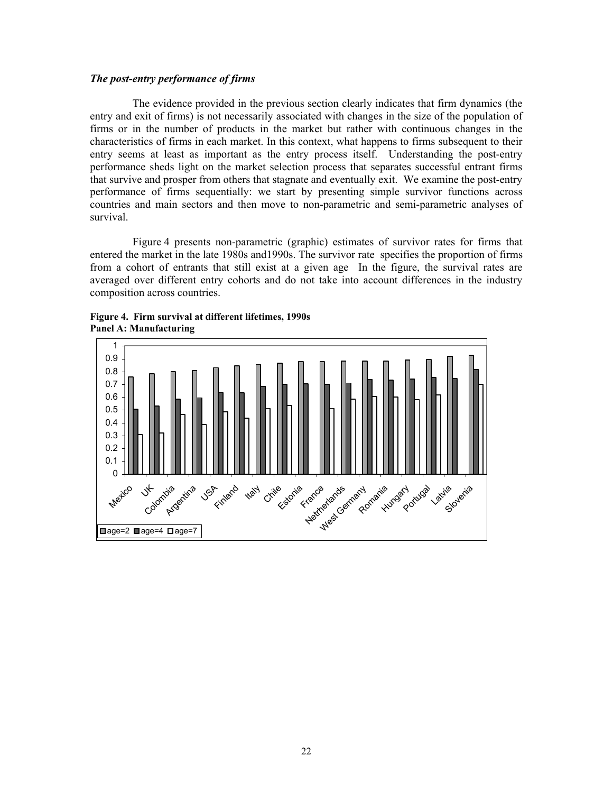#### *The post-entry performance of firms*

 The evidence provided in the previous section clearly indicates that firm dynamics (the entry and exit of firms) is not necessarily associated with changes in the size of the population of firms or in the number of products in the market but rather with continuous changes in the characteristics of firms in each market. In this context, what happens to firms subsequent to their entry seems at least as important as the entry process itself. Understanding the post-entry performance sheds light on the market selection process that separates successful entrant firms that survive and prosper from others that stagnate and eventually exit. We examine the post-entry performance of firms sequentially: we start by presenting simple survivor functions across countries and main sectors and then move to non-parametric and semi-parametric analyses of survival.

 Figure 4 presents non-parametric (graphic) estimates of survivor rates for firms that entered the market in the late 1980s and1990s. The survivor rate specifies the proportion of firms from a cohort of entrants that still exist at a given age In the figure, the survival rates are averaged over different entry cohorts and do not take into account differences in the industry composition across countries.



**Figure 4. Firm survival at different lifetimes, 1990s Panel A: Manufacturing**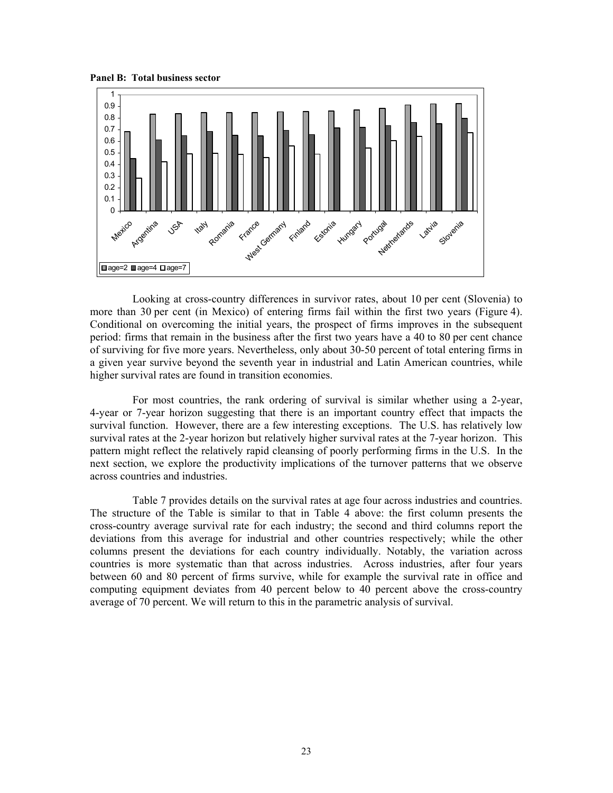



 Looking at cross-country differences in survivor rates, about 10 per cent (Slovenia) to more than 30 per cent (in Mexico) of entering firms fail within the first two years (Figure 4). Conditional on overcoming the initial years, the prospect of firms improves in the subsequent period: firms that remain in the business after the first two years have a 40 to 80 per cent chance of surviving for five more years. Nevertheless, only about 30-50 percent of total entering firms in a given year survive beyond the seventh year in industrial and Latin American countries, while higher survival rates are found in transition economies.

 For most countries, the rank ordering of survival is similar whether using a 2-year, 4-year or 7-year horizon suggesting that there is an important country effect that impacts the survival function. However, there are a few interesting exceptions. The U.S. has relatively low survival rates at the 2-year horizon but relatively higher survival rates at the 7-year horizon. This pattern might reflect the relatively rapid cleansing of poorly performing firms in the U.S. In the next section, we explore the productivity implications of the turnover patterns that we observe across countries and industries.

 Table 7 provides details on the survival rates at age four across industries and countries. The structure of the Table is similar to that in Table 4 above: the first column presents the cross-country average survival rate for each industry; the second and third columns report the deviations from this average for industrial and other countries respectively; while the other columns present the deviations for each country individually. Notably, the variation across countries is more systematic than that across industries. Across industries, after four years between 60 and 80 percent of firms survive, while for example the survival rate in office and computing equipment deviates from 40 percent below to 40 percent above the cross-country average of 70 percent. We will return to this in the parametric analysis of survival.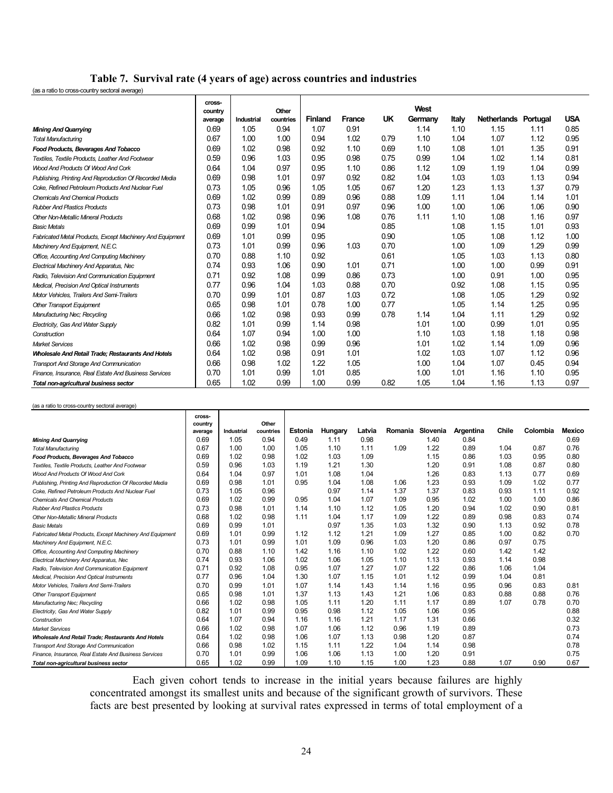### **Table 7. Survival rate (4 years of age) across countries and industries**

(as a ratio to cross-country sectoral average)

|                                                           | cross-  |            |           |                |               |           |             |       |                    |          |            |
|-----------------------------------------------------------|---------|------------|-----------|----------------|---------------|-----------|-------------|-------|--------------------|----------|------------|
|                                                           | country |            | Other     |                |               |           | <b>West</b> |       |                    |          |            |
|                                                           | average | Industrial | countries | <b>Finland</b> | <b>France</b> | <b>UK</b> | Germany     | Italy | <b>Netherlands</b> | Portugal | <b>USA</b> |
| <b>Mining And Quarrying</b>                               | 0.69    | 1.05       | 0.94      | 1.07           | 0.91          |           | 1.14        | 1.10  | 1.15               | 1.11     | 0.85       |
| <b>Total Manufacturing</b>                                | 0.67    | 1.00       | 1.00      | 0.94           | 1.02          | 0.79      | 1.10        | 1.04  | 1.07               | 1.12     | 0.95       |
| Food Products, Beverages And Tobacco                      | 0.69    | 1.02       | 0.98      | 0.92           | 1.10          | 0.69      | 1.10        | 1.08  | 1.01               | 1.35     | 0.91       |
| Textiles, Textile Products, Leather And Footwear          | 0.59    | 0.96       | 1.03      | 0.95           | 0.98          | 0.75      | 0.99        | 1.04  | 1.02               | 1.14     | 0.81       |
| Wood And Products Of Wood And Cork                        | 0.64    | 1.04       | 0.97      | 0.95           | 1.10          | 0.86      | 1.12        | 1.09  | 1.19               | 1.04     | 0.99       |
| Publishing, Printing And Reproduction Of Recorded Media   | 0.69    | 0.98       | 1.01      | 0.97           | 0.92          | 0.82      | 1.04        | 1.03  | 1.03               | 1.13     | 0.94       |
| Coke, Refined Petroleum Products And Nuclear Fuel         | 0.73    | 1.05       | 0.96      | 1.05           | 1.05          | 0.67      | 1.20        | 1.23  | 1.13               | 1.37     | 0.79       |
| <b>Chemicals And Chemical Products</b>                    | 0.69    | 1.02       | 0.99      | 0.89           | 0.96          | 0.88      | 1.09        | 1.11  | 1.04               | 1.14     | 1.01       |
| <b>Rubber And Plastics Products</b>                       | 0.73    | 0.98       | 1.01      | 0.91           | 0.97          | 0.96      | 1.00        | 1.00  | 1.06               | 1.06     | 0.90       |
| <b>Other Non-Metallic Mineral Products</b>                | 0.68    | 1.02       | 0.98      | 0.96           | 1.08          | 0.76      | 1.11        | 1.10  | 1.08               | 1.16     | 0.97       |
| <b>Basic Metals</b>                                       | 0.69    | 0.99       | 1.01      | 0.94           |               | 0.85      |             | 1.08  | 1.15               | 1.01     | 0.93       |
| Fabricated Metal Products, Except Machinery And Equipment | 0.69    | 1.01       | 0.99      | 0.95           |               | 0.90      |             | 1.05  | 1.08               | 1.12     | 1.00       |
| Machinery And Equipment, N.E.C.                           | 0.73    | 1.01       | 0.99      | 0.96           | 1.03          | 0.70      |             | 1.00  | 1.09               | 1.29     | 0.99       |
| Office, Accounting And Computing Machinery                | 0.70    | 0.88       | 1.10      | 0.92           |               | 0.61      |             | 1.05  | 1.03               | 1.13     | 0.80       |
| Electrical Machinery And Apparatus, Nec                   | 0.74    | 0.93       | 1.06      | 0.90           | 1.01          | 0.71      |             | 1.00  | 1.00               | 0.99     | 0.91       |
| Radio, Television And Communication Equipment             | 0.71    | 0.92       | 1.08      | 0.99           | 0.86          | 0.73      |             | 1.00  | 0.91               | 1.00     | 0.95       |
| Medical, Precision And Optical Instruments                | 0.77    | 0.96       | 1.04      | 1.03           | 0.88          | 0.70      |             | 0.92  | 1.08               | 1.15     | 0.95       |
| Motor Vehicles, Trailers And Semi-Trailers                | 0.70    | 0.99       | 1.01      | 0.87           | 1.03          | 0.72      |             | 1.08  | 1.05               | 1.29     | 0.92       |
| <b>Other Transport Equipment</b>                          | 0.65    | 0.98       | 1.01      | 0.78           | 1.00          | 0.77      |             | 1.05  | 1.14               | 1.25     | 0.95       |
| Manufacturing Nec; Recycling                              | 0.66    | 1.02       | 0.98      | 0.93           | 0.99          | 0.78      | 1.14        | 1.04  | 1.11               | 1.29     | 0.92       |
| Electricity, Gas And Water Supply                         | 0.82    | 1.01       | 0.99      | 1.14           | 0.98          |           | 1.01        | 1.00  | 0.99               | 1.01     | 0.95       |
| Construction                                              | 0.64    | 1.07       | 0.94      | 1.00           | 1.00          |           | 1.10        | 1.03  | 1.18               | 1.18     | 0.98       |
| <b>Market Services</b>                                    | 0.66    | 1.02       | 0.98      | 0.99           | 0.96          |           | 1.01        | 1.02  | 1.14               | 1.09     | 0.96       |
| Wholesale And Retail Trade; Restaurants And Hotels        | 0.64    | 1.02       | 0.98      | 0.91           | 1.01          |           | 1.02        | 1.03  | 1.07               | 1.12     | 0.96       |
| Transport And Storage And Communication                   | 0.66    | 0.98       | 1.02      | 1.22           | 1.05          |           | 1.00        | 1.04  | 1.07               | 0.45     | 0.94       |
| Finance, Insurance, Real Estate And Business Services     | 0.70    | 1.01       | 0.99      | 1.01           | 0.85          |           | 1.00        | 1.01  | 1.16               | 1.10     | 0.95       |
| Total non-agricultural business sector                    | 0.65    | 1.02       | 0.99      | 1.00           | 0.99          | 0.82      | 1.05        | 1.04  | 1.16               | 1.13     | 0.97       |

#### (as a ratio to cross-country sectoral average)

|                                                           | cross-  |            |           |         |         |        |         |          |           |              |          |               |
|-----------------------------------------------------------|---------|------------|-----------|---------|---------|--------|---------|----------|-----------|--------------|----------|---------------|
|                                                           | country |            | Other     |         |         |        |         |          |           |              |          |               |
|                                                           | average | Industrial | countries | Estonia | Hungary | Latvia | Romania | Slovenia | Argentina | <b>Chile</b> | Colombia | <b>Mexico</b> |
| <b>Mining And Quarrying</b>                               | 0.69    | 1.05       | 0.94      | 0.49    | 1.11    | 0.98   |         | 1.40     | 0.84      |              |          | 0.69          |
| <b>Total Manufacturing</b>                                | 0.67    | 1.00       | 1.00      | 1.05    | 1.10    | 1.11   | 1.09    | 1.22     | 0.89      | 1.04         | 0.87     | 0.76          |
| Food Products, Beverages And Tobacco                      | 0.69    | 1.02       | 0.98      | 1.02    | 1.03    | 1.09   |         | 1.15     | 0.86      | 1.03         | 0.95     | 0.80          |
| Textiles, Textile Products, Leather And Footwear          | 0.59    | 0.96       | 1.03      | 1.19    | 1.21    | 1.30   |         | 1.20     | 0.91      | 1.08         | 0.87     | 0.80          |
| Wood And Products Of Wood And Cork                        | 0.64    | 1.04       | 0.97      | 1.01    | 1.08    | 1.04   |         | 1.26     | 0.83      | 1.13         | 0.77     | 0.69          |
| Publishing, Printing And Reproduction Of Recorded Media   | 0.69    | 0.98       | 1.01      | 0.95    | 1.04    | 1.08   | 1.06    | 1.23     | 0.93      | 1.09         | 1.02     | 0.77          |
| Coke, Refined Petroleum Products And Nuclear Fuel         | 0.73    | 1.05       | 0.96      |         | 0.97    | 1.14   | 1.37    | 1.37     | 0.83      | 0.93         | 1.11     | 0.92          |
| <b>Chemicals And Chemical Products</b>                    | 0.69    | 1.02       | 0.99      | 0.95    | 1.04    | 1.07   | 1.09    | 0.95     | 1.02      | 1.00         | 1.00     | 0.86          |
| <b>Rubber And Plastics Products</b>                       | 0.73    | 0.98       | 1.01      | 1.14    | 1.10    | 1.12   | 1.05    | 1.20     | 0.94      | 1.02         | 0.90     | 0.81          |
| <b>Other Non-Metallic Mineral Products</b>                | 0.68    | 1.02       | 0.98      | 1.11    | 1.04    | 1.17   | 1.09    | 1.22     | 0.89      | 0.98         | 0.83     | 0.74          |
| <b>Basic Metals</b>                                       | 0.69    | 0.99       | 1.01      |         | 0.97    | 1.35   | 1.03    | 1.32     | 0.90      | 1.13         | 0.92     | 0.78          |
| Fabricated Metal Products, Except Machinery And Equipment | 0.69    | 1.01       | 0.99      | 1.12    | 1.12    | 1.21   | 1.09    | 1.27     | 0.85      | 1.00         | 0.82     | 0.70          |
| Machinery And Equipment, N.E.C.                           | 0.73    | 1.01       | 0.99      | 1.01    | 1.09    | 0.96   | 1.03    | 1.20     | 0.86      | 0.97         | 0.75     |               |
| Office, Accounting And Computing Machinery                | 0.70    | 0.88       | 1.10      | 1.42    | 1.16    | 1.10   | 1.02    | 1.22     | 0.60      | 1.42         | 1.42     |               |
| Electrical Machinery And Apparatus, Nec                   | 0.74    | 0.93       | 1.06      | 1.02    | 1.06    | 1.05   | 1.10    | 1.13     | 0.93      | 1.14         | 0.98     |               |
| Radio, Television And Communication Equipment             | 0.71    | 0.92       | 1.08      | 0.95    | 1.07    | 1.27   | 1.07    | 1.22     | 0.86      | 1.06         | 1.04     |               |
| Medical, Precision And Optical Instruments                | 0.77    | 0.96       | 1.04      | 1.30    | 1.07    | 1.15   | 1.01    | 1.12     | 0.99      | 1.04         | 0.81     |               |
| Motor Vehicles, Trailers And Semi-Trailers                | 0.70    | 0.99       | 1.01      | 1.07    | 1.14    | 1.43   | 1.14    | 1.16     | 0.95      | 0.96         | 0.83     | 0.81          |
| <b>Other Transport Equipment</b>                          | 0.65    | 0.98       | 1.01      | 1.37    | 1.13    | 1.43   | 1.21    | 1.06     | 0.83      | 0.88         | 0.88     | 0.76          |
| Manufacturing Nec; Recycling                              | 0.66    | 1.02       | 0.98      | 1.05    | 1.11    | 1.20   | 1.11    | 1.17     | 0.89      | 1.07         | 0.78     | 0.70          |
| Electricity, Gas And Water Supply                         | 0.82    | 1.01       | 0.99      | 0.95    | 0.98    | 1.12   | 1.05    | 1.06     | 0.95      |              |          | 0.88          |
| Construction                                              | 0.64    | 1.07       | 0.94      | 1.16    | 1.16    | 1.21   | 1.17    | 1.31     | 0.66      |              |          | 0.32          |
| <b>Market Services</b>                                    | 0.66    | 1.02       | 0.98      | 1.07    | 1.06    | 1.12   | 0.96    | 1.19     | 0.89      |              |          | 0.73          |
| Wholesale And Retail Trade; Restaurants And Hotels        | 0.64    | 1.02       | 0.98      | 1.06    | 1.07    | 1.13   | 0.98    | 1.20     | 0.87      |              |          | 0.74          |
| Transport And Storage And Communication                   | 0.66    | 0.98       | 1.02      | 1.15    | 1.11    | 1.22   | 1.04    | 1.14     | 0.98      |              |          | 0.78          |
| Finance, Insurance, Real Estate And Business Services     | 0.70    | 1.01       | 0.99      | 1.06    | 1.06    | 1.13   | 1.00    | 1.20     | 0.91      |              |          | 0.75          |
| Total non-agricultural business sector                    | 0.65    | 1.02       | 0.99      | 1.09    | 1.10    | 1.15   | 1.00    | 1.23     | 0.88      | 1.07         | 0.90     | 0.67          |

 Each given cohort tends to increase in the initial years because failures are highly concentrated amongst its smallest units and because of the significant growth of survivors. These facts are best presented by looking at survival rates expressed in terms of total employment of a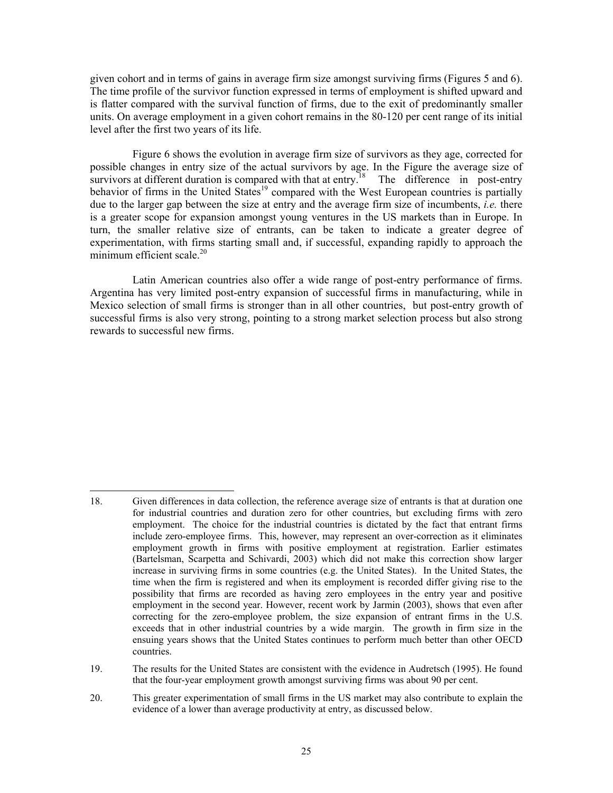given cohort and in terms of gains in average firm size amongst surviving firms (Figures 5 and 6). The time profile of the survivor function expressed in terms of employment is shifted upward and is flatter compared with the survival function of firms, due to the exit of predominantly smaller units. On average employment in a given cohort remains in the 80-120 per cent range of its initial level after the first two years of its life.

 Figure 6 shows the evolution in average firm size of survivors as they age, corrected for possible changes in entry size of the actual survivors by age. In the Figure the average size of survivors at different duration is compared with that at entry.<sup>18</sup> The difference in post-entry behavior of firms in the United States<sup>19</sup> compared with the West European countries is partially due to the larger gap between the size at entry and the average firm size of incumbents, *i.e.* there is a greater scope for expansion amongst young ventures in the US markets than in Europe. In turn, the smaller relative size of entrants, can be taken to indicate a greater degree of experimentation, with firms starting small and, if successful, expanding rapidly to approach the minimum efficient scale  $^{20}$ 

 Latin American countries also offer a wide range of post-entry performance of firms. Argentina has very limited post-entry expansion of successful firms in manufacturing, while in Mexico selection of small firms is stronger than in all other countries, but post-entry growth of successful firms is also very strong, pointing to a strong market selection process but also strong rewards to successful new firms.

 $\overline{a}$ 18. Given differences in data collection, the reference average size of entrants is that at duration one for industrial countries and duration zero for other countries, but excluding firms with zero employment. The choice for the industrial countries is dictated by the fact that entrant firms include zero-employee firms. This, however, may represent an over-correction as it eliminates employment growth in firms with positive employment at registration. Earlier estimates (Bartelsman, Scarpetta and Schivardi, 2003) which did not make this correction show larger increase in surviving firms in some countries (e.g. the United States). In the United States, the time when the firm is registered and when its employment is recorded differ giving rise to the possibility that firms are recorded as having zero employees in the entry year and positive employment in the second year. However, recent work by Jarmin (2003), shows that even after correcting for the zero-employee problem, the size expansion of entrant firms in the U.S. exceeds that in other industrial countries by a wide margin. The growth in firm size in the ensuing years shows that the United States continues to perform much better than other OECD countries.

<sup>19.</sup> The results for the United States are consistent with the evidence in Audretsch (1995). He found that the four-year employment growth amongst surviving firms was about 90 per cent.

<sup>20.</sup> This greater experimentation of small firms in the US market may also contribute to explain the evidence of a lower than average productivity at entry, as discussed below.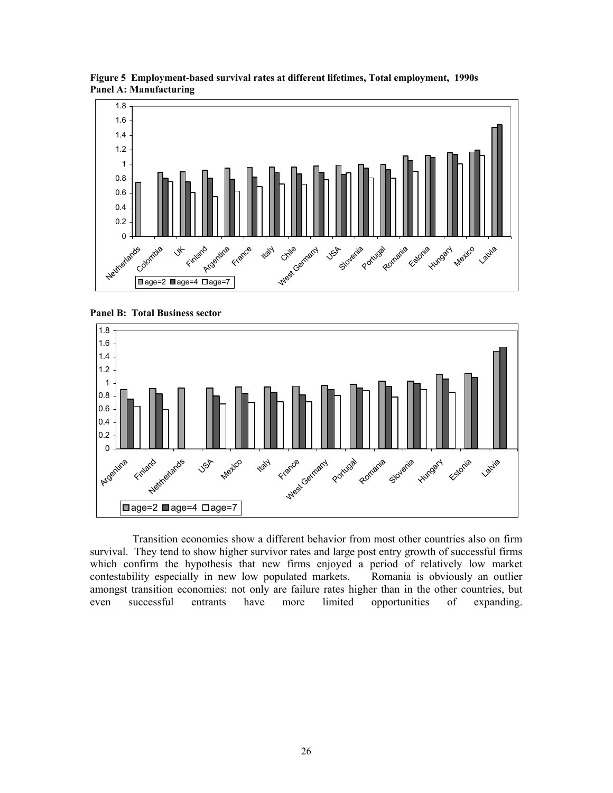

**Figure 5 Employment-based survival rates at different lifetimes, Total employment, 1990s Panel A: Manufacturing** 

**Panel B: Total Business sector** 



 Transition economies show a different behavior from most other countries also on firm survival. They tend to show higher survivor rates and large post entry growth of successful firms which confirm the hypothesis that new firms enjoyed a period of relatively low market contestability especially in new low populated markets. Romania is obviously an outlier amongst transition economies: not only are failure rates higher than in the other countries, but even successful entrants have more limited opportunities of expanding.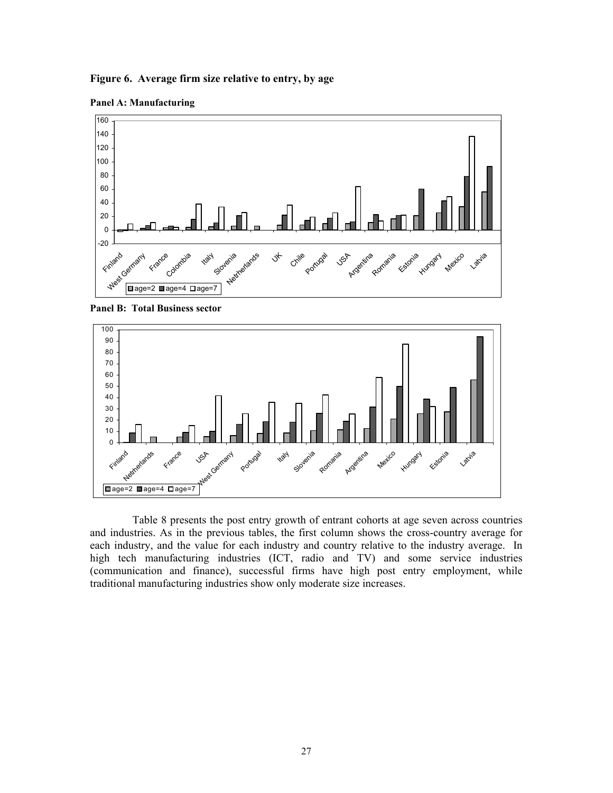**Figure 6. Average firm size relative to entry, by age** 

**Panel A: Manufacturing** 



**Panel B: Total Business sector** 



 Table 8 presents the post entry growth of entrant cohorts at age seven across countries and industries. As in the previous tables, the first column shows the cross-country average for each industry, and the value for each industry and country relative to the industry average. In high tech manufacturing industries (ICT, radio and TV) and some service industries (communication and finance), successful firms have high post entry employment, while traditional manufacturing industries show only moderate size increases.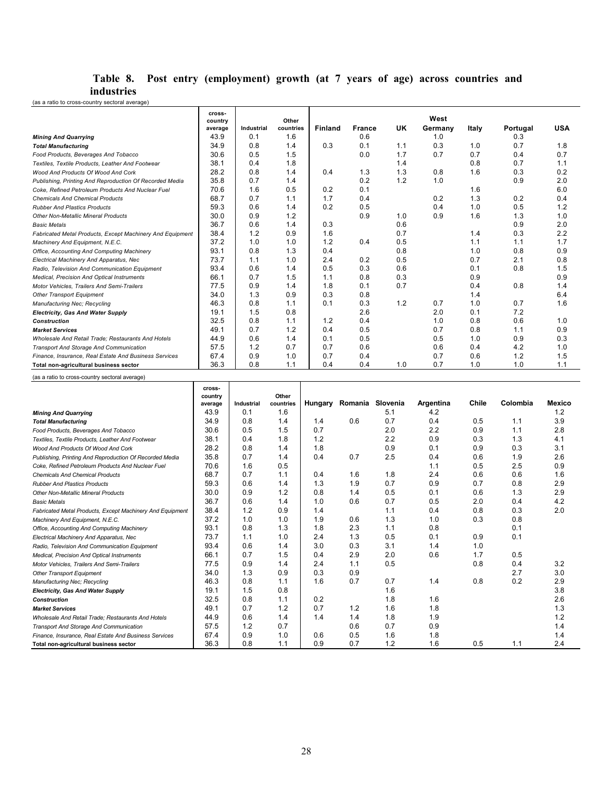# **Table 8. Post entry (employment) growth (at 7 years of age) across countries and industries**

(as a ratio to cross-country sectoral average)

|                                                           | cross-<br>country<br>average | Industrial | Other<br>countries | <b>Finland</b> | <b>France</b> | <b>UK</b> | West<br>Germany | Italy | Portugal | <b>USA</b> |
|-----------------------------------------------------------|------------------------------|------------|--------------------|----------------|---------------|-----------|-----------------|-------|----------|------------|
| <b>Mining And Quarrying</b>                               | 43.9                         | 0.1        | 1.6                |                | 0.6           |           | 1.0             |       | 0.3      |            |
| <b>Total Manufacturing</b>                                | 34.9                         | 0.8        | 1.4                | 0.3            | 0.1           | 1.1       | 0.3             | 1.0   | 0.7      | 1.8        |
| Food Products, Beverages And Tobacco                      | 30.6                         | 0.5        | 1.5                |                | 0.0           | 1.7       | 0.7             | 0.7   | 0.4      | 0.7        |
| Textiles. Textile Products. Leather And Footwear          | 38.1                         | 0.4        | 1.8                |                |               | 1.4       |                 | 0.8   | 0.7      | 1.1        |
| Wood And Products Of Wood And Cork                        | 28.2                         | 0.8        | 1.4                | 0.4            | 1.3           | 1.3       | 0.8             | 1.6   | 0.3      | 0.2        |
| Publishing, Printing And Reproduction Of Recorded Media   | 35.8                         | 0.7        | 1.4                |                | 0.2           | 1.2       | 1.0             |       | 0.9      | 2.0        |
| Coke, Refined Petroleum Products And Nuclear Fuel         | 70.6                         | 1.6        | 0.5                | 0.2            | 0.1           |           |                 | 1.6   |          | 6.0        |
| <b>Chemicals And Chemical Products</b>                    | 68.7                         | 0.7        | 1.1                | 1.7            | 0.4           |           | 0.2             | 1.3   | 0.2      | 0.4        |
| <b>Rubber And Plastics Products</b>                       | 59.3                         | 0.6        | 1.4                | 0.2            | 0.5           |           | 0.4             | 1.0   | 0.5      | 1.2        |
| <b>Other Non-Metallic Mineral Products</b>                | 30.0                         | 0.9        | 1.2                |                | 0.9           | 1.0       | 0.9             | 1.6   | 1.3      | 1.0        |
| <b>Basic Metals</b>                                       | 36.7                         | 0.6        | 1.4                | 0.3            |               | 0.6       |                 |       | 0.9      | 2.0        |
| Fabricated Metal Products, Except Machinery And Equipment | 38.4                         | 1.2        | 0.9                | 1.6            |               | 0.7       |                 | 1.4   | 0.3      | 2.2        |
| Machinery And Equipment, N.E.C.                           | 37.2                         | 1.0        | 1.0                | 1.2            | 0.4           | 0.5       |                 | 1.1   | 1.1      | 1.7        |
| Office, Accounting And Computing Machinery                | 93.1                         | 0.8        | 1.3                | 0.4            |               | 0.8       |                 | 1.0   | 0.8      | 0.9        |
| Electrical Machinery And Apparatus, Nec                   | 73.7                         | 1.1        | 1.0                | 2.4            | 0.2           | 0.5       |                 | 0.7   | 2.1      | 0.8        |
| Radio, Television And Communication Equipment             | 93.4                         | 0.6        | 1.4                | 0.5            | 0.3           | 0.6       |                 | 0.1   | 0.8      | 1.5        |
| Medical, Precision And Optical Instruments                | 66.1                         | 0.7        | 1.5                | 1.1            | 0.8           | 0.3       |                 | 0.9   |          | 0.9        |
| <b>Motor Vehicles, Trailers And Semi-Trailers</b>         | 77.5                         | 0.9        | 1.4                | 1.8            | 0.1           | 0.7       |                 | 0.4   | 0.8      | 1.4        |
| Other Transport Equipment                                 | 34.0                         | 1.3        | 0.9                | 0.3            | 0.8           |           |                 | 1.4   |          | 6.4        |
| Manufacturing Nec: Recycling                              | 46.3                         | 0.8        | 1.1                | 0.1            | 0.3           | 1.2       | 0.7             | 1.0   | 0.7      | 1.6        |
| <b>Electricity, Gas And Water Supply</b>                  | 19.1                         | 1.5        | 0.8                |                | 2.6           |           | 2.0             | 0.1   | 7.2      |            |
| <b>Construction</b>                                       | 32.5                         | 0.8        | 1.1                | 1.2            | 0.4           |           | 1.0             | 0.8   | 0.6      | 1.0        |
| <b>Market Services</b>                                    | 49.1                         | 0.7        | 1.2                | 0.4            | 0.5           |           | 0.7             | 0.8   | 1.1      | 0.9        |
| Wholesale And Retail Trade: Restaurants And Hotels        | 44.9                         | 0.6        | 1.4                | 0.1            | 0.5           |           | 0.5             | 1.0   | 0.9      | 0.3        |
| <b>Transport And Storage And Communication</b>            | 57.5                         | 1.2        | 0.7                | 0.7            | 0.6           |           | 0.6             | 0.4   | 4.2      | 1.0        |
| Finance, Insurance, Real Estate And Business Services     | 67.4                         | 0.9        | 1.0                | 0.7            | 0.4           |           | 0.7             | 0.6   | 1.2      | 1.5        |
| Total non-agricultural business sector                    | 36.3                         | 0.8        | 1.1                | 0.4            | 0.4           | 1.0       | 0.7             | 1.0   | 1.0      | 1.1        |
| (as a ratio to cross-country sectoral average)            |                              |            |                    |                |               |           |                 |       |          |            |

|                                                           | cross-<br>country |                   | Other     |         |         |          |           |       |          |        |
|-----------------------------------------------------------|-------------------|-------------------|-----------|---------|---------|----------|-----------|-------|----------|--------|
|                                                           | average           | <b>Industrial</b> | countries | Hungary | Romania | Slovenia | Argentina | Chile | Colombia | Mexico |
| <b>Mining And Quarrying</b>                               | 43.9              | 0.1               | 1.6       |         |         | 5.1      | 4.2       |       |          | 1.2    |
| <b>Total Manufacturing</b>                                | 34.9              | 0.8               | 1.4       | 1.4     | 0.6     | 0.7      | 0.4       | 0.5   | 1.1      | 3.9    |
| Food Products, Beverages And Tobacco                      | 30.6              | 0.5               | 1.5       | 0.7     |         | 2.0      | 2.2       | 0.9   | 1.1      | 2.8    |
| Textiles, Textile Products, Leather And Footwear          | 38.1              | 0.4               | 1.8       | 1.2     |         | 2.2      | 0.9       | 0.3   | 1.3      | 4.1    |
| Wood And Products Of Wood And Cork                        | 28.2              | 0.8               | 1.4       | 1.8     |         | 0.9      | 0.1       | 0.9   | 0.3      | 3.1    |
| Publishing, Printing And Reproduction Of Recorded Media   | 35.8              | 0.7               | 1.4       | 0.4     | 0.7     | 2.5      | 0.4       | 0.6   | 1.9      | 2.6    |
| Coke, Refined Petroleum Products And Nuclear Fuel         | 70.6              | 1.6               | 0.5       |         |         |          | 1.1       | 0.5   | 2.5      | 0.9    |
| <b>Chemicals And Chemical Products</b>                    | 68.7              | 0.7               | 1.1       | 0.4     | 1.6     | 1.8      | 2.4       | 0.6   | 0.6      | 1.6    |
| <b>Rubber And Plastics Products</b>                       | 59.3              | 0.6               | 1.4       | 1.3     | 1.9     | 0.7      | 0.9       | 0.7   | 0.8      | 2.9    |
| <b>Other Non-Metallic Mineral Products</b>                | 30.0              | 0.9               | 1.2       | 0.8     | 1.4     | 0.5      | 0.1       | 0.6   | 1.3      | 2.9    |
| <b>Basic Metals</b>                                       | 36.7              | 0.6               | 1.4       | 1.0     | 0.6     | 0.7      | 0.5       | 2.0   | 0.4      | 4.2    |
| Fabricated Metal Products, Except Machinery And Equipment | 38.4              | 1.2               | 0.9       | 1.4     |         | 1.1      | 0.4       | 0.8   | 0.3      | 2.0    |
| Machinery And Equipment, N.E.C.                           | 37.2              | 1.0               | 1.0       | 1.9     | 0.6     | 1.3      | 1.0       | 0.3   | 0.8      |        |
| Office, Accounting And Computing Machinery                | 93.1              | 0.8               | 1.3       | 1.8     | 2.3     | 1.1      | 0.8       |       | 0.1      |        |
| Electrical Machinery And Apparatus, Nec                   | 73.7              | 1.1               | 1.0       | 2.4     | 1.3     | 0.5      | 0.1       | 0.9   | 0.1      |        |
| Radio, Television And Communication Equipment             | 93.4              | 0.6               | 1.4       | 3.0     | 0.3     | 3.1      | 1.4       | 1.0   |          |        |
| Medical, Precision And Optical Instruments                | 66.1              | 0.7               | 1.5       | 0.4     | 2.9     | 2.0      | 0.6       | 1.7   | 0.5      |        |
| Motor Vehicles, Trailers And Semi-Trailers                | 77.5              | 0.9               | 1.4       | 2.4     | 1.1     | 0.5      |           | 0.8   | 0.4      | 3.2    |
| <b>Other Transport Equipment</b>                          | 34.0              | 1.3               | 0.9       | 0.3     | 0.9     |          |           |       | 2.7      | 3.0    |
| Manufacturing Nec; Recycling                              | 46.3              | 0.8               | 1.1       | 1.6     | 0.7     | 0.7      | 1.4       | 0.8   | 0.2      | 2.9    |
| <b>Electricity, Gas And Water Supply</b>                  | 19.1              | 1.5               | 0.8       |         |         | 1.6      |           |       |          | 3.8    |
| <b>Construction</b>                                       | 32.5              | 0.8               | 1.1       | 0.2     |         | 1.8      | 1.6       |       |          | 2.6    |
| <b>Market Services</b>                                    | 49.1              | 0.7               | 1.2       | 0.7     | 1.2     | 1.6      | 1.8       |       |          | 1.3    |
| Wholesale And Retail Trade: Restaurants And Hotels        | 44.9              | 0.6               | 1.4       | 1.4     | 1.4     | 1.8      | 1.9       |       |          | 1.2    |
| Transport And Storage And Communication                   | 57.5              | 1.2               | 0.7       |         | 0.6     | 0.7      | 0.9       |       |          | 1.4    |
| Finance, Insurance, Real Estate And Business Services     | 67.4              | 0.9               | 1.0       | 0.6     | 0.5     | 1.6      | 1.8       |       |          | 1.4    |
| Total non-agricultural business sector                    | 36.3              | 0.8               | 1.1       | 0.9     | 0.7     | 1.2      | 1.6       | 0.5   | 1.1      | 2.4    |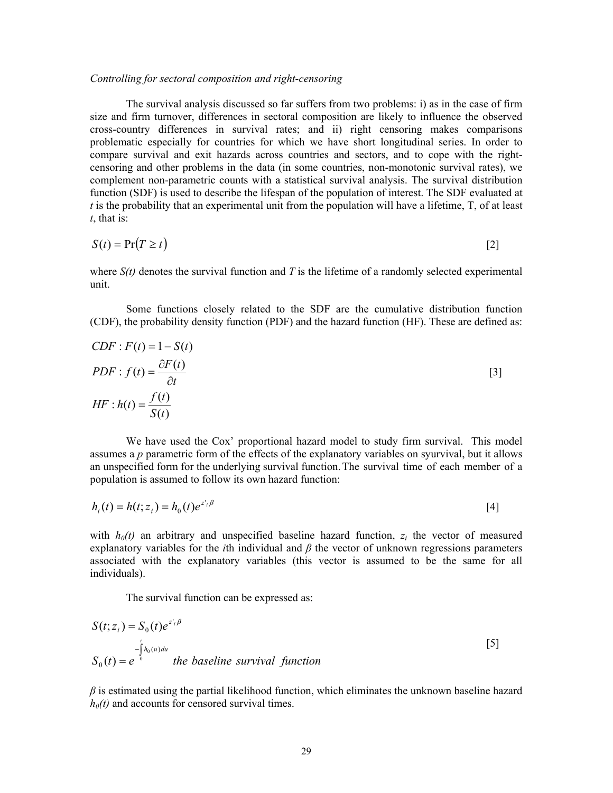#### *Controlling for sectoral composition and right-censoring*

 The survival analysis discussed so far suffers from two problems: i) as in the case of firm size and firm turnover, differences in sectoral composition are likely to influence the observed cross-country differences in survival rates; and ii) right censoring makes comparisons problematic especially for countries for which we have short longitudinal series. In order to compare survival and exit hazards across countries and sectors, and to cope with the rightcensoring and other problems in the data (in some countries, non-monotonic survival rates), we complement non-parametric counts with a statistical survival analysis. The survival distribution function (SDF) is used to describe the lifespan of the population of interest. The SDF evaluated at *t* is the probability that an experimental unit from the population will have a lifetime, T, of at least *t*, that is:

$$
S(t) = \Pr(T \ge t) \tag{2}
$$

where  $S(t)$  denotes the survival function and T is the lifetime of a randomly selected experimental unit.

 Some functions closely related to the SDF are the cumulative distribution function (CDF), the probability density function (PDF) and the hazard function (HF). These are defined as:

$$
CDF : F(t) = 1 - S(t)
$$
  
\n
$$
PDF : f(t) = \frac{\partial F(t)}{\partial t}
$$
  
\n
$$
HF : h(t) = \frac{f(t)}{S(t)}
$$
 [3]

 We have used the Cox' proportional hazard model to study firm survival. This model assumes a *p* parametric form of the effects of the explanatory variables on syurvival, but it allows an unspecified form for the underlying survival function. The survival time of each member of a population is assumed to follow its own hazard function:

$$
h_i(t) = h(t; z_i) = h_0(t)e^{z_i/\beta}
$$
 [4]

with  $h_0(t)$  an arbitrary and unspecified baseline hazard function,  $z_i$  the vector of measured explanatory variables for the *i*th individual and *β* the vector of unknown regressions parameters associated with the explanatory variables (this vector is assumed to be the same for all individuals).

The survival function can be expressed as:

$$
S(t; zi) = S0(t)ez'i\beta
$$
  
\n
$$
S0(t) = e-i/0h0(u)du
$$
  
\n
$$
S0(t) = e-i the baseline survival function
$$
 [5]

*β* is estimated using the partial likelihood function, which eliminates the unknown baseline hazard  $h<sub>0</sub>(t)$  and accounts for censored survival times.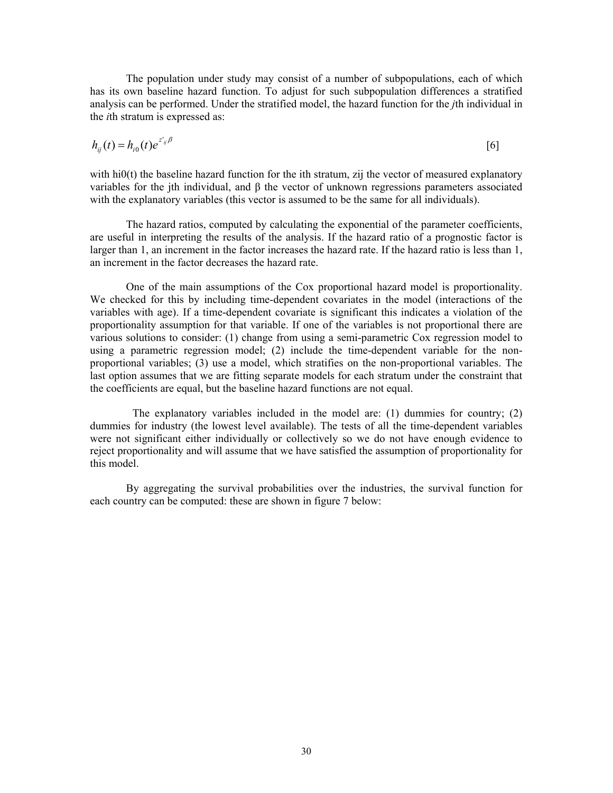The population under study may consist of a number of subpopulations, each of which has its own baseline hazard function. To adjust for such subpopulation differences a stratified analysis can be performed. Under the stratified model, the hazard function for the *j*th individual in the *i*th stratum is expressed as:

$$
h_{ij}(t) = h_{i0}(t)e^{z_{ij}^* \beta}
$$
 [6]

with hi0(t) the baseline hazard function for the ith stratum, zij the vector of measured explanatory variables for the jth individual, and β the vector of unknown regressions parameters associated with the explanatory variables (this vector is assumed to be the same for all individuals).

The hazard ratios, computed by calculating the exponential of the parameter coefficients, are useful in interpreting the results of the analysis. If the hazard ratio of a prognostic factor is larger than 1, an increment in the factor increases the hazard rate. If the hazard ratio is less than 1, an increment in the factor decreases the hazard rate.

 One of the main assumptions of the Cox proportional hazard model is proportionality. We checked for this by including time-dependent covariates in the model (interactions of the variables with age). If a time-dependent covariate is significant this indicates a violation of the proportionality assumption for that variable. If one of the variables is not proportional there are various solutions to consider: (1) change from using a semi-parametric Cox regression model to using a parametric regression model; (2) include the time-dependent variable for the nonproportional variables; (3) use a model, which stratifies on the non-proportional variables. The last option assumes that we are fitting separate models for each stratum under the constraint that the coefficients are equal, but the baseline hazard functions are not equal.

 The explanatory variables included in the model are: (1) dummies for country; (2) dummies for industry (the lowest level available). The tests of all the time-dependent variables were not significant either individually or collectively so we do not have enough evidence to reject proportionality and will assume that we have satisfied the assumption of proportionality for this model.

By aggregating the survival probabilities over the industries, the survival function for each country can be computed: these are shown in figure 7 below: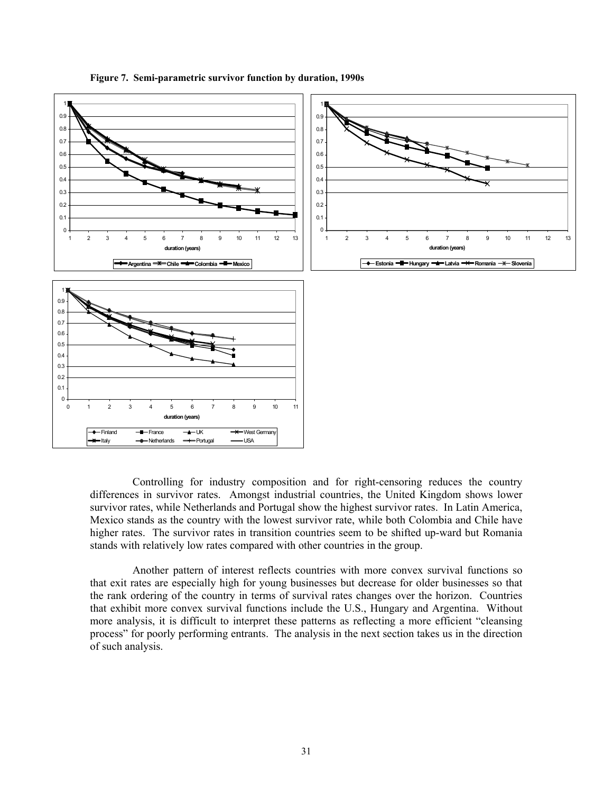**Figure 7. Semi-parametric survivor function by duration, 1990s** 



 Controlling for industry composition and for right-censoring reduces the country differences in survivor rates. Amongst industrial countries, the United Kingdom shows lower survivor rates, while Netherlands and Portugal show the highest survivor rates. In Latin America, Mexico stands as the country with the lowest survivor rate, while both Colombia and Chile have higher rates. The survivor rates in transition countries seem to be shifted up-ward but Romania stands with relatively low rates compared with other countries in the group.

 Another pattern of interest reflects countries with more convex survival functions so that exit rates are especially high for young businesses but decrease for older businesses so that the rank ordering of the country in terms of survival rates changes over the horizon. Countries that exhibit more convex survival functions include the U.S., Hungary and Argentina. Without more analysis, it is difficult to interpret these patterns as reflecting a more efficient "cleansing process" for poorly performing entrants. The analysis in the next section takes us in the direction of such analysis.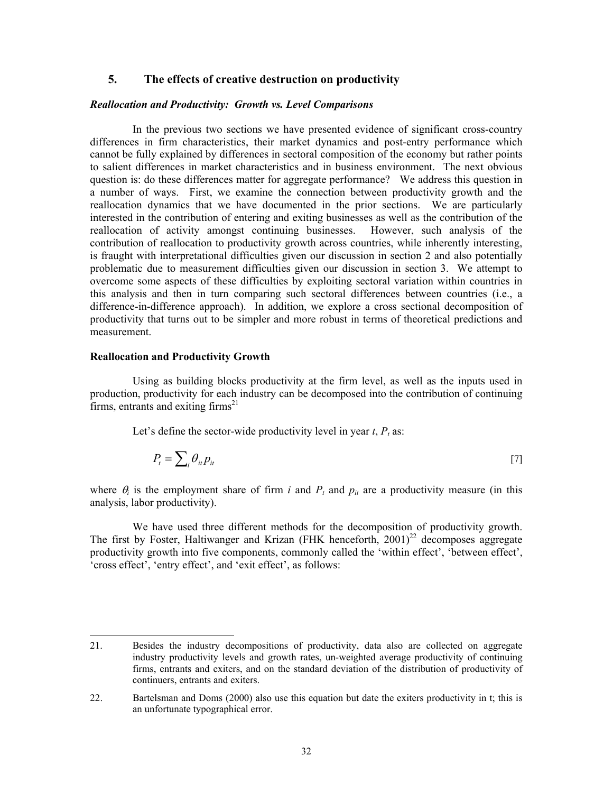### **5. The effects of creative destruction on productivity**

### *Reallocation and Productivity: Growth vs. Level Comparisons*

 In the previous two sections we have presented evidence of significant cross-country differences in firm characteristics, their market dynamics and post-entry performance which cannot be fully explained by differences in sectoral composition of the economy but rather points to salient differences in market characteristics and in business environment. The next obvious question is: do these differences matter for aggregate performance? We address this question in a number of ways. First, we examine the connection between productivity growth and the reallocation dynamics that we have documented in the prior sections. We are particularly interested in the contribution of entering and exiting businesses as well as the contribution of the reallocation of activity amongst continuing businesses. However, such analysis of the contribution of reallocation to productivity growth across countries, while inherently interesting, is fraught with interpretational difficulties given our discussion in section 2 and also potentially problematic due to measurement difficulties given our discussion in section 3. We attempt to overcome some aspects of these difficulties by exploiting sectoral variation within countries in this analysis and then in turn comparing such sectoral differences between countries (i.e., a difference-in-difference approach). In addition, we explore a cross sectional decomposition of productivity that turns out to be simpler and more robust in terms of theoretical predictions and measurement.

### **Reallocation and Productivity Growth**

l

 Using as building blocks productivity at the firm level, as well as the inputs used in production, productivity for each industry can be decomposed into the contribution of continuing firms, entrants and exiting  $\text{firms}^{21}$ 

Let's define the sector-wide productivity level in year  $t$ ,  $P_t$  as:

$$
P_t = \sum_i \theta_{it} p_{it} \tag{7}
$$

where  $\theta_i$  is the employment share of firm *i* and  $P_t$  and  $p_{it}$  are a productivity measure (in this analysis, labor productivity).

 We have used three different methods for the decomposition of productivity growth. The first by Foster, Haltiwanger and Krizan (FHK henceforth,  $2001$ )<sup>22</sup> decomposes aggregate productivity growth into five components, commonly called the 'within effect', 'between effect', 'cross effect', 'entry effect', and 'exit effect', as follows:

<sup>21.</sup> Besides the industry decompositions of productivity, data also are collected on aggregate industry productivity levels and growth rates, un-weighted average productivity of continuing firms, entrants and exiters, and on the standard deviation of the distribution of productivity of continuers, entrants and exiters.

<sup>22.</sup> Bartelsman and Doms (2000) also use this equation but date the exiters productivity in t; this is an unfortunate typographical error.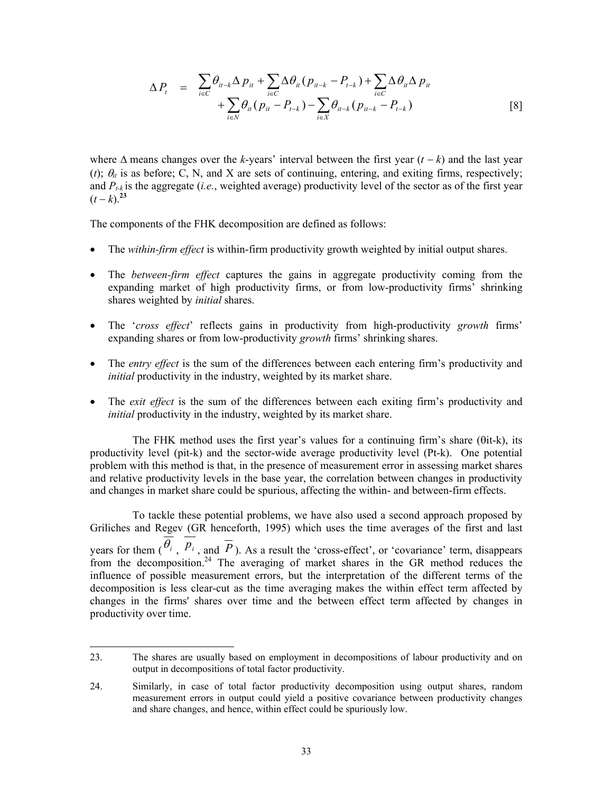$$
\Delta P_t = \sum_{i \in C} \theta_{it-k} \Delta p_{it} + \sum_{i \in C} \Delta \theta_{it} (p_{it-k} - P_{t-k}) + \sum_{i \in C} \Delta \theta_{it} \Delta p_{it} + \sum_{i \in N} \theta_{it} (p_{it} - P_{t-k}) - \sum_{i \in X} \theta_{it-k} (p_{it-k} - P_{t-k})
$$
\n
$$
(8)
$$

where ∆ means changes over the *k*-years' interval between the first year (*t* − *k*) and the last year (*t*);  $\theta_i$  is as before; C, N, and X are sets of continuing, entering, and exiting firms, respectively; and *Pt-k* is the aggregate (*i.e.*, weighted average) productivity level of the sector as of the first year  $(t - k)^{23}$ 

The components of the FHK decomposition are defined as follows:

- The *within-firm effect* is within-firm productivity growth weighted by initial output shares.
- The *between-firm effect* captures the gains in aggregate productivity coming from the expanding market of high productivity firms, or from low-productivity firms' shrinking shares weighted by *initial* shares.
- The '*cross effect*' reflects gains in productivity from high-productivity *growth* firms' expanding shares or from low-productivity *growth* firms' shrinking shares.
- The *entry effect* is the sum of the differences between each entering firm's productivity and *initial* productivity in the industry, weighted by its market share.
- The *exit effect* is the sum of the differences between each exiting firm's productivity and *initial* productivity in the industry, weighted by its market share.

 The FHK method uses the first year's values for a continuing firm's share (θit-k), its productivity level (pit-k) and the sector-wide average productivity level (Pt-k). One potential problem with this method is that, in the presence of measurement error in assessing market shares and relative productivity levels in the base year, the correlation between changes in productivity and changes in market share could be spurious, affecting the within- and between-firm effects.

 To tackle these potential problems, we have also used a second approach proposed by Griliches and Regev (GR henceforth, 1995) which uses the time averages of the first and last years for them  $(\theta_i, P_i)$ , and  $\overline{P}$ ). As a result the 'cross-effect', or 'covariance' term, disappears from the decomposition.<sup>24</sup> The averaging of market shares in the GR method reduces the influence of possible measurement errors, but the interpretation of the different terms of the decomposition is less clear-cut as the time averaging makes the within effect term affected by changes in the firms' shares over time and the between effect term affected by changes in productivity over time.

 $\overline{a}$ 

<sup>23.</sup> The shares are usually based on employment in decompositions of labour productivity and on output in decompositions of total factor productivity.

<sup>24.</sup> Similarly, in case of total factor productivity decomposition using output shares, random measurement errors in output could yield a positive covariance between productivity changes and share changes, and hence, within effect could be spuriously low.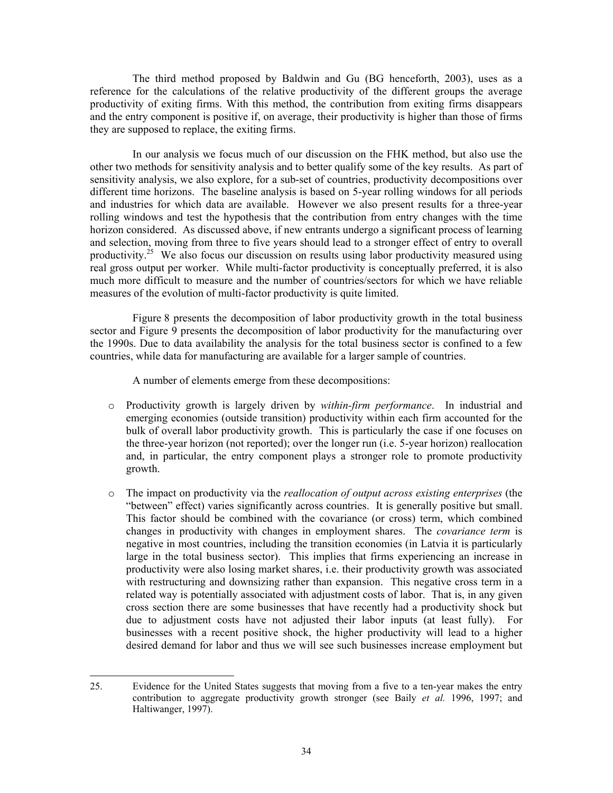The third method proposed by Baldwin and Gu (BG henceforth, 2003), uses as a reference for the calculations of the relative productivity of the different groups the average productivity of exiting firms. With this method, the contribution from exiting firms disappears and the entry component is positive if, on average, their productivity is higher than those of firms they are supposed to replace, the exiting firms.

 In our analysis we focus much of our discussion on the FHK method, but also use the other two methods for sensitivity analysis and to better qualify some of the key results. As part of sensitivity analysis, we also explore, for a sub-set of countries, productivity decompositions over different time horizons. The baseline analysis is based on 5-year rolling windows for all periods and industries for which data are available. However we also present results for a three-year rolling windows and test the hypothesis that the contribution from entry changes with the time horizon considered. As discussed above, if new entrants undergo a significant process of learning and selection, moving from three to five years should lead to a stronger effect of entry to overall productivity.25 We also focus our discussion on results using labor productivity measured using real gross output per worker. While multi-factor productivity is conceptually preferred, it is also much more difficult to measure and the number of countries/sectors for which we have reliable measures of the evolution of multi-factor productivity is quite limited.

 Figure 8 presents the decomposition of labor productivity growth in the total business sector and Figure 9 presents the decomposition of labor productivity for the manufacturing over the 1990s. Due to data availability the analysis for the total business sector is confined to a few countries, while data for manufacturing are available for a larger sample of countries.

A number of elements emerge from these decompositions:

- o Productivity growth is largely driven by *within-firm performance*. In industrial and emerging economies (outside transition) productivity within each firm accounted for the bulk of overall labor productivity growth. This is particularly the case if one focuses on the three-year horizon (not reported); over the longer run (i.e. 5-year horizon) reallocation and, in particular, the entry component plays a stronger role to promote productivity growth.
- o The impact on productivity via the *reallocation of output across existing enterprises* (the "between" effect) varies significantly across countries. It is generally positive but small. This factor should be combined with the covariance (or cross) term, which combined changes in productivity with changes in employment shares. The *covariance term* is negative in most countries, including the transition economies (in Latvia it is particularly large in the total business sector). This implies that firms experiencing an increase in productivity were also losing market shares, i.e. their productivity growth was associated with restructuring and downsizing rather than expansion. This negative cross term in a related way is potentially associated with adjustment costs of labor. That is, in any given cross section there are some businesses that have recently had a productivity shock but due to adjustment costs have not adjusted their labor inputs (at least fully). For businesses with a recent positive shock, the higher productivity will lead to a higher desired demand for labor and thus we will see such businesses increase employment but

l

<sup>25.</sup> Evidence for the United States suggests that moving from a five to a ten-year makes the entry contribution to aggregate productivity growth stronger (see Baily *et al.* 1996, 1997; and Haltiwanger, 1997).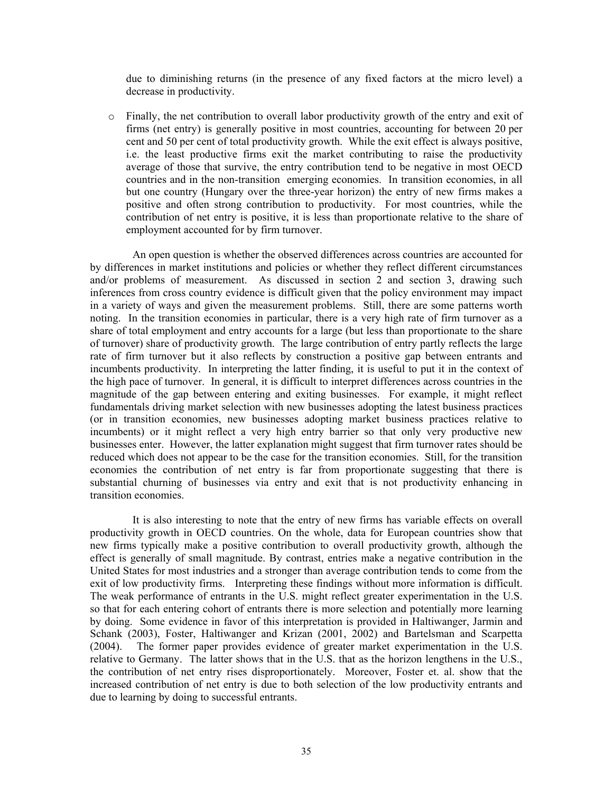due to diminishing returns (in the presence of any fixed factors at the micro level) a decrease in productivity.

o Finally, the net contribution to overall labor productivity growth of the entry and exit of firms (net entry) is generally positive in most countries, accounting for between 20 per cent and 50 per cent of total productivity growth. While the exit effect is always positive, i.e. the least productive firms exit the market contributing to raise the productivity average of those that survive, the entry contribution tend to be negative in most OECD countries and in the non-transition emerging economies. In transition economies, in all but one country (Hungary over the three-year horizon) the entry of new firms makes a positive and often strong contribution to productivity. For most countries, while the contribution of net entry is positive, it is less than proportionate relative to the share of employment accounted for by firm turnover.

 An open question is whether the observed differences across countries are accounted for by differences in market institutions and policies or whether they reflect different circumstances and/or problems of measurement. As discussed in section 2 and section 3, drawing such inferences from cross country evidence is difficult given that the policy environment may impact in a variety of ways and given the measurement problems. Still, there are some patterns worth noting. In the transition economies in particular, there is a very high rate of firm turnover as a share of total employment and entry accounts for a large (but less than proportionate to the share of turnover) share of productivity growth. The large contribution of entry partly reflects the large rate of firm turnover but it also reflects by construction a positive gap between entrants and incumbents productivity. In interpreting the latter finding, it is useful to put it in the context of the high pace of turnover. In general, it is difficult to interpret differences across countries in the magnitude of the gap between entering and exiting businesses. For example, it might reflect fundamentals driving market selection with new businesses adopting the latest business practices (or in transition economies, new businesses adopting market business practices relative to incumbents) or it might reflect a very high entry barrier so that only very productive new businesses enter. However, the latter explanation might suggest that firm turnover rates should be reduced which does not appear to be the case for the transition economies. Still, for the transition economies the contribution of net entry is far from proportionate suggesting that there is substantial churning of businesses via entry and exit that is not productivity enhancing in transition economies.

 It is also interesting to note that the entry of new firms has variable effects on overall productivity growth in OECD countries. On the whole, data for European countries show that new firms typically make a positive contribution to overall productivity growth, although the effect is generally of small magnitude. By contrast, entries make a negative contribution in the United States for most industries and a stronger than average contribution tends to come from the exit of low productivity firms. Interpreting these findings without more information is difficult. The weak performance of entrants in the U.S. might reflect greater experimentation in the U.S. so that for each entering cohort of entrants there is more selection and potentially more learning by doing. Some evidence in favor of this interpretation is provided in Haltiwanger, Jarmin and Schank (2003), Foster, Haltiwanger and Krizan (2001, 2002) and Bartelsman and Scarpetta (2004). The former paper provides evidence of greater market experimentation in the U.S. relative to Germany. The latter shows that in the U.S. that as the horizon lengthens in the U.S., the contribution of net entry rises disproportionately. Moreover, Foster et. al. show that the increased contribution of net entry is due to both selection of the low productivity entrants and due to learning by doing to successful entrants.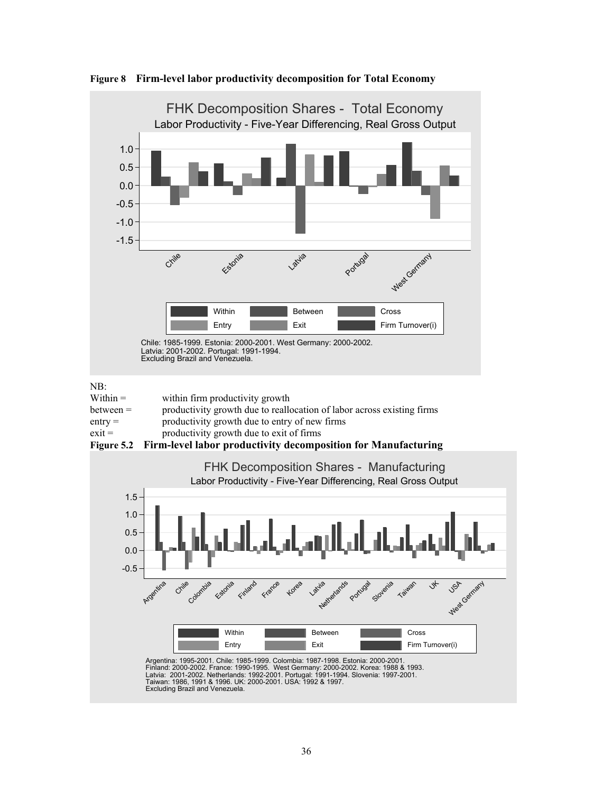

**Figure 8 Firm-level labor productivity decomposition for Total Economy**

#### NB:

| Within $=$<br>$between =$ | within firm productivity growth<br>productivity growth due to reallocation of labor across existing firms |
|---------------------------|-----------------------------------------------------------------------------------------------------------|
| $entry =$                 | productivity growth due to entry of new firms                                                             |
| $\overline{exit}$         | productivity growth due to exit of firms                                                                  |
| $\blacksquare$            | - 1 11 12 12 12 12 13 14 15 17 18 18 1                                                                    |

**Figure 5.2 Firm-level labor productivity decomposition for Manufacturing**



Finland: 2000-2002. France: 1990-1995. West Germany: 2000-2002. Korea: 1988 & 1993.<br>Latvia: 2001-2002. Netherlands: 1992-2001. Portugal: 1991-1994. Slovenia: 1997-2001.<br>Taiwan: 1986, 1991 & 1996. UK: 2000-2001. USA: 1992 Excluding Brazil and Venezuela.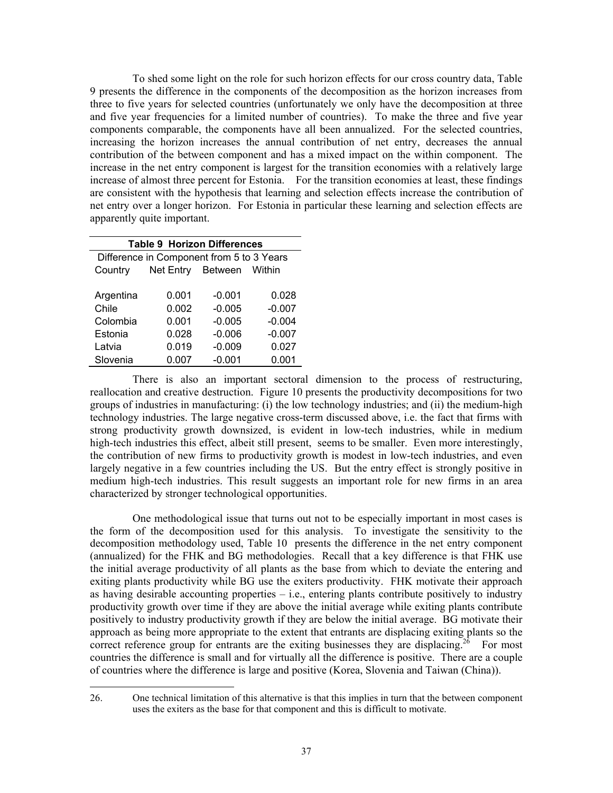To shed some light on the role for such horizon effects for our cross country data, Table 9 presents the difference in the components of the decomposition as the horizon increases from three to five years for selected countries (unfortunately we only have the decomposition at three and five year frequencies for a limited number of countries). To make the three and five year components comparable, the components have all been annualized. For the selected countries, increasing the horizon increases the annual contribution of net entry, decreases the annual contribution of the between component and has a mixed impact on the within component. The increase in the net entry component is largest for the transition economies with a relatively large increase of almost three percent for Estonia. For the transition economies at least, these findings are consistent with the hypothesis that learning and selection effects increase the contribution of net entry over a longer horizon. For Estonia in particular these learning and selection effects are apparently quite important.

| <b>Table 9 Horizon Differences</b>        |       |                          |          |  |  |  |
|-------------------------------------------|-------|--------------------------|----------|--|--|--|
| Difference in Component from 5 to 3 Years |       |                          |          |  |  |  |
| Country                                   |       | Net Entry Between Within |          |  |  |  |
|                                           |       |                          |          |  |  |  |
| Argentina                                 | 0.001 | $-0.001$                 | 0.028    |  |  |  |
| Chile                                     | 0.002 | $-0.005$                 | $-0.007$ |  |  |  |
| Colombia                                  | 0.001 | $-0.005$                 | $-0.004$ |  |  |  |
| Estonia                                   | 0.028 | $-0.006$                 | $-0.007$ |  |  |  |
| Latvia                                    | 0.019 | $-0.009$                 | 0.027    |  |  |  |
| Slovenia                                  | 0.007 | $-0.001$                 | 0.001    |  |  |  |

 $\overline{a}$ 

 There is also an important sectoral dimension to the process of restructuring, reallocation and creative destruction. Figure 10 presents the productivity decompositions for two groups of industries in manufacturing: (i) the low technology industries; and (ii) the medium-high technology industries. The large negative cross-term discussed above, i.e. the fact that firms with strong productivity growth downsized, is evident in low-tech industries, while in medium high-tech industries this effect, albeit still present, seems to be smaller. Even more interestingly, the contribution of new firms to productivity growth is modest in low-tech industries, and even largely negative in a few countries including the US. But the entry effect is strongly positive in medium high-tech industries. This result suggests an important role for new firms in an area characterized by stronger technological opportunities.

 One methodological issue that turns out not to be especially important in most cases is the form of the decomposition used for this analysis. To investigate the sensitivity to the decomposition methodology used, Table 10 presents the difference in the net entry component (annualized) for the FHK and BG methodologies. Recall that a key difference is that FHK use the initial average productivity of all plants as the base from which to deviate the entering and exiting plants productivity while BG use the exiters productivity. FHK motivate their approach as having desirable accounting properties – i.e., entering plants contribute positively to industry productivity growth over time if they are above the initial average while exiting plants contribute positively to industry productivity growth if they are below the initial average. BG motivate their approach as being more appropriate to the extent that entrants are displacing exiting plants so the correct reference group for entrants are the exiting businesses they are displacing.<sup>26</sup> For most countries the difference is small and for virtually all the difference is positive. There are a couple of countries where the difference is large and positive (Korea, Slovenia and Taiwan (China)).

<sup>26.</sup> One technical limitation of this alternative is that this implies in turn that the between component uses the exiters as the base for that component and this is difficult to motivate.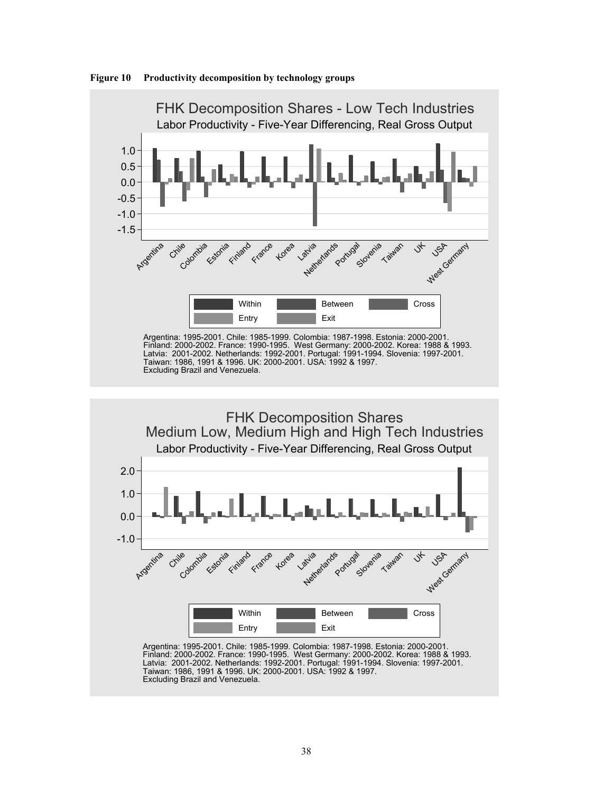

**Figure 10 Productivity decomposition by technology groups** 

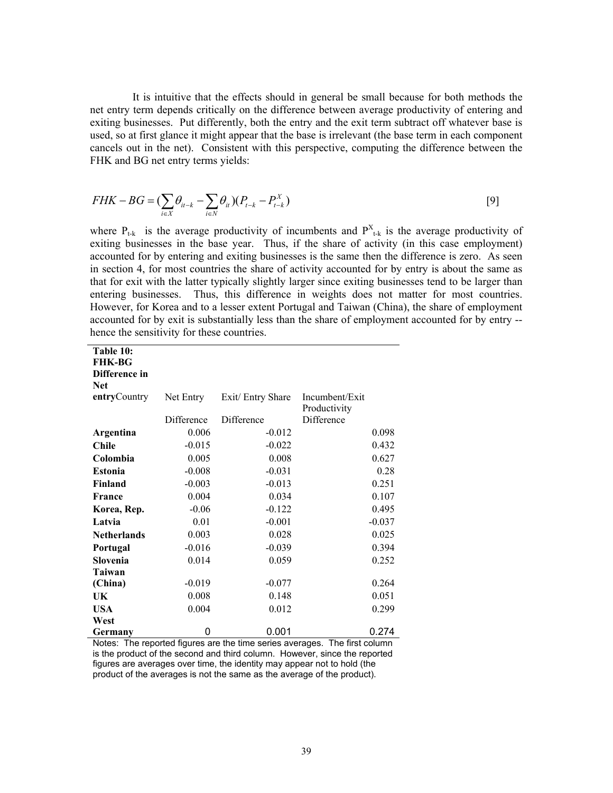It is intuitive that the effects should in general be small because for both methods the net entry term depends critically on the difference between average productivity of entering and exiting businesses. Put differently, both the entry and the exit term subtract off whatever base is used, so at first glance it might appear that the base is irrelevant (the base term in each component cancels out in the net). Consistent with this perspective, computing the difference between the FHK and BG net entry terms yields:

$$
FHK - BG = \left(\sum_{i \in X} \theta_{it-k} - \sum_{i \in N} \theta_{it}\right) (P_{t-k} - P_{t-k}^X) \tag{9}
$$

where  $P_{t-k}$  is the average productivity of incumbents and  $P_{t-k}^{X}$  is the average productivity of exiting businesses in the base year. Thus, if the share of activity (in this case employment) accounted for by entering and exiting businesses is the same then the difference is zero. As seen in section 4, for most countries the share of activity accounted for by entry is about the same as that for exit with the latter typically slightly larger since exiting businesses tend to be larger than entering businesses. Thus, this difference in weights does not matter for most countries. However, for Korea and to a lesser extent Portugal and Taiwan (China), the share of employment accounted for by exit is substantially less than the share of employment accounted for by entry - hence the sensitivity for these countries.

| Table 10:                      |            |                   |                |
|--------------------------------|------------|-------------------|----------------|
| <b>FHK-BG</b><br>Difference in |            |                   |                |
| <b>Net</b>                     |            |                   |                |
| entryCountry                   | Net Entry  | Exit/ Entry Share | Incumbent/Exit |
|                                |            |                   | Productivity   |
|                                | Difference | Difference        | Difference     |
| Argentina                      | 0.006      | $-0.012$          | 0.098          |
| <b>Chile</b>                   | $-0.015$   | $-0.022$          | 0.432          |
| Colombia                       | 0.005      | 0.008             | 0.627          |
| <b>Estonia</b>                 | $-0.008$   | $-0.031$          | 0.28           |
| Finland                        | $-0.003$   | $-0.013$          | 0.251          |
| <b>France</b>                  | 0.004      | 0.034             | 0.107          |
| Korea, Rep.                    | $-0.06$    | $-0.122$          | 0.495          |
| Latvia                         | 0.01       | $-0.001$          | $-0.037$       |
| <b>Netherlands</b>             | 0.003      | 0.028             | 0.025          |
| Portugal                       | $-0.016$   | $-0.039$          | 0.394          |
| Slovenia                       | 0.014      | 0.059             | 0.252          |
| Taiwan                         |            |                   |                |
| (China)                        | $-0.019$   | $-0.077$          | 0.264          |
| UK                             | 0.008      | 0.148             | 0.051          |
| <b>USA</b>                     | 0.004      | 0.012             | 0.299          |
| West                           |            |                   |                |
| Germany                        | 0          | 0.001             | 0.274          |

Notes: The reported figures are the time series averages. The first column is the product of the second and third column. However, since the reported figures are averages over time, the identity may appear not to hold (the product of the averages is not the same as the average of the product).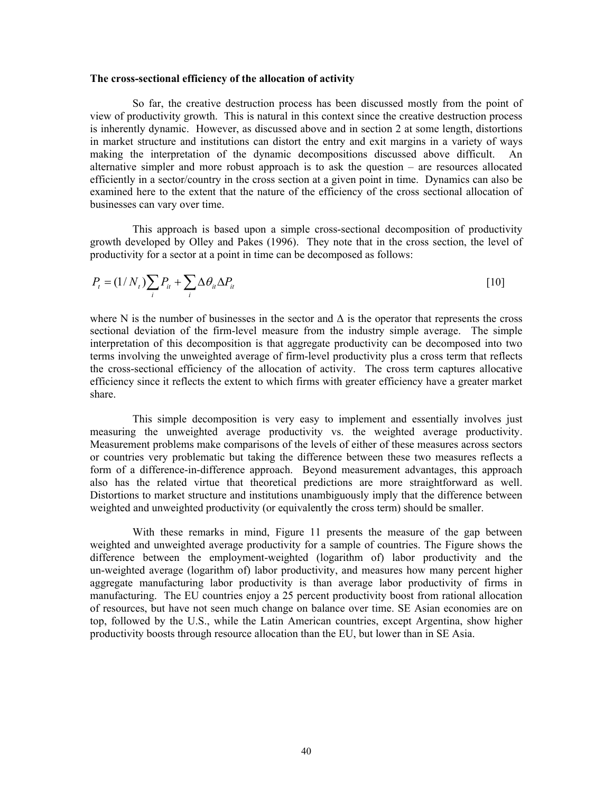#### **The cross-sectional efficiency of the allocation of activity**

 So far, the creative destruction process has been discussed mostly from the point of view of productivity growth. This is natural in this context since the creative destruction process is inherently dynamic. However, as discussed above and in section 2 at some length, distortions in market structure and institutions can distort the entry and exit margins in a variety of ways making the interpretation of the dynamic decompositions discussed above difficult. An alternative simpler and more robust approach is to ask the question – are resources allocated efficiently in a sector/country in the cross section at a given point in time. Dynamics can also be examined here to the extent that the nature of the efficiency of the cross sectional allocation of businesses can vary over time.

 This approach is based upon a simple cross-sectional decomposition of productivity growth developed by Olley and Pakes (1996). They note that in the cross section, the level of productivity for a sector at a point in time can be decomposed as follows:

$$
P_t = (1/N_t)\sum_i P_{it} + \sum_i \Delta \theta_{it} \Delta P_{it}
$$
\n<sup>[10]</sup>

where N is the number of businesses in the sector and  $\Delta$  is the operator that represents the cross sectional deviation of the firm-level measure from the industry simple average. The simple interpretation of this decomposition is that aggregate productivity can be decomposed into two terms involving the unweighted average of firm-level productivity plus a cross term that reflects the cross-sectional efficiency of the allocation of activity. The cross term captures allocative efficiency since it reflects the extent to which firms with greater efficiency have a greater market share.

 This simple decomposition is very easy to implement and essentially involves just measuring the unweighted average productivity vs. the weighted average productivity. Measurement problems make comparisons of the levels of either of these measures across sectors or countries very problematic but taking the difference between these two measures reflects a form of a difference-in-difference approach. Beyond measurement advantages, this approach also has the related virtue that theoretical predictions are more straightforward as well. Distortions to market structure and institutions unambiguously imply that the difference between weighted and unweighted productivity (or equivalently the cross term) should be smaller.

 With these remarks in mind, Figure 11 presents the measure of the gap between weighted and unweighted average productivity for a sample of countries. The Figure shows the difference between the employment-weighted (logarithm of) labor productivity and the un-weighted average (logarithm of) labor productivity, and measures how many percent higher aggregate manufacturing labor productivity is than average labor productivity of firms in manufacturing. The EU countries enjoy a 25 percent productivity boost from rational allocation of resources, but have not seen much change on balance over time. SE Asian economies are on top, followed by the U.S., while the Latin American countries, except Argentina, show higher productivity boosts through resource allocation than the EU, but lower than in SE Asia.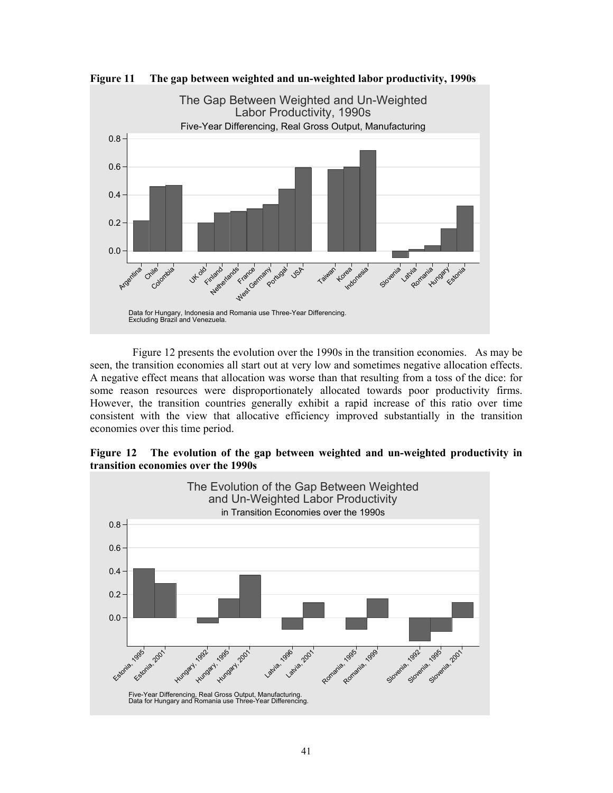

**Figure 11 The gap between weighted and un-weighted labor productivity, 1990s** 

 Figure 12 presents the evolution over the 1990s in the transition economies. As may be seen, the transition economies all start out at very low and sometimes negative allocation effects. A negative effect means that allocation was worse than that resulting from a toss of the dice: for some reason resources were disproportionately allocated towards poor productivity firms. However, the transition countries generally exhibit a rapid increase of this ratio over time consistent with the view that allocative efficiency improved substantially in the transition economies over this time period.



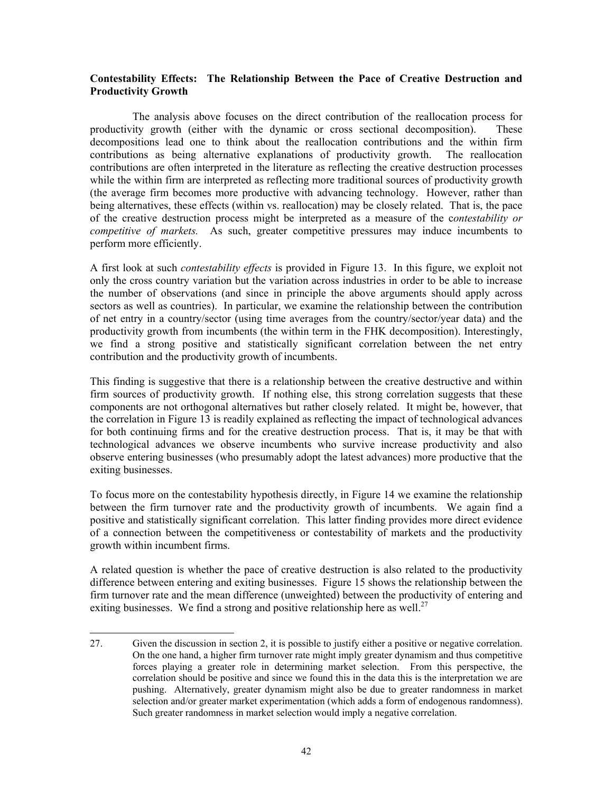### **Contestability Effects: The Relationship Between the Pace of Creative Destruction and Productivity Growth**

 The analysis above focuses on the direct contribution of the reallocation process for productivity growth (either with the dynamic or cross sectional decomposition). These decompositions lead one to think about the reallocation contributions and the within firm contributions as being alternative explanations of productivity growth. The reallocation contributions are often interpreted in the literature as reflecting the creative destruction processes while the within firm are interpreted as reflecting more traditional sources of productivity growth (the average firm becomes more productive with advancing technology. However, rather than being alternatives, these effects (within vs. reallocation) may be closely related. That is, the pace of the creative destruction process might be interpreted as a measure of the c*ontestability or competitive of markets.* As such, greater competitive pressures may induce incumbents to perform more efficiently.

A first look at such *contestability effects* is provided in Figure 13. In this figure, we exploit not only the cross country variation but the variation across industries in order to be able to increase the number of observations (and since in principle the above arguments should apply across sectors as well as countries). In particular, we examine the relationship between the contribution of net entry in a country/sector (using time averages from the country/sector/year data) and the productivity growth from incumbents (the within term in the FHK decomposition). Interestingly, we find a strong positive and statistically significant correlation between the net entry contribution and the productivity growth of incumbents.

This finding is suggestive that there is a relationship between the creative destructive and within firm sources of productivity growth. If nothing else, this strong correlation suggests that these components are not orthogonal alternatives but rather closely related. It might be, however, that the correlation in Figure 13 is readily explained as reflecting the impact of technological advances for both continuing firms and for the creative destruction process. That is, it may be that with technological advances we observe incumbents who survive increase productivity and also observe entering businesses (who presumably adopt the latest advances) more productive that the exiting businesses.

To focus more on the contestability hypothesis directly, in Figure 14 we examine the relationship between the firm turnover rate and the productivity growth of incumbents. We again find a positive and statistically significant correlation. This latter finding provides more direct evidence of a connection between the competitiveness or contestability of markets and the productivity growth within incumbent firms.

A related question is whether the pace of creative destruction is also related to the productivity difference between entering and exiting businesses. Figure 15 shows the relationship between the firm turnover rate and the mean difference (unweighted) between the productivity of entering and exiting businesses. We find a strong and positive relationship here as well.<sup>27</sup>

 $\overline{a}$ 

<sup>27.</sup> Given the discussion in section 2, it is possible to justify either a positive or negative correlation. On the one hand, a higher firm turnover rate might imply greater dynamism and thus competitive forces playing a greater role in determining market selection. From this perspective, the correlation should be positive and since we found this in the data this is the interpretation we are pushing. Alternatively, greater dynamism might also be due to greater randomness in market selection and/or greater market experimentation (which adds a form of endogenous randomness). Such greater randomness in market selection would imply a negative correlation.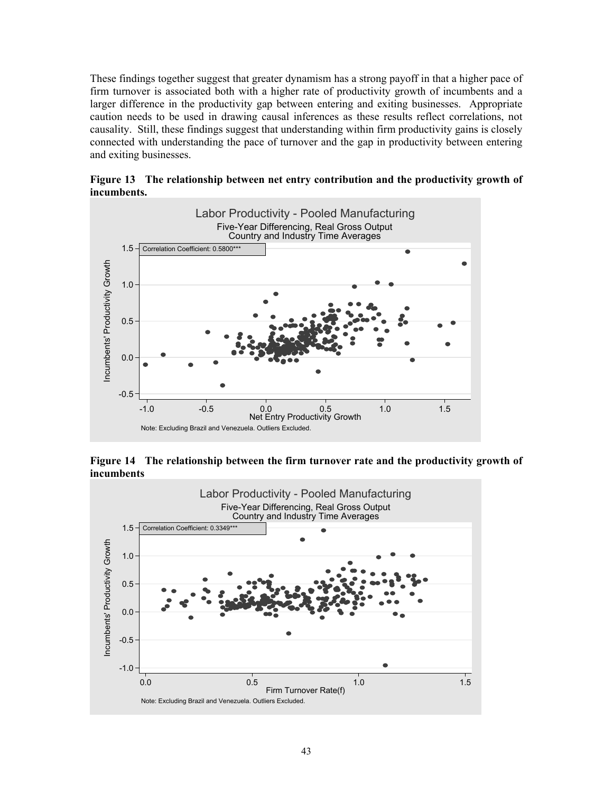These findings together suggest that greater dynamism has a strong payoff in that a higher pace of firm turnover is associated both with a higher rate of productivity growth of incumbents and a larger difference in the productivity gap between entering and exiting businesses. Appropriate caution needs to be used in drawing causal inferences as these results reflect correlations, not causality. Still, these findings suggest that understanding within firm productivity gains is closely connected with understanding the pace of turnover and the gap in productivity between entering and exiting businesses.



**Figure 13 The relationship between net entry contribution and the productivity growth of incumbents.** 

**Figure 14 The relationship between the firm turnover rate and the productivity growth of incumbents**

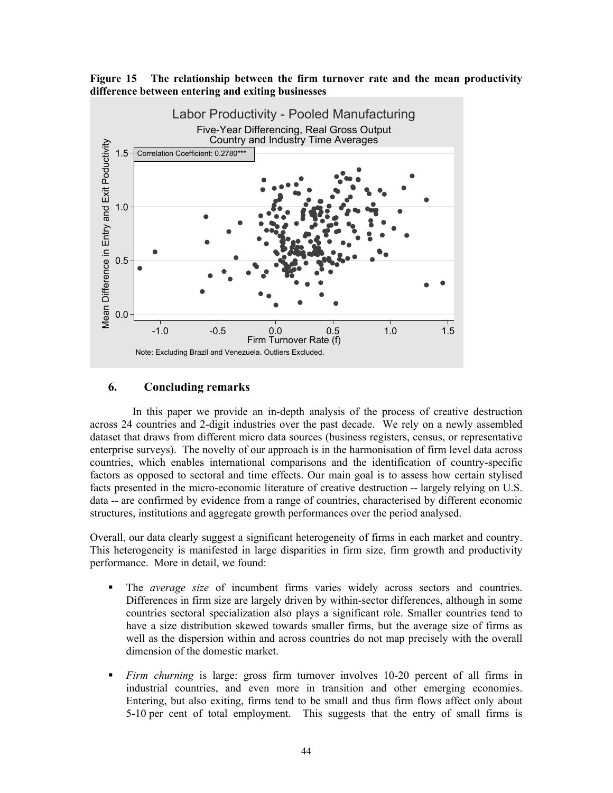

**Figure 15 The relationship between the firm turnover rate and the mean productivity difference between entering and exiting businesses**

# **6. Concluding remarks**

 In this paper we provide an in-depth analysis of the process of creative destruction across 24 countries and 2-digit industries over the past decade. We rely on a newly assembled dataset that draws from different micro data sources (business registers, census, or representative enterprise surveys). The novelty of our approach is in the harmonisation of firm level data across countries, which enables international comparisons and the identification of country-specific factors as opposed to sectoral and time effects. Our main goal is to assess how certain stylised facts presented in the micro-economic literature of creative destruction -- largely relying on U.S. data -- are confirmed by evidence from a range of countries, characterised by different economic structures, institutions and aggregate growth performances over the period analysed.

Overall, our data clearly suggest a significant heterogeneity of firms in each market and country. This heterogeneity is manifested in large disparities in firm size, firm growth and productivity performance. More in detail, we found:

- The *average size* of incumbent firms varies widely across sectors and countries. Differences in firm size are largely driven by within-sector differences, although in some countries sectoral specialization also plays a significant role. Smaller countries tend to have a size distribution skewed towards smaller firms, but the average size of firms as well as the dispersion within and across countries do not map precisely with the overall dimension of the domestic market.
- *Firm churning* is large: gross firm turnover involves 10-20 percent of all firms in industrial countries, and even more in transition and other emerging economies. Entering, but also exiting, firms tend to be small and thus firm flows affect only about 5-10 per cent of total employment. This suggests that the entry of small firms is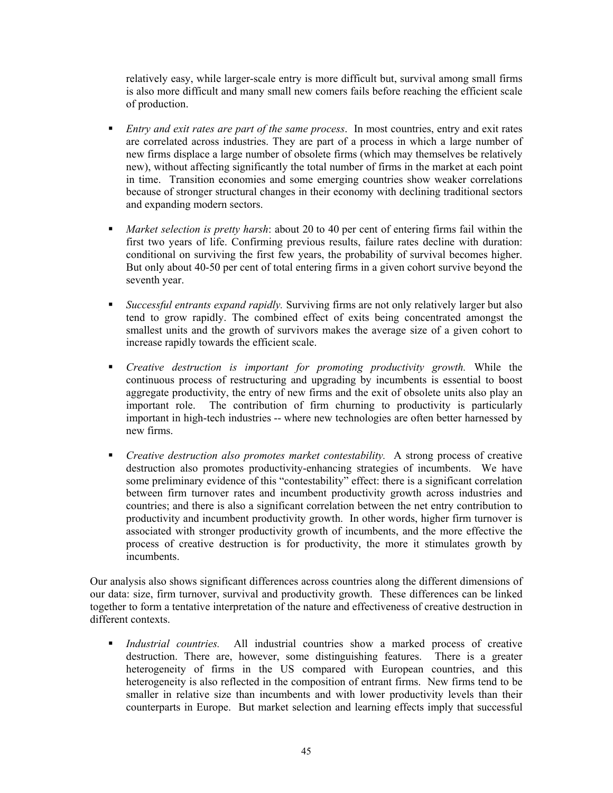relatively easy, while larger-scale entry is more difficult but, survival among small firms is also more difficult and many small new comers fails before reaching the efficient scale of production.

- *Entry and exit rates are part of the same process*. In most countries, entry and exit rates are correlated across industries. They are part of a process in which a large number of new firms displace a large number of obsolete firms (which may themselves be relatively new), without affecting significantly the total number of firms in the market at each point in time. Transition economies and some emerging countries show weaker correlations because of stronger structural changes in their economy with declining traditional sectors and expanding modern sectors.
- *Market selection is pretty harsh*: about 20 to 40 per cent of entering firms fail within the first two years of life. Confirming previous results, failure rates decline with duration: conditional on surviving the first few years, the probability of survival becomes higher. But only about 40-50 per cent of total entering firms in a given cohort survive beyond the seventh year.
- *Successful entrants expand rapidly.* Surviving firms are not only relatively larger but also tend to grow rapidly. The combined effect of exits being concentrated amongst the smallest units and the growth of survivors makes the average size of a given cohort to increase rapidly towards the efficient scale.
- *Creative destruction is important for promoting productivity growth.* While the continuous process of restructuring and upgrading by incumbents is essential to boost aggregate productivity, the entry of new firms and the exit of obsolete units also play an important role. The contribution of firm churning to productivity is particularly important in high-tech industries -- where new technologies are often better harnessed by new firms.
- *Creative destruction also promotes market contestability.* A strong process of creative destruction also promotes productivity-enhancing strategies of incumbents. We have some preliminary evidence of this "contestability" effect: there is a significant correlation between firm turnover rates and incumbent productivity growth across industries and countries; and there is also a significant correlation between the net entry contribution to productivity and incumbent productivity growth. In other words, higher firm turnover is associated with stronger productivity growth of incumbents, and the more effective the process of creative destruction is for productivity, the more it stimulates growth by incumbents.

Our analysis also shows significant differences across countries along the different dimensions of our data: size, firm turnover, survival and productivity growth. These differences can be linked together to form a tentative interpretation of the nature and effectiveness of creative destruction in different contexts.

 *Industrial countries.* All industrial countries show a marked process of creative destruction. There are, however, some distinguishing features. There is a greater heterogeneity of firms in the US compared with European countries, and this heterogeneity is also reflected in the composition of entrant firms. New firms tend to be smaller in relative size than incumbents and with lower productivity levels than their counterparts in Europe. But market selection and learning effects imply that successful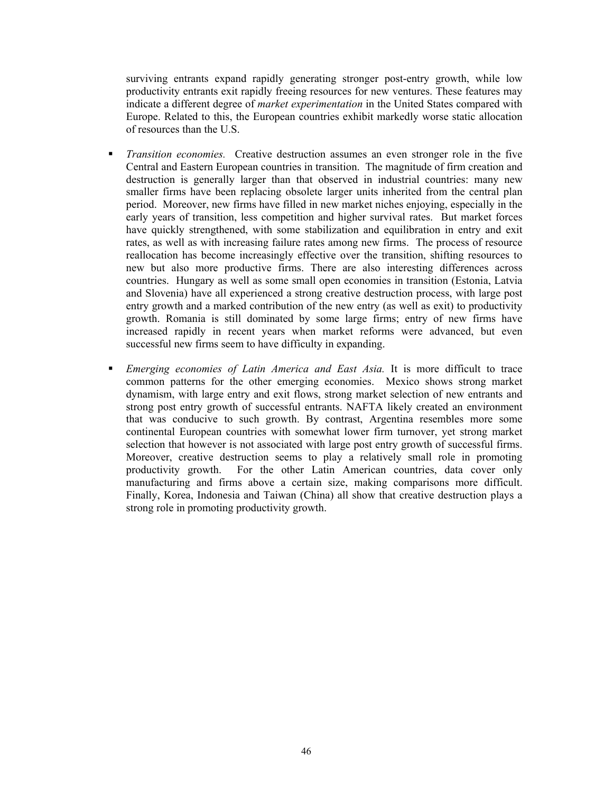surviving entrants expand rapidly generating stronger post-entry growth, while low productivity entrants exit rapidly freeing resources for new ventures. These features may indicate a different degree of *market experimentation* in the United States compared with Europe. Related to this, the European countries exhibit markedly worse static allocation of resources than the U.S.

- *Transition economies.* Creative destruction assumes an even stronger role in the five Central and Eastern European countries in transition. The magnitude of firm creation and destruction is generally larger than that observed in industrial countries: many new smaller firms have been replacing obsolete larger units inherited from the central plan period. Moreover, new firms have filled in new market niches enjoying, especially in the early years of transition, less competition and higher survival rates. But market forces have quickly strengthened, with some stabilization and equilibration in entry and exit rates, as well as with increasing failure rates among new firms. The process of resource reallocation has become increasingly effective over the transition, shifting resources to new but also more productive firms. There are also interesting differences across countries. Hungary as well as some small open economies in transition (Estonia, Latvia and Slovenia) have all experienced a strong creative destruction process, with large post entry growth and a marked contribution of the new entry (as well as exit) to productivity growth. Romania is still dominated by some large firms; entry of new firms have increased rapidly in recent years when market reforms were advanced, but even successful new firms seem to have difficulty in expanding.
- *Emerging economies of Latin America and East Asia.* It is more difficult to trace common patterns for the other emerging economies. Mexico shows strong market dynamism, with large entry and exit flows, strong market selection of new entrants and strong post entry growth of successful entrants. NAFTA likely created an environment that was conducive to such growth. By contrast, Argentina resembles more some continental European countries with somewhat lower firm turnover, yet strong market selection that however is not associated with large post entry growth of successful firms. Moreover, creative destruction seems to play a relatively small role in promoting productivity growth. For the other Latin American countries, data cover only manufacturing and firms above a certain size, making comparisons more difficult. Finally, Korea, Indonesia and Taiwan (China) all show that creative destruction plays a strong role in promoting productivity growth.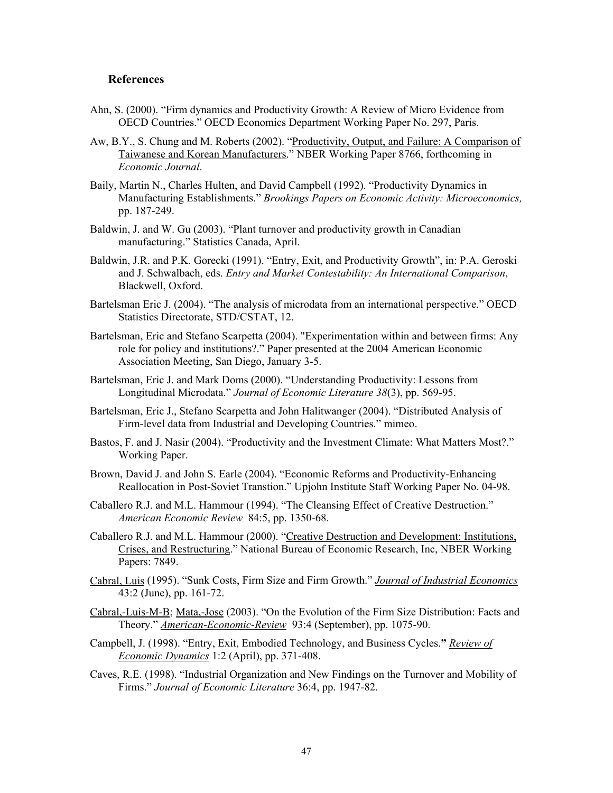### **References**

- Ahn, S. (2000). "Firm dynamics and Productivity Growth: A Review of Micro Evidence from OECD Countries." OECD Economics Department Working Paper No. 297, Paris.
- Aw, B.Y., S. Chung and M. Roberts (2002). "Productivity, Output, and Failure: A Comparison of Taiwanese and Korean Manufacturers." NBER Working Paper 8766, forthcoming in *Economic Journal*.
- Baily, Martin N., Charles Hulten, and David Campbell (1992). "Productivity Dynamics in Manufacturing Establishments." *Brookings Papers on Economic Activity: Microeconomics,*  pp. 187-249.
- Baldwin, J. and W. Gu (2003). "Plant turnover and productivity growth in Canadian manufacturing." Statistics Canada, April.
- Baldwin, J.R. and P.K. Gorecki (1991). "Entry, Exit, and Productivity Growth", in: P.A. Geroski and J. Schwalbach, eds. *Entry and Market Contestability: An International Comparison*, Blackwell, Oxford.
- Bartelsman Eric J. (2004). "The analysis of microdata from an international perspective." OECD Statistics Directorate, STD/CSTAT, 12.
- Bartelsman, Eric and Stefano Scarpetta (2004). "Experimentation within and between firms: Any role for policy and institutions?." Paper presented at the 2004 American Economic Association Meeting, San Diego, January 3-5.
- Bartelsman, Eric J. and Mark Doms (2000). "Understanding Productivity: Lessons from Longitudinal Microdata." *Journal of Economic Literature 38*(3), pp. 569-95.
- Bartelsman, Eric J., Stefano Scarpetta and John Halitwanger (2004). "Distributed Analysis of Firm-level data from Industrial and Developing Countries." mimeo.
- Bastos, F. and J. Nasir (2004). "Productivity and the Investment Climate: What Matters Most?." Working Paper.
- Brown, David J. and John S. Earle (2004). "Economic Reforms and Productivity-Enhancing Reallocation in Post-Soviet Transtion." Upjohn Institute Staff Working Paper No. 04-98.
- Caballero R.J. and M.L. Hammour (1994). "The Cleansing Effect of Creative Destruction." *American Economic Review* 84:5, pp. 1350-68.
- Caballero R.J. and M.L. Hammour (2000). "Creative Destruction and Development: Institutions, Crises, and Restructuring." National Bureau of Economic Research, Inc, NBER Working Papers: 7849.
- Cabral, Luis (1995). "Sunk Costs, Firm Size and Firm Growth." *Journal of Industrial Economics* 43:2 (June), pp. 161-72.
- Cabral,-Luis-M-B; Mata,-Jose (2003). "On the Evolution of the Firm Size Distribution: Facts and Theory." *American-Economic-Review* 93:4 (September), pp. 1075-90.
- Campbell, J. (1998). "Entry, Exit, Embodied Technology, and Business Cycles.**"** *Review of Economic Dynamics* 1:2 (April), pp. 371-408.
- Caves, R.E. (1998). "Industrial Organization and New Findings on the Turnover and Mobility of Firms." *Journal of Economic Literature* 36:4, pp. 1947-82.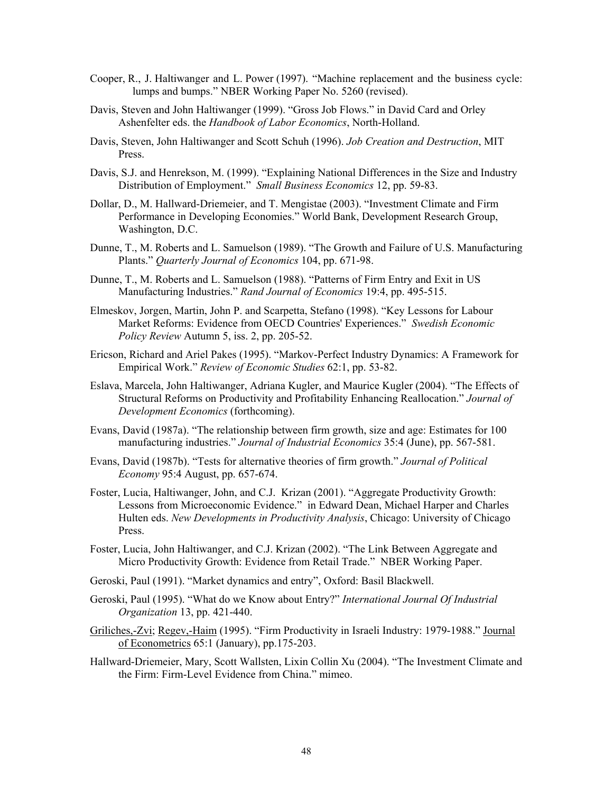- Cooper, R., J. Haltiwanger and L. Power (1997). "Machine replacement and the business cycle: lumps and bumps." NBER Working Paper No. 5260 (revised).
- Davis, Steven and John Haltiwanger (1999). "Gross Job Flows." in David Card and Orley Ashenfelter eds. the *Handbook of Labor Economics*, North-Holland.
- Davis, Steven, John Haltiwanger and Scott Schuh (1996). *Job Creation and Destruction*, MIT Press.
- Davis, S.J. and Henrekson, M. (1999). "Explaining National Differences in the Size and Industry Distribution of Employment." *Small Business Economics* 12, pp. 59-83.
- Dollar, D., M. Hallward-Driemeier, and T. Mengistae (2003). "Investment Climate and Firm Performance in Developing Economies." World Bank, Development Research Group, Washington, D.C.
- Dunne, T., M. Roberts and L. Samuelson (1989). "The Growth and Failure of U.S. Manufacturing Plants." *Quarterly Journal of Economics* 104, pp. 671-98.
- Dunne, T., M. Roberts and L. Samuelson (1988). "Patterns of Firm Entry and Exit in US Manufacturing Industries." *Rand Journal of Economics* 19:4, pp. 495-515.
- Elmeskov, Jorgen, Martin, John P. and Scarpetta, Stefano (1998). "Key Lessons for Labour Market Reforms: Evidence from OECD Countries' Experiences." *Swedish Economic Policy Review* Autumn 5, iss. 2, pp. 205-52.
- Ericson, Richard and Ariel Pakes (1995). "Markov-Perfect Industry Dynamics: A Framework for Empirical Work." *Review of Economic Studies* 62:1, pp. 53-82.
- Eslava, Marcela, John Haltiwanger, Adriana Kugler, and Maurice Kugler (2004). "The Effects of Structural Reforms on Productivity and Profitability Enhancing Reallocation." *Journal of Development Economics* (forthcoming).
- Evans, David (1987a). "The relationship between firm growth, size and age: Estimates for 100 manufacturing industries." *Journal of Industrial Economics* 35:4 (June), pp. 567-581.
- Evans, David (1987b). "Tests for alternative theories of firm growth." *Journal of Political Economy* 95:4 August, pp. 657-674.
- Foster, Lucia, Haltiwanger, John, and C.J. Krizan (2001). "Aggregate Productivity Growth: Lessons from Microeconomic Evidence." in Edward Dean, Michael Harper and Charles Hulten eds. *New Developments in Productivity Analysis*, Chicago: University of Chicago Press.
- Foster, Lucia, John Haltiwanger, and C.J. Krizan (2002). "The Link Between Aggregate and Micro Productivity Growth: Evidence from Retail Trade." NBER Working Paper.
- Geroski, Paul (1991). "Market dynamics and entry", Oxford: Basil Blackwell.
- Geroski, Paul (1995). "What do we Know about Entry?" *International Journal Of Industrial Organization* 13, pp. 421-440.
- Griliches,-Zvi; Regev,-Haim (1995). "Firm Productivity in Israeli Industry: 1979-1988." Journal of Econometrics 65:1 (January), pp.175-203.
- Hallward-Driemeier, Mary, Scott Wallsten, Lixin Collin Xu (2004). "The Investment Climate and the Firm: Firm-Level Evidence from China." mimeo.